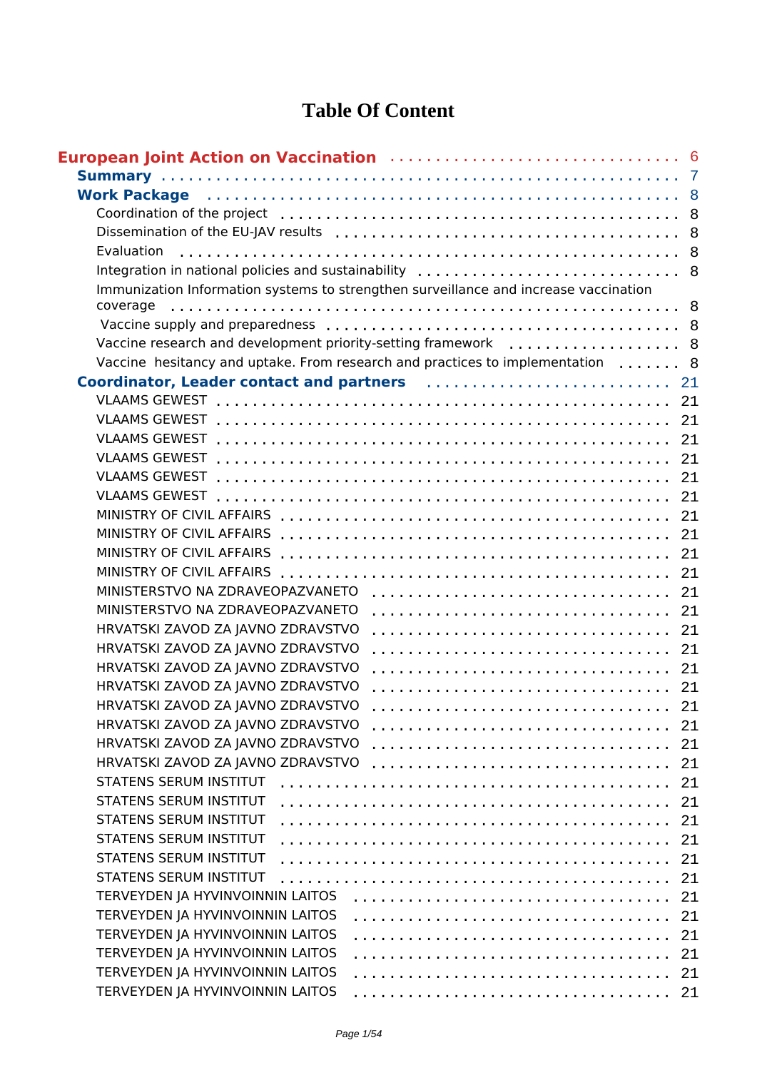## **Table Of Content**

| Work Package (and the contract of the contract of the contract of the contract of the contract of the contract of the contract of the contract of the contract of the contract of the contract of the contract of the contract |    |
|--------------------------------------------------------------------------------------------------------------------------------------------------------------------------------------------------------------------------------|----|
|                                                                                                                                                                                                                                |    |
|                                                                                                                                                                                                                                |    |
| Evaluation                                                                                                                                                                                                                     |    |
|                                                                                                                                                                                                                                |    |
| Immunization Information systems to strengthen surveillance and increase vaccination                                                                                                                                           |    |
| coverage                                                                                                                                                                                                                       |    |
|                                                                                                                                                                                                                                |    |
| Vaccine research and development priority-setting framework  8                                                                                                                                                                 |    |
| Vaccine hesitancy and uptake. From research and practices to implementation  8                                                                                                                                                 |    |
|                                                                                                                                                                                                                                |    |
|                                                                                                                                                                                                                                |    |
|                                                                                                                                                                                                                                |    |
|                                                                                                                                                                                                                                |    |
|                                                                                                                                                                                                                                | 21 |
|                                                                                                                                                                                                                                |    |
| <b>VLAAMS GEWEST</b>                                                                                                                                                                                                           | 21 |
|                                                                                                                                                                                                                                |    |
|                                                                                                                                                                                                                                | 21 |
|                                                                                                                                                                                                                                |    |
| MINISTRY OF CIVIL AFFAIRS                                                                                                                                                                                                      |    |
| MINISTERSTVO NA ZDRAVEOPAZVANETO                                                                                                                                                                                               |    |
| MINISTERSTVO NA ZDRAVEOPAZVANETO                                                                                                                                                                                               | 21 |
| HRVATSKI ZAVOD ZA JAVNO ZDRAVSTVO                                                                                                                                                                                              |    |
| HRVATSKI ZAVOD ZA JAVNO ZDRAVSTVO                                                                                                                                                                                              | 21 |
| HRVATSKI ZAVOD ZA JAVNO ZDRAVSTVO                                                                                                                                                                                              |    |
| HRVATSKI ZAVOD ZA JAVNO ZDRAVSTVO                                                                                                                                                                                              |    |
| HRVATSKI ZAVOD ZA JAVNO ZDRAVSTVO                                                                                                                                                                                              | 21 |
| HRVATSKI ZAVOD ZA JAVNO ZDRAVSTVO                                                                                                                                                                                              | 21 |
| HRVATSKI ZAVOD ZA JAVNO ZDRAVSTVO                                                                                                                                                                                              | 21 |
| HRVATSKI ZAVOD ZA JAVNO ZDRAVSTVO                                                                                                                                                                                              | 21 |
| <b>STATENS SERUM INSTITUT</b>                                                                                                                                                                                                  | 21 |
| <b>STATENS SERUM INSTITUT</b>                                                                                                                                                                                                  | 21 |
| <b>STATENS SERUM INSTITUT</b>                                                                                                                                                                                                  | 21 |
| <b>STATENS SERUM INSTITUT</b>                                                                                                                                                                                                  | 21 |
| <b>STATENS SERUM INSTITUT</b>                                                                                                                                                                                                  | 21 |
| <b>STATENS SERUM INSTITUT</b>                                                                                                                                                                                                  | 21 |
| TERVEYDEN JA HYVINVOINNIN LAITOS                                                                                                                                                                                               | 21 |
| TERVEYDEN JA HYVINVOINNIN LAITOS                                                                                                                                                                                               | 21 |
| TERVEYDEN JA HYVINVOINNIN LAITOS                                                                                                                                                                                               | 21 |
| TERVEYDEN JA HYVINVOINNIN LAITOS                                                                                                                                                                                               | 21 |
| TERVEYDEN JA HYVINVOINNIN LAITOS                                                                                                                                                                                               | 21 |
| TERVEYDEN JA HYVINVOINNIN LAITOS                                                                                                                                                                                               | 21 |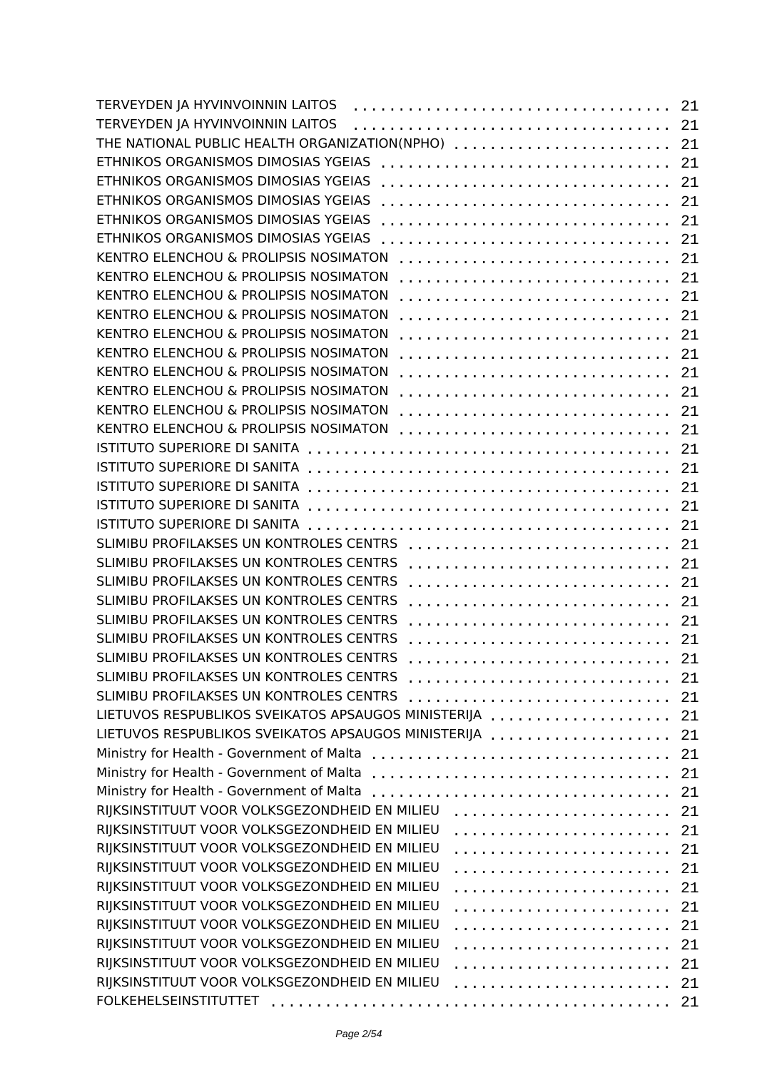| TERVEYDEN JA HYVINVOINNIN LAITOS                    | 21  |
|-----------------------------------------------------|-----|
| TERVEYDEN JA HYVINVOINNIN LAITOS                    | 21  |
| THE NATIONAL PUBLIC HEALTH ORGANIZATION(NPHO)       | 21  |
| ETHNIKOS ORGANISMOS DIMOSIAS YGEIAS                 | 21  |
| ETHNIKOS ORGANISMOS DIMOSIAS YGEIAS                 | 21  |
| ETHNIKOS ORGANISMOS DIMOSIAS YGEIAS                 | 21  |
| ETHNIKOS ORGANISMOS DIMOSIAS YGEIAS                 | 21  |
| ETHNIKOS ORGANISMOS DIMOSIAS YGEIAS                 | 21  |
| KENTRO ELENCHOU & PROLIPSIS NOSIMATON               | 21  |
| KENTRO ELENCHOU & PROLIPSIS NOSIMATON               | 21  |
| KENTRO ELENCHOU & PROLIPSIS NOSIMATON               | 21  |
| KENTRO ELENCHOU & PROLIPSIS NOSIMATON               | 21  |
| KENTRO ELENCHOU & PROLIPSIS NOSIMATON               | 21  |
| KENTRO ELENCHOU & PROLIPSIS NOSIMATON               |     |
| KENTRO ELENCHOU & PROLIPSIS NOSIMATON               | 21  |
|                                                     | 21  |
| KENTRO ELENCHOU & PROLIPSIS NOSIMATON               | 21  |
| KENTRO ELENCHOU & PROLIPSIS NOSIMATON               | 21  |
| KENTRO ELENCHOU & PROLIPSIS NOSIMATON               | 21  |
| ISTITUTO SUPERIORE DI SANITA                        | 21  |
|                                                     | 21  |
| ISTITUTO SUPERIORE DI SANITA                        | 21  |
|                                                     | 21  |
|                                                     | 21  |
| SLIMIBU PROFILAKSES UN KONTROLES CENTRS             | 21  |
| SLIMIBU PROFILAKSES UN KONTROLES CENTRS             | 21  |
| SLIMIBU PROFILAKSES UN KONTROLES CENTRS             | 21  |
| SLIMIBU PROFILAKSES UN KONTROLES CENTRS             | 21  |
| SLIMIBU PROFILAKSES UN KONTROLES CENTRS             | 21  |
| SLIMIBU PROFILAKSES UN KONTROLES CENTRS             | 21  |
| SLIMIBU PROFILAKSES UN KONTROLES CENTRS             | 21  |
| SLIMIBU PROFILAKSES UN KONTROLES CENTRS             | 21  |
| SLIMIBU PROFILAKSES UN KONTROLES CENTRS             | 21  |
| LIETUVOS RESPUBLIKOS SVEIKATOS APSAUGOS MINISTERIJA | 21  |
| LIETUVOS RESPUBLIKOS SVEIKATOS APSAUGOS MINISTERIJA | 21  |
|                                                     | 21  |
|                                                     | 21  |
| Ministry for Health - Government of Malta           | 21  |
| RIJKSINSTITUUT VOOR VOLKSGEZONDHEID EN MILIEU       |     |
| RIJKSINSTITUUT VOOR VOLKSGEZONDHEID EN MILIEU       | 21  |
| RIJKSINSTITUUT VOOR VOLKSGEZONDHEID EN MILIEU       | 21  |
|                                                     | 21  |
| RIJKSINSTITUUT VOOR VOLKSGEZONDHEID EN MILIEU       | 21  |
| RIJKSINSTITUUT VOOR VOLKSGEZONDHEID EN MILIEU       | 21  |
| RIJKSINSTITUUT VOOR VOLKSGEZONDHEID EN MILIEU       | 21  |
| RIJKSINSTITUUT VOOR VOLKSGEZONDHEID EN MILIEU       | 21  |
| RIJKSINSTITUUT VOOR VOLKSGEZONDHEID EN MILIEU       | 21  |
| RIJKSINSTITUUT VOOR VOLKSGEZONDHEID EN MILIEU       | 21  |
| RIJKSINSTITUUT VOOR VOLKSGEZONDHEID EN MILIEU       | 21  |
|                                                     | -21 |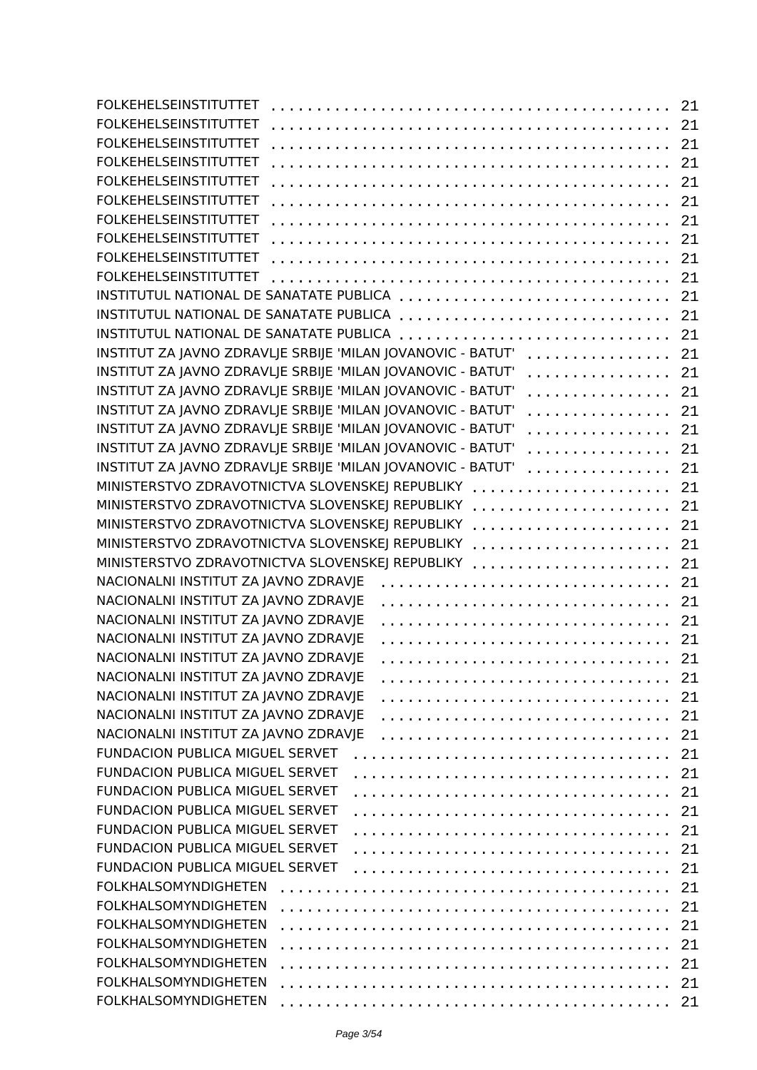| <b>FOLKEHELSEINSTITUTTET</b>                                     | 21 |
|------------------------------------------------------------------|----|
| <b>FOLKEHELSEINSTITUTTET</b>                                     | 21 |
| <b>FOLKEHELSEINSTITUTTET</b>                                     | 21 |
| <b>FOLKEHELSEINSTITUTTET</b>                                     | 21 |
| <b>FOLKEHELSEINSTITUTTET</b>                                     | 21 |
| <b>FOLKEHELSEINSTITUTTET</b>                                     | 21 |
| <b>FOLKEHELSEINSTITUTTET</b>                                     | 21 |
| <b>FOLKEHELSEINSTITUTTET</b>                                     | 21 |
| <b>FOLKEHELSEINSTITUTTET</b>                                     | 21 |
| <b>FOLKEHELSEINSTITUTTET</b>                                     | 21 |
| INSTITUTUL NATIONAL DE SANATATE PUBLICA                          |    |
|                                                                  | 21 |
| INSTITUTUL NATIONAL DE SANATATE PUBLICA                          | 21 |
| INSTITUTUL NATIONAL DE SANATATE PUBLICA                          | 21 |
| INSTITUT ZA JAVNO ZDRAVLJE SRBIJE 'MILAN JOVANOVIC - BATUT'<br>. | 21 |
| INSTITUT ZA JAVNO ZDRAVLJE SRBIJE 'MILAN JOVANOVIC - BATUT'<br>. | 21 |
| INSTITUT ZA JAVNO ZDRAVLJE SRBIJE 'MILAN JOVANOVIC - BATUT'<br>. | 21 |
| INSTITUT ZA JAVNO ZDRAVLJE SRBIJE 'MILAN JOVANOVIC - BATUT'<br>. | 21 |
| INSTITUT ZA JAVNO ZDRAVLJE SRBIJE 'MILAN JOVANOVIC - BATUT'<br>. | 21 |
| INSTITUT ZA JAVNO ZDRAVLJE SRBIJE 'MILAN JOVANOVIC - BATUT'<br>. | 21 |
| INSTITUT ZA JAVNO ZDRAVLJE SRBIJE 'MILAN JOVANOVIC - BATUT'<br>. | 21 |
| MINISTERSTVO ZDRAVOTNICTVA SLOVENSKEJ REPUBLIKY                  | 21 |
| MINISTERSTVO ZDRAVOTNICTVA SLOVENSKEJ REPUBLIKY                  | 21 |
| MINISTERSTVO ZDRAVOTNICTVA SLOVENSKEJ REPUBLIKY                  | 21 |
| MINISTERSTVO ZDRAVOTNICTVA SLOVENSKEJ REPUBLIKY                  | 21 |
| MINISTERSTVO ZDRAVOTNICTVA SLOVENSKEJ REPUBLIKY                  | 21 |
| NACIONALNI INSTITUT ZA JAVNO ZDRAVJE                             | 21 |
| NACIONALNI INSTITUT ZA JAVNO ZDRAVJE                             | 21 |
| NACIONALNI INSTITUT ZA JAVNO ZDRAVJE                             |    |
| NACIONALNI INSTITUT ZA JAVNO ZDRAVJE                             | 21 |
|                                                                  | 21 |
| NACIONALNI INSTITUT ZA JAVNO ZDRAVJE                             | 21 |
| NACIONALNI INSTITUT ZA JAVNO ZDRAVJE                             | 21 |
| NACIONALNI INSTITUT ZA JAVNO ZDRAVJE                             | 21 |
| NACIONALNI INSTITUT ZA JAVNO ZDRAVJE                             | 21 |
| NACIONALNI INSTITUT ZA JAVNO ZDRAVJE                             | 21 |
| <b>FUNDACION PUBLICA MIGUEL SERVET</b>                           | 21 |
| FUNDACION PUBLICA MIGUEL SERVET                                  | 21 |
| <b>FUNDACION PUBLICA MIGUEL SERVET</b>                           | 21 |
| <b>FUNDACION PUBLICA MIGUEL SERVET</b>                           | 21 |
| FUNDACION PUBLICA MIGUEL SERVET                                  | 21 |
| FUNDACION PUBLICA MIGUEL SERVET                                  | 21 |
| FUNDACION PUBLICA MIGUEL SERVET                                  | 21 |
| <b>FOLKHALSOMYNDIGHETEN</b>                                      | 21 |
| <b>FOLKHALSOMYNDIGHETEN</b>                                      | 21 |
| <b>FOLKHALSOMYNDIGHETEN</b>                                      | 21 |
| <b>FOLKHALSOMYNDIGHETEN</b>                                      | 21 |
| <b>FOLKHALSOMYNDIGHETEN</b>                                      | 21 |
| <b>FOLKHALSOMYNDIGHETEN</b>                                      |    |
|                                                                  | 21 |
| <b>FOLKHALSOMYNDIGHETEN</b>                                      | 21 |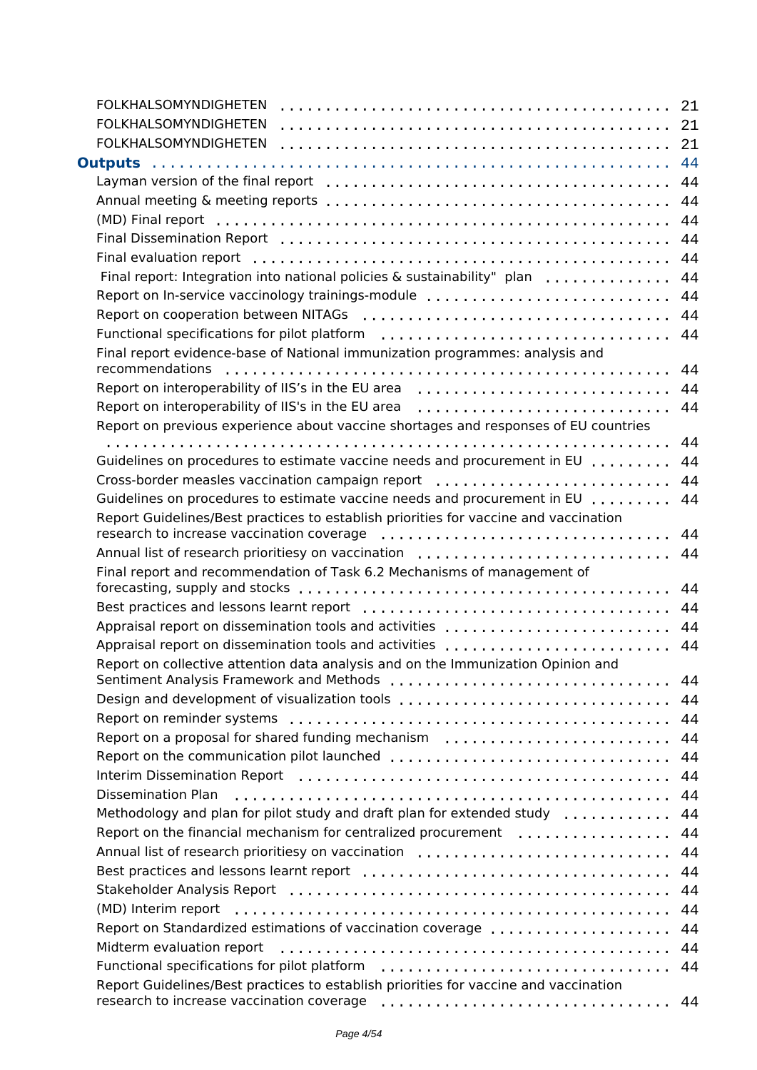| <b>FOLKHALSOMYNDIGHETEN</b>                                                          |    |
|--------------------------------------------------------------------------------------|----|
| <b>FOLKHALSOMYNDIGHETEN</b>                                                          |    |
| <b>FOLKHALSOMYNDIGHETEN</b>                                                          |    |
|                                                                                      |    |
|                                                                                      |    |
|                                                                                      |    |
|                                                                                      |    |
|                                                                                      |    |
|                                                                                      |    |
| Final report: Integration into national policies & sustainability" plan  44          |    |
| Report on In-service vaccinology trainings-module  44                                |    |
|                                                                                      |    |
|                                                                                      |    |
| Final report evidence-base of National immunization programmes: analysis and         | 44 |
|                                                                                      |    |
| Report on interoperability of IIS's in the EU area                                   | 44 |
| Report on previous experience about vaccine shortages and responses of EU countries  |    |
|                                                                                      | 44 |
| Guidelines on procedures to estimate vaccine needs and procurement in EU             | 44 |
| Cross-border measles vaccination campaign report                                     | 44 |
| Guidelines on procedures to estimate vaccine needs and procurement in EU             | 44 |
| Report Guidelines/Best practices to establish priorities for vaccine and vaccination |    |
| Annual list of research prioritiesy on vaccination                                   | 44 |
| Final report and recommendation of Task 6.2 Mechanisms of management of              | 44 |
|                                                                                      |    |
| Appraisal report on dissemination tools and activities  44                           |    |
| Appraisal report on dissemination tools and activities                               | 44 |
| Report on collective attention data analysis and on the Immunization Opinion and     |    |
| Design and development of visualization tools  44                                    |    |
|                                                                                      |    |
| Report on a proposal for shared funding mechanism                                    | 44 |
| Report on the communication pilot launched  44                                       |    |
|                                                                                      |    |
| <b>Dissemination Plan</b>                                                            |    |
| Methodology and plan for pilot study and draft plan for extended study               | 44 |
| Report on the financial mechanism for centralized procurement  44                    |    |
| Annual list of research prioritiesy on vaccination  44                               |    |
|                                                                                      |    |
|                                                                                      | 44 |
|                                                                                      |    |
| Report on Standardized estimations of vaccination coverage  44                       |    |
| Midterm evaluation report                                                            |    |
|                                                                                      |    |
| Report Guidelines/Best practices to establish priorities for vaccine and vaccination |    |
| research to increase vaccination coverage                                            |    |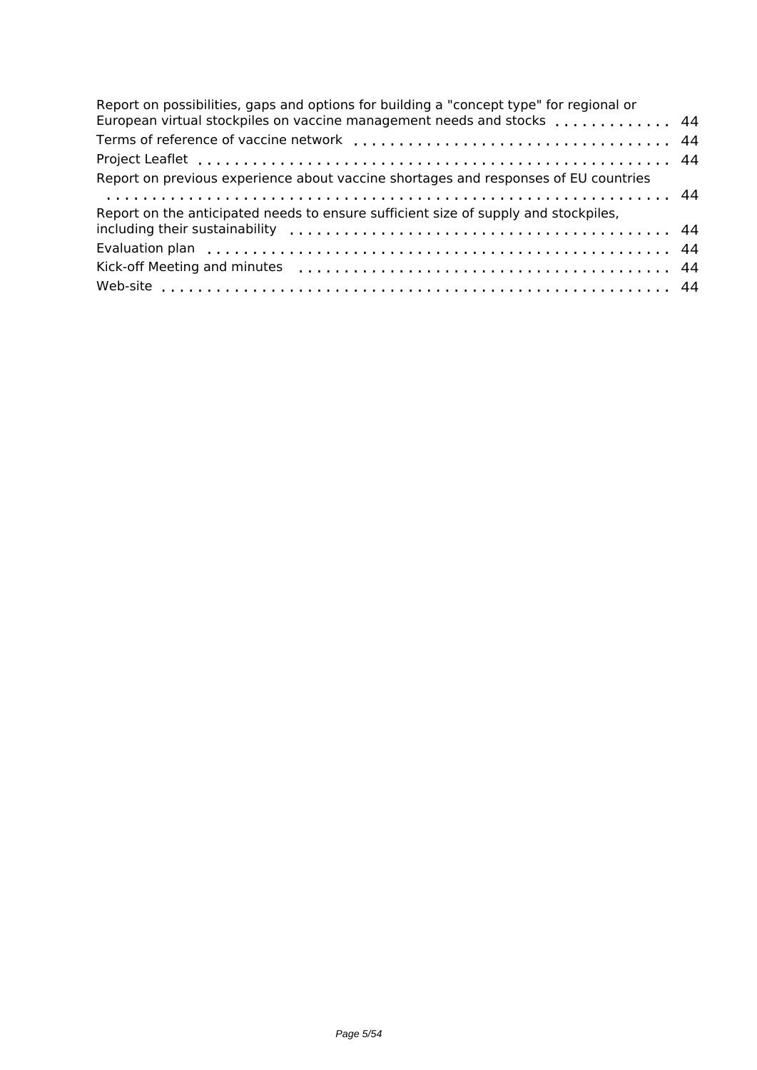| Report on possibilities, gaps and options for building a "concept type" for regional or<br>European virtual stockpiles on vaccine management needs and stocks  44 |  |
|-------------------------------------------------------------------------------------------------------------------------------------------------------------------|--|
|                                                                                                                                                                   |  |
|                                                                                                                                                                   |  |
| Report on previous experience about vaccine shortages and responses of EU countries                                                                               |  |
|                                                                                                                                                                   |  |
| Report on the anticipated needs to ensure sufficient size of supply and stockpiles,                                                                               |  |
|                                                                                                                                                                   |  |
|                                                                                                                                                                   |  |
|                                                                                                                                                                   |  |
|                                                                                                                                                                   |  |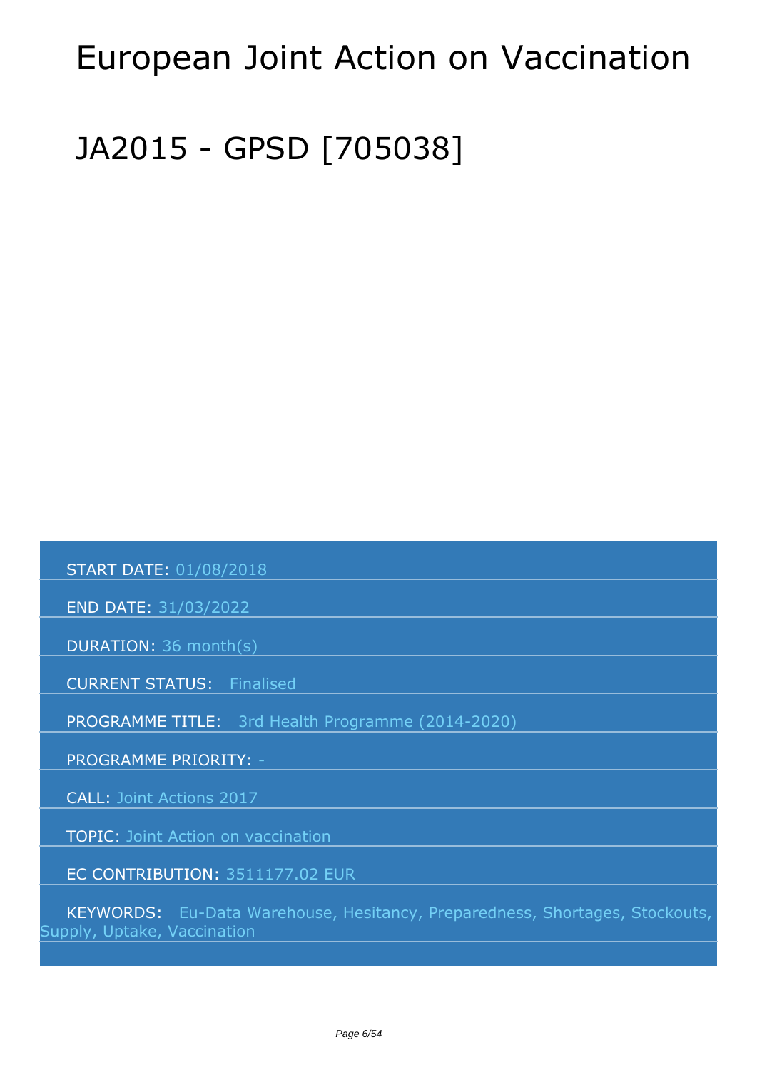# <span id="page-5-0"></span>*European Joint Action on Vaccination*

# *JA2015 - GPSD [705038]*

 *START DATE: 01/08/2018*

 *END DATE: 31/03/2022*

 *DURATION: 36 month(s)*

 *CURRENT STATUS: Finalised*

 *PROGRAMME TITLE: 3rd Health Programme (2014-2020)* 

 *PROGRAMME PRIORITY: -*

 *CALL: Joint Actions 2017*

 *TOPIC: Joint Action on vaccination*

 *EC CONTRIBUTION: 3511177.02 EUR*

 *KEYWORDS: Eu-Data Warehouse, Hesitancy, Preparedness, Shortages, Stockouts, Supply, Uptake, Vaccination*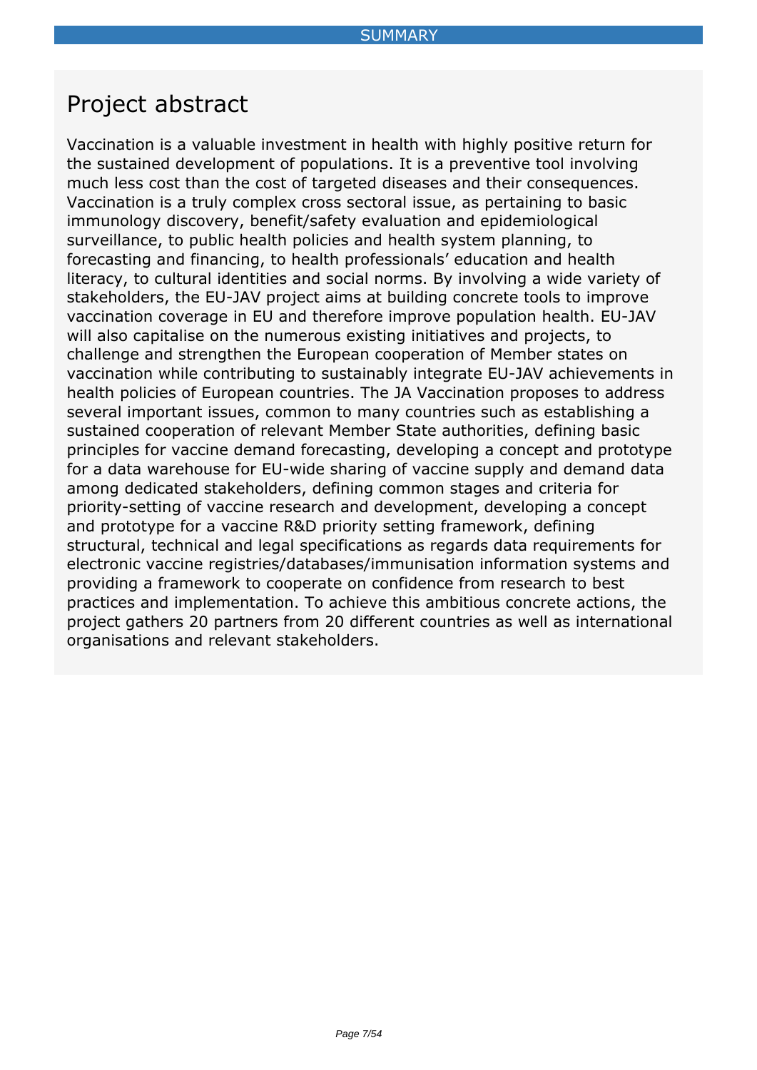## <span id="page-6-0"></span>*Project abstract*

*Vaccination is a valuable investment in health with highly positive return for the sustained development of populations. It is a preventive tool involving much less cost than the cost of targeted diseases and their consequences. Vaccination is a truly complex cross sectoral issue, as pertaining to basic immunology discovery, benefit/safety evaluation and epidemiological surveillance, to public health policies and health system planning, to forecasting and financing, to health professionals' education and health literacy, to cultural identities and social norms. By involving a wide variety of stakeholders, the EU-JAV project aims at building concrete tools to improve vaccination coverage in EU and therefore improve population health. EU-JAV will also capitalise on the numerous existing initiatives and projects, to challenge and strengthen the European cooperation of Member states on vaccination while contributing to sustainably integrate EU-JAV achievements in health policies of European countries. The JA Vaccination proposes to address several important issues, common to many countries such as establishing a sustained cooperation of relevant Member State authorities, defining basic principles for vaccine demand forecasting, developing a concept and prototype for a data warehouse for EU-wide sharing of vaccine supply and demand data among dedicated stakeholders, defining common stages and criteria for priority-setting of vaccine research and development, developing a concept and prototype for a vaccine R&D priority setting framework, defining structural, technical and legal specifications as regards data requirements for electronic vaccine registries/databases/immunisation information systems and providing a framework to cooperate on confidence from research to best practices and implementation. To achieve this ambitious concrete actions, the project gathers 20 partners from 20 different countries as well as international organisations and relevant stakeholders.*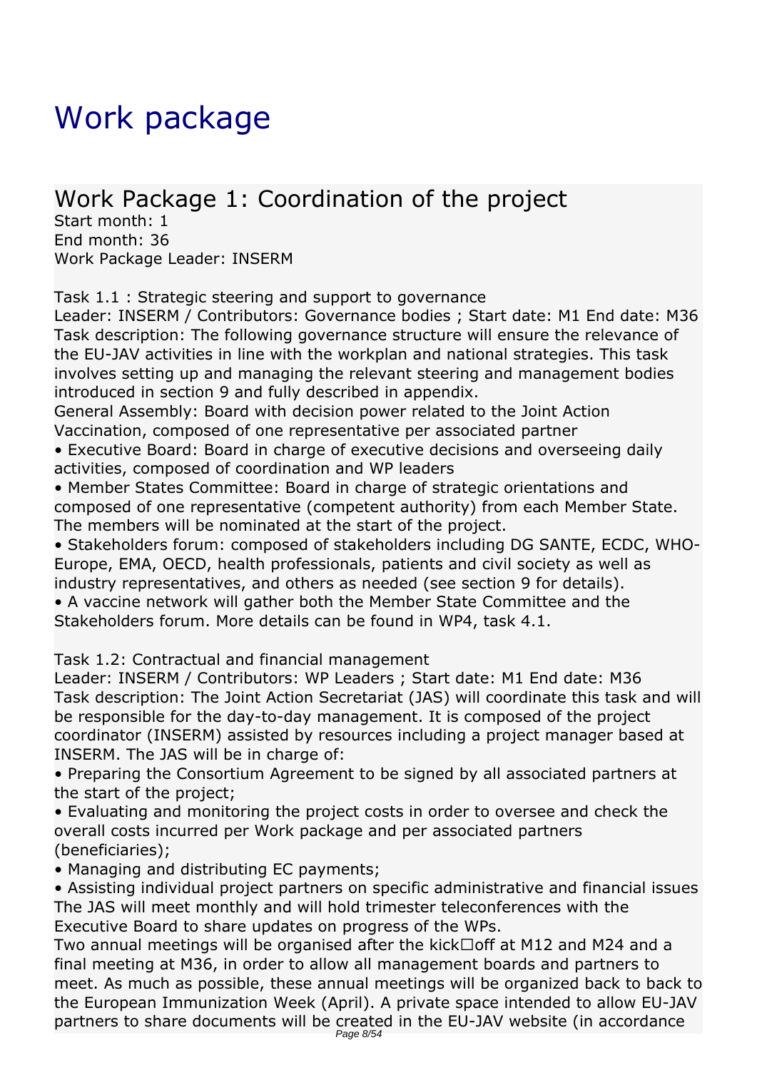# <span id="page-7-0"></span>*Work package*

## *Work Package 1: Coordination of the project*

*Start month: 1 End month: 36 Work Package Leader: INSERM*

*Task 1.1 : Strategic steering and support to governance*

*Leader: INSERM / Contributors: Governance bodies ; Start date: M1 End date: M36 Task description: The following governance structure will ensure the relevance of the EU-JAV activities in line with the workplan and national strategies. This task involves setting up and managing the relevant steering and management bodies introduced in section 9 and fully described in appendix.*

*General Assembly: Board with decision power related to the Joint Action Vaccination, composed of one representative per associated partner*

*• Executive Board: Board in charge of executive decisions and overseeing daily activities, composed of coordination and WP leaders*

*• Member States Committee: Board in charge of strategic orientations and composed of one representative (competent authority) from each Member State. The members will be nominated at the start of the project.*

*• Stakeholders forum: composed of stakeholders including DG SANTE, ECDC, WHO-Europe, EMA, OECD, health professionals, patients and civil society as well as industry representatives, and others as needed (see section 9 for details).*

*• A vaccine network will gather both the Member State Committee and the Stakeholders forum. More details can be found in WP4, task 4.1.*

*Task 1.2: Contractual and financial management*

*Leader: INSERM / Contributors: WP Leaders ; Start date: M1 End date: M36 Task description: The Joint Action Secretariat (JAS) will coordinate this task and will be responsible for the day-to-day management. It is composed of the project coordinator (INSERM) assisted by resources including a project manager based at INSERM. The JAS will be in charge of:*

*• Preparing the Consortium Agreement to be signed by all associated partners at the start of the project;*

*• Evaluating and monitoring the project costs in order to oversee and check the overall costs incurred per Work package and per associated partners (beneficiaries);*

*• Managing and distributing EC payments;*

*• Assisting individual project partners on specific administrative and financial issues The JAS will meet monthly and will hold trimester teleconferences with the Executive Board to share updates on progress of the WPs.*

*Two annual meetings will be organised after the kick‐off at M12 and M24 and a final meeting at M36, in order to allow all management boards and partners to meet. As much as possible, these annual meetings will be organized back to back to the European Immunization Week (April). A private space intended to allow EU-JAV partners to share documents will be created in the EU-JAV website (in accordance*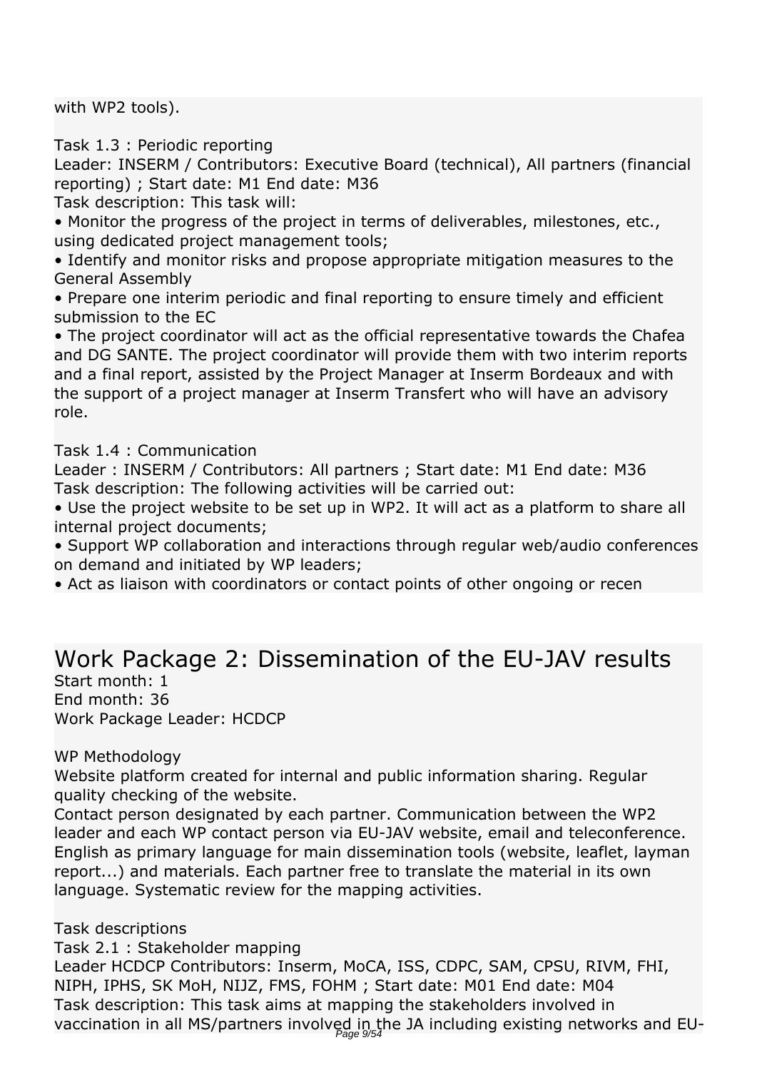*with WP2 tools).*

*Task 1.3 : Periodic reporting*

*Leader: INSERM / Contributors: Executive Board (technical), All partners (financial reporting) ; Start date: M1 End date: M36*

*Task description: This task will:*

*• Monitor the progress of the project in terms of deliverables, milestones, etc., using dedicated project management tools;*

*• Identify and monitor risks and propose appropriate mitigation measures to the General Assembly*

*• Prepare one interim periodic and final reporting to ensure timely and efficient submission to the EC*

*• The project coordinator will act as the official representative towards the Chafea and DG SANTE. The project coordinator will provide them with two interim reports and a final report, assisted by the Project Manager at Inserm Bordeaux and with the support of a project manager at Inserm Transfert who will have an advisory role.*

*Task 1.4 : Communication*

*Leader : INSERM / Contributors: All partners ; Start date: M1 End date: M36 Task description: The following activities will be carried out:*

*• Use the project website to be set up in WP2. It will act as a platform to share all internal project documents;*

*• Support WP collaboration and interactions through regular web/audio conferences on demand and initiated by WP leaders;*

• Act as liaison with coordinators or contact points of other ongoing or recen

### *Work Package 2: Dissemination of the EU-JAV results*

*Start month: 1 End month: 36 Work Package Leader: HCDCP*

*WP Methodology*

*Website platform created for internal and public information sharing. Regular quality checking of the website.*

*Contact person designated by each partner. Communication between the WP2 leader and each WP contact person via EU-JAV website, email and teleconference. English as primary language for main dissemination tools (website, leaflet, layman report...) and materials. Each partner free to translate the material in its own language. Systematic review for the mapping activities.*

*Task descriptions*

*Task 2.1 : Stakeholder mapping*

*Leader HCDCP Contributors: Inserm, MoCA, ISS, CDPC, SAM, CPSU, RIVM, FHI, NIPH, IPHS, SK MoH, NIJZ, FMS, FOHM ; Start date: M01 End date: M04 Task description: This task aims at mapping the stakeholders involved in vaccination in all MS/partners involved in the JA including existing networks and EU-*Page 9/54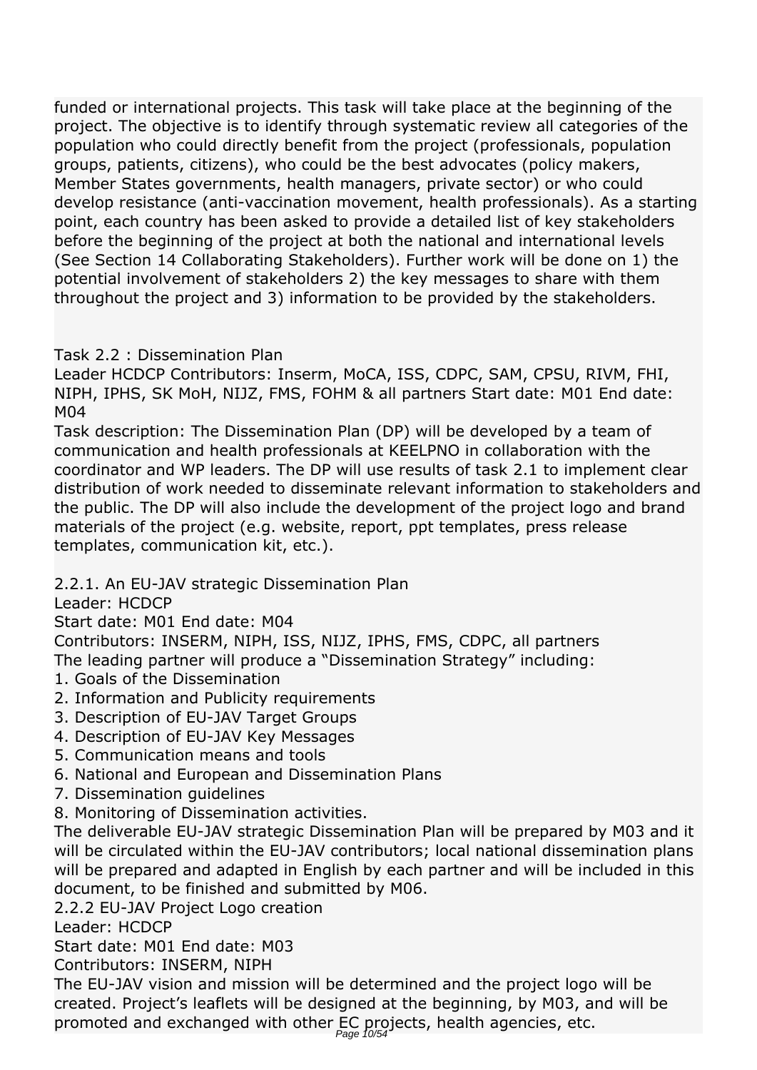*funded or international projects. This task will take place at the beginning of the project. The objective is to identify through systematic review all categories of the population who could directly benefit from the project (professionals, population groups, patients, citizens), who could be the best advocates (policy makers, Member States governments, health managers, private sector) or who could develop resistance (anti-vaccination movement, health professionals). As a starting point, each country has been asked to provide a detailed list of key stakeholders before the beginning of the project at both the national and international levels (See Section 14 Collaborating Stakeholders). Further work will be done on 1) the potential involvement of stakeholders 2) the key messages to share with them throughout the project and 3) information to be provided by the stakeholders.*

#### *Task 2.2 : Dissemination Plan*

*Leader HCDCP Contributors: Inserm, MoCA, ISS, CDPC, SAM, CPSU, RIVM, FHI, NIPH, IPHS, SK MoH, NIJZ, FMS, FOHM & all partners Start date: M01 End date: M04*

*Task description: The Dissemination Plan (DP) will be developed by a team of communication and health professionals at KEELPNO in collaboration with the coordinator and WP leaders. The DP will use results of task 2.1 to implement clear distribution of work needed to disseminate relevant information to stakeholders and the public. The DP will also include the development of the project logo and brand materials of the project (e.g. website, report, ppt templates, press release templates, communication kit, etc.).*

*2.2.1. An EU-JAV strategic Dissemination Plan*

*Leader: HCDCP*

*Start date: M01 End date: M04*

*Contributors: INSERM, NIPH, ISS, NIJZ, IPHS, FMS, CDPC, all partners The leading partner will produce a "Dissemination Strategy" including:*

- *1. Goals of the Dissemination*
- *2. Information and Publicity requirements*
- *3. Description of EU-JAV Target Groups*
- *4. Description of EU-JAV Key Messages*
- *5. Communication means and tools*
- *6. National and European and Dissemination Plans*
- *7. Dissemination guidelines*
- *8. Monitoring of Dissemination activities.*

*The deliverable EU-JAV strategic Dissemination Plan will be prepared by M03 and it will be circulated within the EU-JAV contributors; local national dissemination plans will be prepared and adapted in English by each partner and will be included in this document, to be finished and submitted by M06.*

*2.2.2 EU-JAV Project Logo creation*

*Leader: HCDCP*

*Start date: M01 End date: M03*

*Contributors: INSERM, NIPH*

*The EU-JAV vision and mission will be determined and the project logo will be created. Project's leaflets will be designed at the beginning, by M03, and will be promoted and exchanged with other EC projects, health agencies, etc.* Page 10/54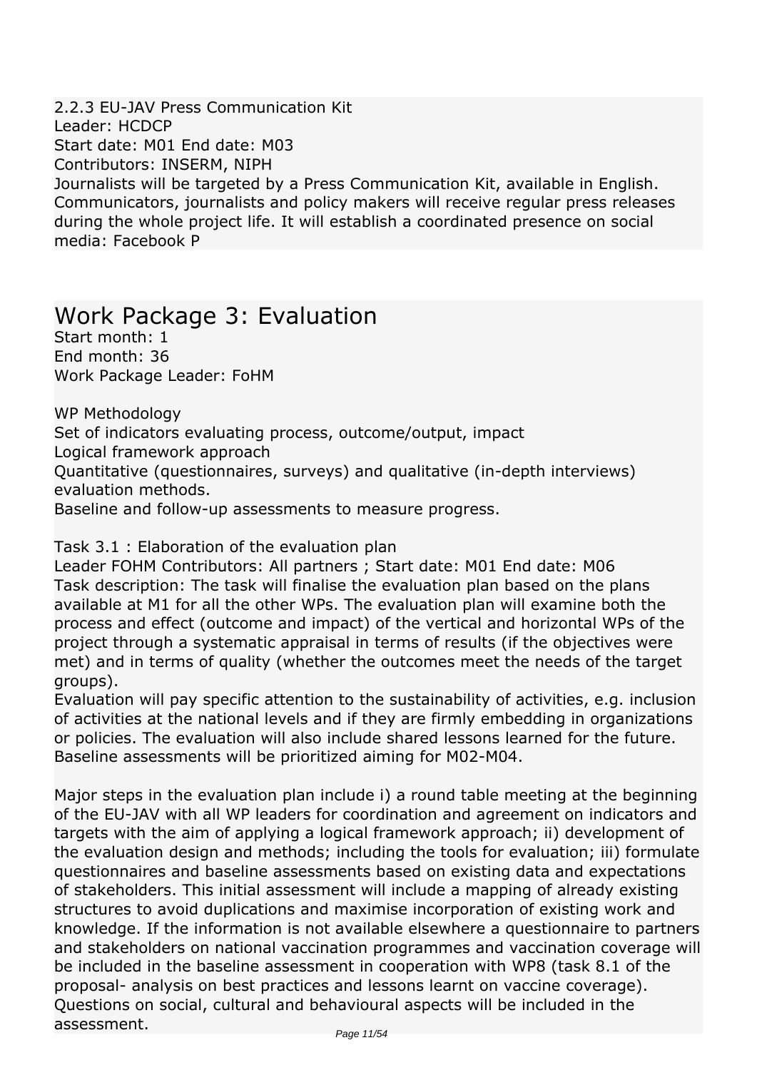*2.2.3 EU-JAV Press Communication Kit Leader: HCDCP Start date: M01 End date: M03 Contributors: INSERM, NIPH Journalists will be targeted by a Press Communication Kit, available in English. Communicators, journalists and policy makers will receive regular press releases during the whole project life. It will establish a coordinated presence on social media: Facebook P* 

### *Work Package 3: Evaluation*

*Start month: 1 End month: 36 Work Package Leader: FoHM*

*WP Methodology Set of indicators evaluating process, outcome/output, impact Logical framework approach Quantitative (questionnaires, surveys) and qualitative (in-depth interviews) evaluation methods. Baseline and follow-up assessments to measure progress.*

#### *Task 3.1 : Elaboration of the evaluation plan*

*Leader FOHM Contributors: All partners ; Start date: M01 End date: M06 Task description: The task will finalise the evaluation plan based on the plans available at M1 for all the other WPs. The evaluation plan will examine both the process and effect (outcome and impact) of the vertical and horizontal WPs of the project through a systematic appraisal in terms of results (if the objectives were met) and in terms of quality (whether the outcomes meet the needs of the target groups).*

*Evaluation will pay specific attention to the sustainability of activities, e.g. inclusion of activities at the national levels and if they are firmly embedding in organizations or policies. The evaluation will also include shared lessons learned for the future. Baseline assessments will be prioritized aiming for M02-M04.*

*Major steps in the evaluation plan include i) a round table meeting at the beginning of the EU-JAV with all WP leaders for coordination and agreement on indicators and targets with the aim of applying a logical framework approach; ii) development of the evaluation design and methods; including the tools for evaluation; iii) formulate questionnaires and baseline assessments based on existing data and expectations of stakeholders. This initial assessment will include a mapping of already existing structures to avoid duplications and maximise incorporation of existing work and knowledge. If the information is not available elsewhere a questionnaire to partners* and stakeholders on national vaccination programmes and vaccination coverage will *be included in the baseline assessment in cooperation with WP8 (task 8.1 of the proposal- analysis on best practices and lessons learnt on vaccine coverage). Questions on social, cultural and behavioural aspects will be included in the assessment.*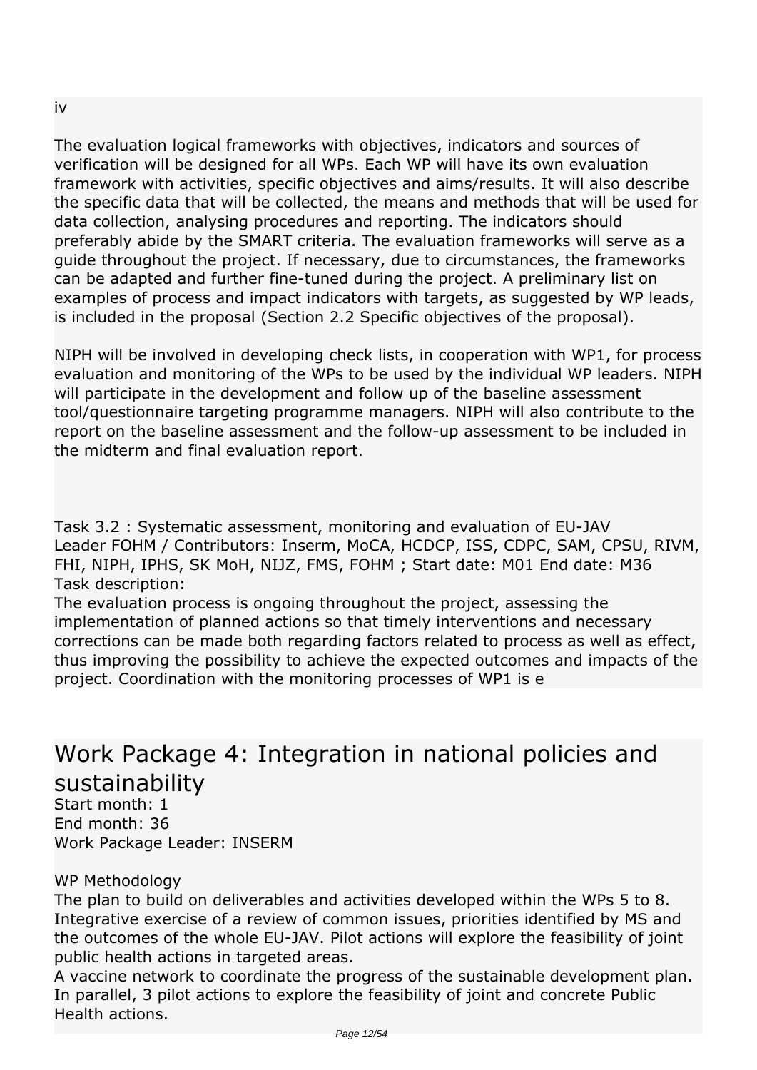*The evaluation logical frameworks with objectives, indicators and sources of verification will be designed for all WPs. Each WP will have its own evaluation framework with activities, specific objectives and aims/results. It will also describe the specific data that will be collected, the means and methods that will be used for data collection, analysing procedures and reporting. The indicators should preferably abide by the SMART criteria. The evaluation frameworks will serve as a guide throughout the project. If necessary, due to circumstances, the frameworks can be adapted and further fine-tuned during the project. A preliminary list on examples of process and impact indicators with targets, as suggested by WP leads, is included in the proposal (Section 2.2 Specific objectives of the proposal).*

*NIPH will be involved in developing check lists, in cooperation with WP1, for process evaluation and monitoring of the WPs to be used by the individual WP leaders. NIPH will participate in the development and follow up of the baseline assessment tool/questionnaire targeting programme managers. NIPH will also contribute to the report on the baseline assessment and the follow-up assessment to be included in the midterm and final evaluation report.*

*Task 3.2 : Systematic assessment, monitoring and evaluation of EU-JAV Leader FOHM / Contributors: Inserm, MoCA, HCDCP, ISS, CDPC, SAM, CPSU, RIVM, FHI, NIPH, IPHS, SK MoH, NIJZ, FMS, FOHM ; Start date: M01 End date: M36 Task description:*

*The evaluation process is ongoing throughout the project, assessing the implementation of planned actions so that timely interventions and necessary corrections can be made both regarding factors related to process as well as effect, thus improving the possibility to achieve the expected outcomes and impacts of the project. Coordination with the monitoring processes of WP1 is e* 

## *Work Package 4: Integration in national policies and sustainability*

*Start month: 1 End month: 36 Work Package Leader: INSERM*

*WP Methodology*

*The plan to build on deliverables and activities developed within the WPs 5 to 8. Integrative exercise of a review of common issues, priorities identified by MS and the outcomes of the whole EU-JAV. Pilot actions will explore the feasibility of joint public health actions in targeted areas.*

*A vaccine network to coordinate the progress of the sustainable development plan. In parallel, 3 pilot actions to explore the feasibility of joint and concrete Public Health actions.*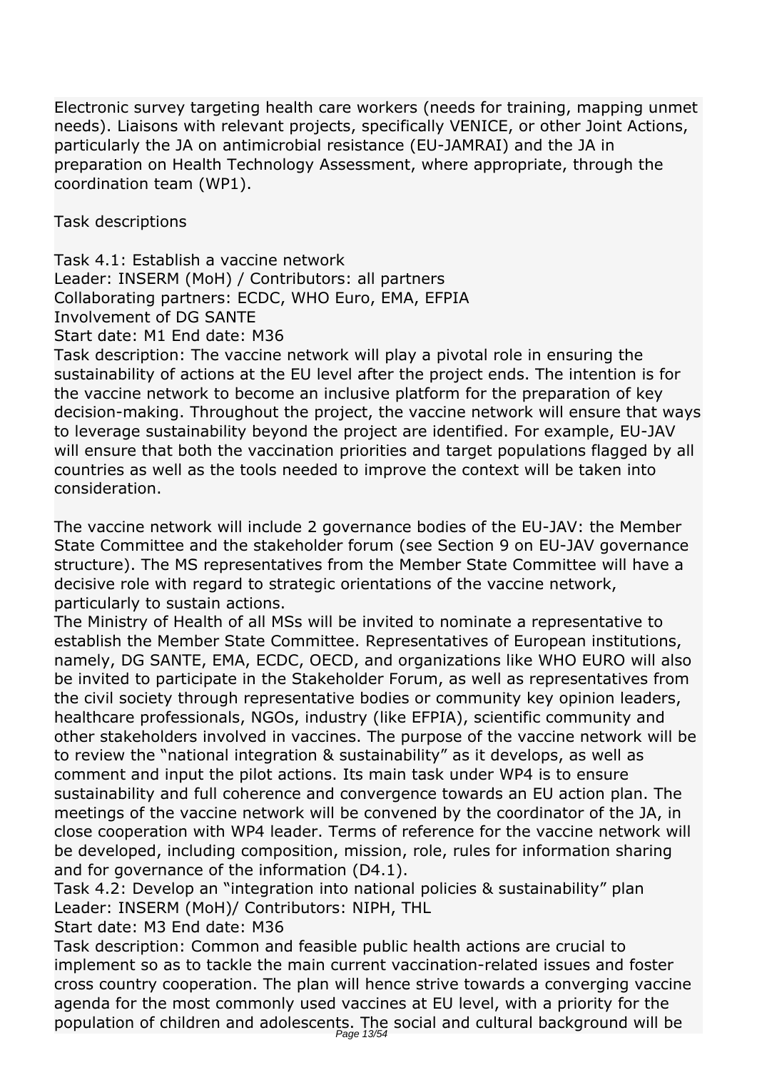*Electronic survey targeting health care workers (needs for training, mapping unmet needs). Liaisons with relevant projects, specifically VENICE, or other Joint Actions, particularly the JA on antimicrobial resistance (EU-JAMRAI) and the JA in preparation on Health Technology Assessment, where appropriate, through the coordination team (WP1).*

*Task descriptions*

*Task 4.1: Establish a vaccine network Leader: INSERM (MoH) / Contributors: all partners Collaborating partners: ECDC, WHO Euro, EMA, EFPIA Involvement of DG SANTE Start date: M1 End date: M36*

*Task description: The vaccine network will play a pivotal role in ensuring the sustainability of actions at the EU level after the project ends. The intention is for the vaccine network to become an inclusive platform for the preparation of key decision-making. Throughout the project, the vaccine network will ensure that ways to leverage sustainability beyond the project are identified. For example, EU-JAV will ensure that both the vaccination priorities and target populations flagged by all countries as well as the tools needed to improve the context will be taken into consideration.*

*The vaccine network will include 2 governance bodies of the EU-JAV: the Member State Committee and the stakeholder forum (see Section 9 on EU-JAV governance structure). The MS representatives from the Member State Committee will have a decisive role with regard to strategic orientations of the vaccine network, particularly to sustain actions.*

*The Ministry of Health of all MSs will be invited to nominate a representative to establish the Member State Committee. Representatives of European institutions, namely, DG SANTE, EMA, ECDC, OECD, and organizations like WHO EURO will also be invited to participate in the Stakeholder Forum, as well as representatives from the civil society through representative bodies or community key opinion leaders, healthcare professionals, NGOs, industry (like EFPIA), scientific community and other stakeholders involved in vaccines. The purpose of the vaccine network will be to review the "national integration & sustainability" as it develops, as well as comment and input the pilot actions. Its main task under WP4 is to ensure sustainability and full coherence and convergence towards an EU action plan. The meetings of the vaccine network will be convened by the coordinator of the JA, in close cooperation with WP4 leader. Terms of reference for the vaccine network will be developed, including composition, mission, role, rules for information sharing and for governance of the information (D4.1).*

*Task 4.2: Develop an "integration into national policies & sustainability" plan Leader: INSERM (MoH)/ Contributors: NIPH, THL*

*Start date: M3 End date: M36*

*Task description: Common and feasible public health actions are crucial to implement so as to tackle the main current vaccination-related issues and foster cross country cooperation. The plan will hence strive towards a converging vaccine agenda for the most commonly used vaccines at EU level, with a priority for the population of children and adolescents. The social and cultural background will be* Page 13/54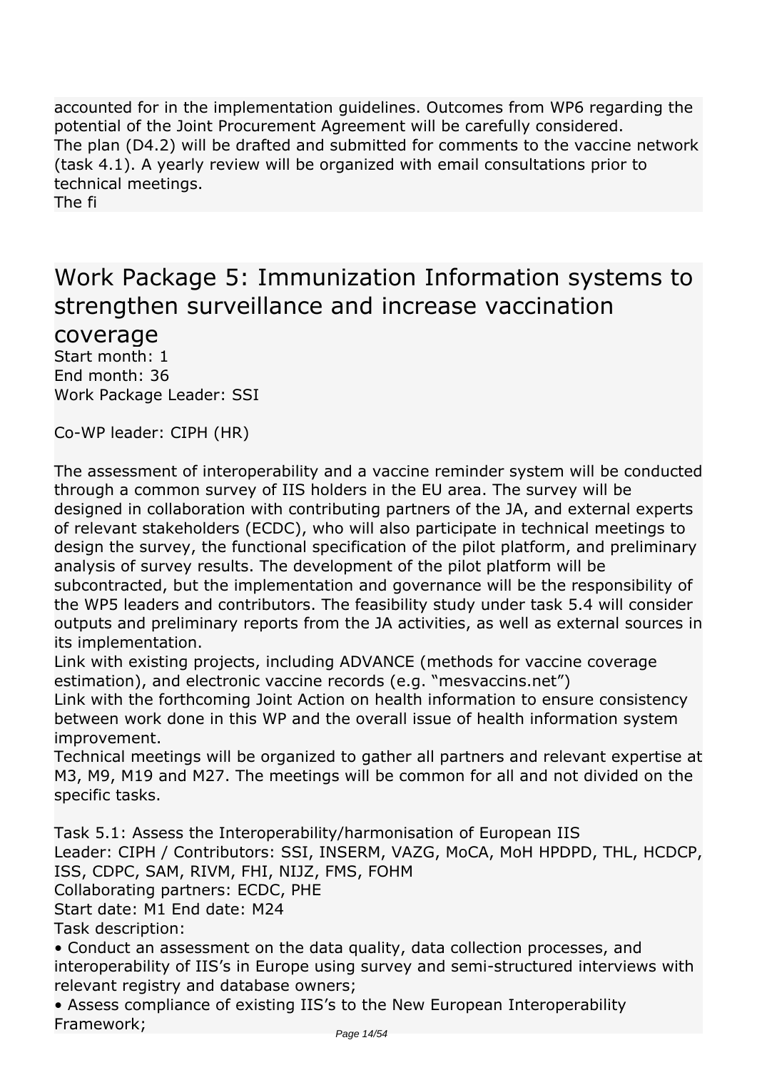*accounted for in the implementation guidelines. Outcomes from WP6 regarding the potential of the Joint Procurement Agreement will be carefully considered. The plan (D4.2) will be drafted and submitted for comments to the vaccine network (task 4.1). A yearly review will be organized with email consultations prior to technical meetings.*

*The fi* 

## *Work Package 5: Immunization Information systems to strengthen surveillance and increase vaccination*

*coverage*

*Start month: 1 End month: 36 Work Package Leader: SSI*

*Co-WP leader: CIPH (HR)*

*The assessment of interoperability and a vaccine reminder system will be conducted through a common survey of IIS holders in the EU area. The survey will be designed in collaboration with contributing partners of the JA, and external experts of relevant stakeholders (ECDC), who will also participate in technical meetings to design the survey, the functional specification of the pilot platform, and preliminary analysis of survey results. The development of the pilot platform will be subcontracted, but the implementation and governance will be the responsibility of the WP5 leaders and contributors. The feasibility study under task 5.4 will consider outputs and preliminary reports from the JA activities, as well as external sources in its implementation.*

*Link with existing projects, including ADVANCE (methods for vaccine coverage estimation), and electronic vaccine records (e.g. "mesvaccins.net")*

*Link with the forthcoming Joint Action on health information to ensure consistency between work done in this WP and the overall issue of health information system improvement.*

*Technical meetings will be organized to gather all partners and relevant expertise at M3, M9, M19 and M27. The meetings will be common for all and not divided on the specific tasks.*

*Task 5.1: Assess the Interoperability/harmonisation of European IIS Leader: CIPH / Contributors: SSI, INSERM, VAZG, MoCA, MoH HPDPD, THL, HCDCP, ISS, CDPC, SAM, RIVM, FHI, NIJZ, FMS, FOHM Collaborating partners: ECDC, PHE Start date: M1 End date: M24 Task description: • Conduct an assessment on the data quality, data collection processes, and*

*interoperability of IIS's in Europe using survey and semi-structured interviews with relevant registry and database owners;*

*• Assess compliance of existing IIS's to the New European Interoperability Framework;*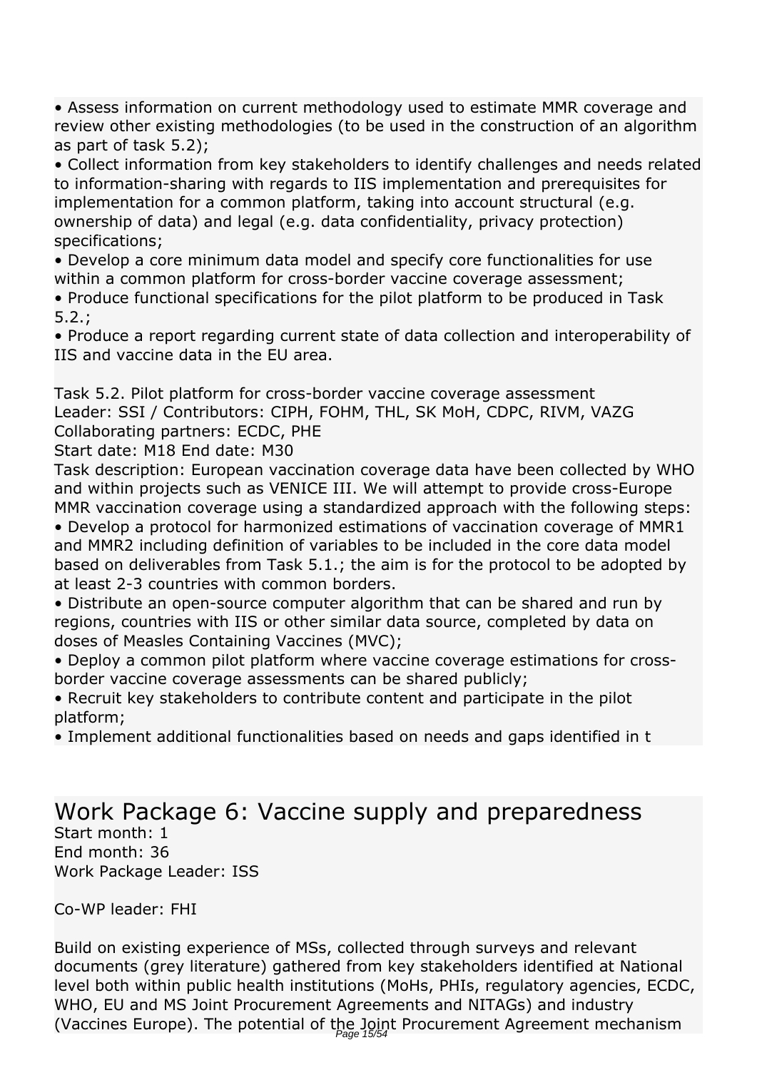*• Assess information on current methodology used to estimate MMR coverage and review other existing methodologies (to be used in the construction of an algorithm as part of task 5.2);*

*• Collect information from key stakeholders to identify challenges and needs related to information-sharing with regards to IIS implementation and prerequisites for implementation for a common platform, taking into account structural (e.g. ownership of data) and legal (e.g. data confidentiality, privacy protection) specifications;*

*• Develop a core minimum data model and specify core functionalities for use within a common platform for cross-border vaccine coverage assessment;*

*• Produce functional specifications for the pilot platform to be produced in Task 5.2.;*

*• Produce a report regarding current state of data collection and interoperability of IIS and vaccine data in the EU area.*

*Task 5.2. Pilot platform for cross-border vaccine coverage assessment Leader: SSI / Contributors: CIPH, FOHM, THL, SK MoH, CDPC, RIVM, VAZG Collaborating partners: ECDC, PHE*

*Start date: M18 End date: M30*

*Task description: European vaccination coverage data have been collected by WHO and within projects such as VENICE III. We will attempt to provide cross-Europe MMR vaccination coverage using a standardized approach with the following steps:*

*• Develop a protocol for harmonized estimations of vaccination coverage of MMR1 and MMR2 including definition of variables to be included in the core data model based on deliverables from Task 5.1.; the aim is for the protocol to be adopted by at least 2-3 countries with common borders.*

*• Distribute an open-source computer algorithm that can be shared and run by regions, countries with IIS or other similar data source, completed by data on doses of Measles Containing Vaccines (MVC);*

*• Deploy a common pilot platform where vaccine coverage estimations for crossborder vaccine coverage assessments can be shared publicly;*

*• Recruit key stakeholders to contribute content and participate in the pilot platform;*

*• Implement additional functionalities based on needs and gaps identified in t* 

### *Work Package 6: Vaccine supply and preparedness Start month: 1 End month: 36 Work Package Leader: ISS*

*Co-WP leader: FHI*

*Build on existing experience of MSs, collected through surveys and relevant documents (grey literature) gathered from key stakeholders identified at National level both within public health institutions (MoHs, PHIs, regulatory agencies, ECDC, WHO, EU and MS Joint Procurement Agreements and NITAGs) and industry (Vaccines Europe). The potential of the Joint Procurement Agreement mechanism*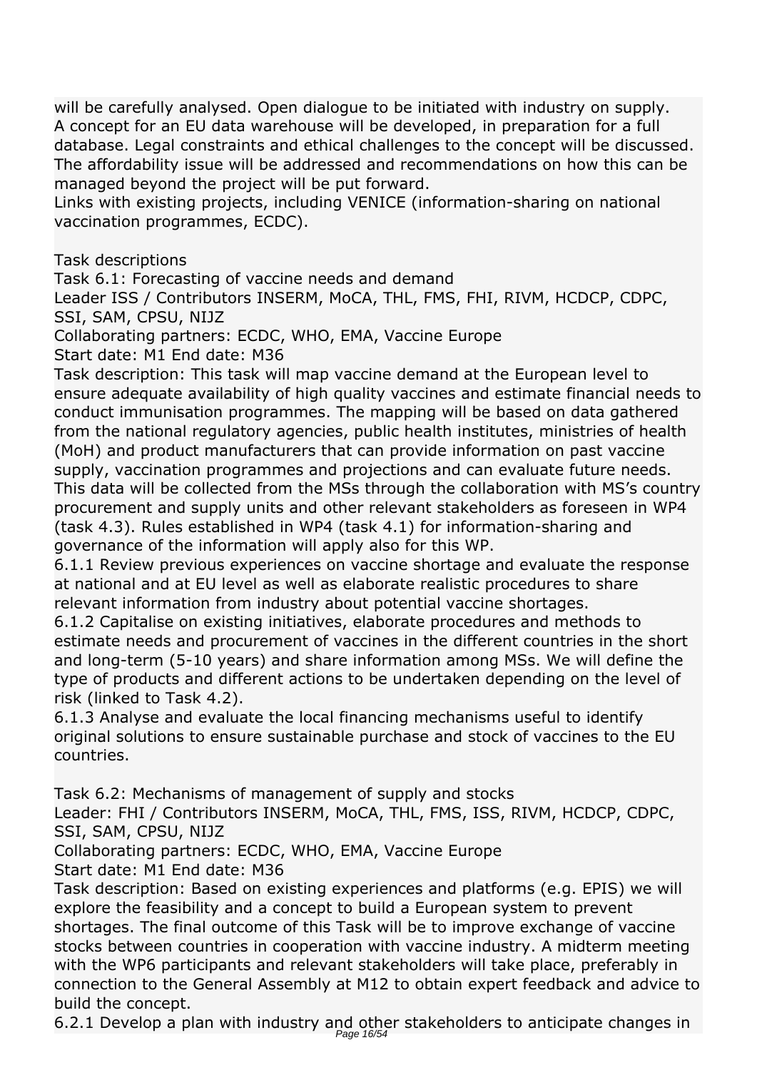*will be carefully analysed. Open dialogue to be initiated with industry on supply. A concept for an EU data warehouse will be developed, in preparation for a full database. Legal constraints and ethical challenges to the concept will be discussed. The affordability issue will be addressed and recommendations on how this can be managed beyond the project will be put forward.*

*Links with existing projects, including VENICE (information-sharing on national vaccination programmes, ECDC).*

*Task descriptions*

*Task 6.1: Forecasting of vaccine needs and demand*

*Leader ISS / Contributors INSERM, MoCA, THL, FMS, FHI, RIVM, HCDCP, CDPC, SSI, SAM, CPSU, NIJZ*

*Collaborating partners: ECDC, WHO, EMA, Vaccine Europe*

*Start date: M1 End date: M36*

*Task description: This task will map vaccine demand at the European level to ensure adequate availability of high quality vaccines and estimate financial needs to conduct immunisation programmes. The mapping will be based on data gathered from the national regulatory agencies, public health institutes, ministries of health (MoH) and product manufacturers that can provide information on past vaccine supply, vaccination programmes and projections and can evaluate future needs. This data will be collected from the MSs through the collaboration with MS's country procurement and supply units and other relevant stakeholders as foreseen in WP4 (task 4.3). Rules established in WP4 (task 4.1) for information-sharing and governance of the information will apply also for this WP.*

*6.1.1 Review previous experiences on vaccine shortage and evaluate the response at national and at EU level as well as elaborate realistic procedures to share relevant information from industry about potential vaccine shortages.*

*6.1.2 Capitalise on existing initiatives, elaborate procedures and methods to estimate needs and procurement of vaccines in the different countries in the short and long-term (5-10 years) and share information among MSs. We will define the type of products and different actions to be undertaken depending on the level of risk (linked to Task 4.2).*

*6.1.3 Analyse and evaluate the local financing mechanisms useful to identify original solutions to ensure sustainable purchase and stock of vaccines to the EU countries.*

*Task 6.2: Mechanisms of management of supply and stocks*

*Leader: FHI / Contributors INSERM, MoCA, THL, FMS, ISS, RIVM, HCDCP, CDPC, SSI, SAM, CPSU, NIJZ*

*Collaborating partners: ECDC, WHO, EMA, Vaccine Europe Start date: M1 End date: M36*

*Task description: Based on existing experiences and platforms (e.g. EPIS) we will explore the feasibility and a concept to build a European system to prevent shortages. The final outcome of this Task will be to improve exchange of vaccine stocks between countries in cooperation with vaccine industry. A midterm meeting with the WP6 participants and relevant stakeholders will take place, preferably in connection to the General Assembly at M12 to obtain expert feedback and advice to build the concept.*

*6.2.1 Develop a plan with industry and other stakeholders to anticipate changes in* Page 16/54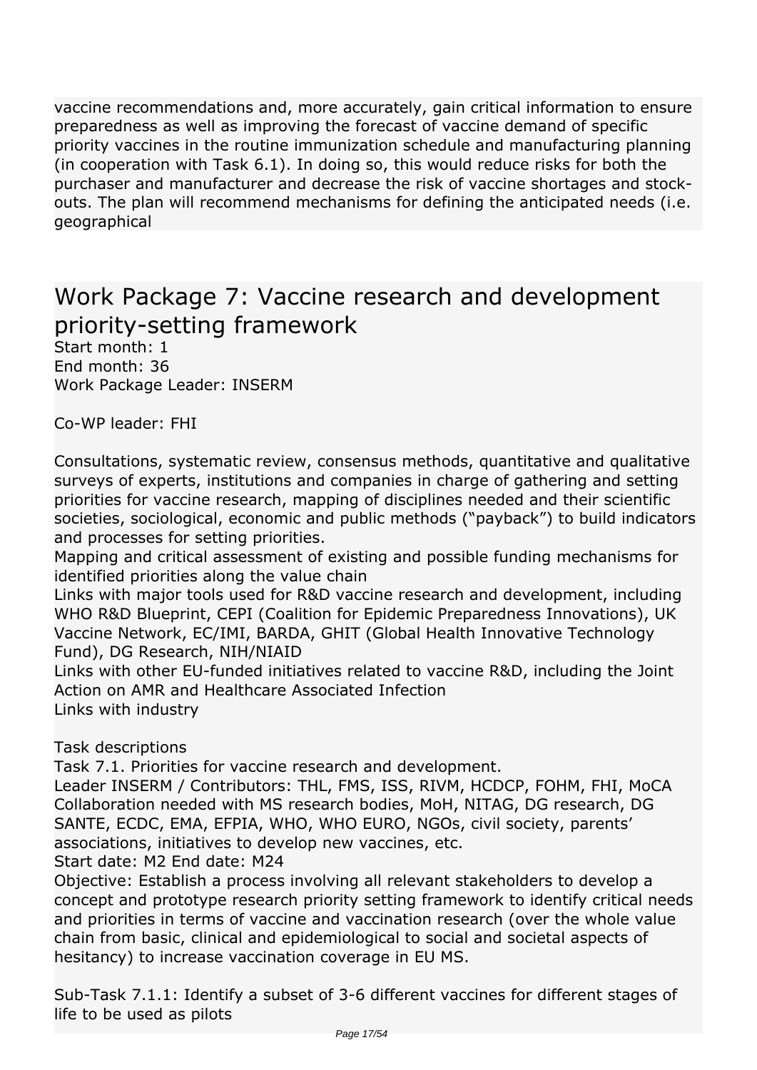*vaccine recommendations and, more accurately, gain critical information to ensure preparedness as well as improving the forecast of vaccine demand of specific priority vaccines in the routine immunization schedule and manufacturing planning (in cooperation with Task 6.1). In doing so, this would reduce risks for both the purchaser and manufacturer and decrease the risk of vaccine shortages and stockouts. The plan will recommend mechanisms for defining the anticipated needs (i.e. geographical* 

## *Work Package 7: Vaccine research and development priority-setting framework*

*Start month: 1 End month: 36 Work Package Leader: INSERM*

*Co-WP leader: FHI*

*Consultations, systematic review, consensus methods, quantitative and qualitative surveys of experts, institutions and companies in charge of gathering and setting priorities for vaccine research, mapping of disciplines needed and their scientific societies, sociological, economic and public methods ("payback") to build indicators and processes for setting priorities.*

*Mapping and critical assessment of existing and possible funding mechanisms for identified priorities along the value chain*

*Links with major tools used for R&D vaccine research and development, including WHO R&D Blueprint, CEPI (Coalition for Epidemic Preparedness Innovations), UK Vaccine Network, EC/IMI, BARDA, GHIT (Global Health Innovative Technology Fund), DG Research, NIH/NIAID*

*Links with other EU-funded initiatives related to vaccine R&D, including the Joint Action on AMR and Healthcare Associated Infection Links with industry*

*Task descriptions*

*Task 7.1. Priorities for vaccine research and development.*

*Leader INSERM / Contributors: THL, FMS, ISS, RIVM, HCDCP, FOHM, FHI, MoCA Collaboration needed with MS research bodies, MoH, NITAG, DG research, DG SANTE, ECDC, EMA, EFPIA, WHO, WHO EURO, NGOs, civil society, parents' associations, initiatives to develop new vaccines, etc.*

*Start date: M2 End date: M24*

*Objective: Establish a process involving all relevant stakeholders to develop a concept and prototype research priority setting framework to identify critical needs and priorities in terms of vaccine and vaccination research (over the whole value chain from basic, clinical and epidemiological to social and societal aspects of hesitancy) to increase vaccination coverage in EU MS.*

*Sub-Task 7.1.1: Identify a subset of 3-6 different vaccines for different stages of life to be used as pilots*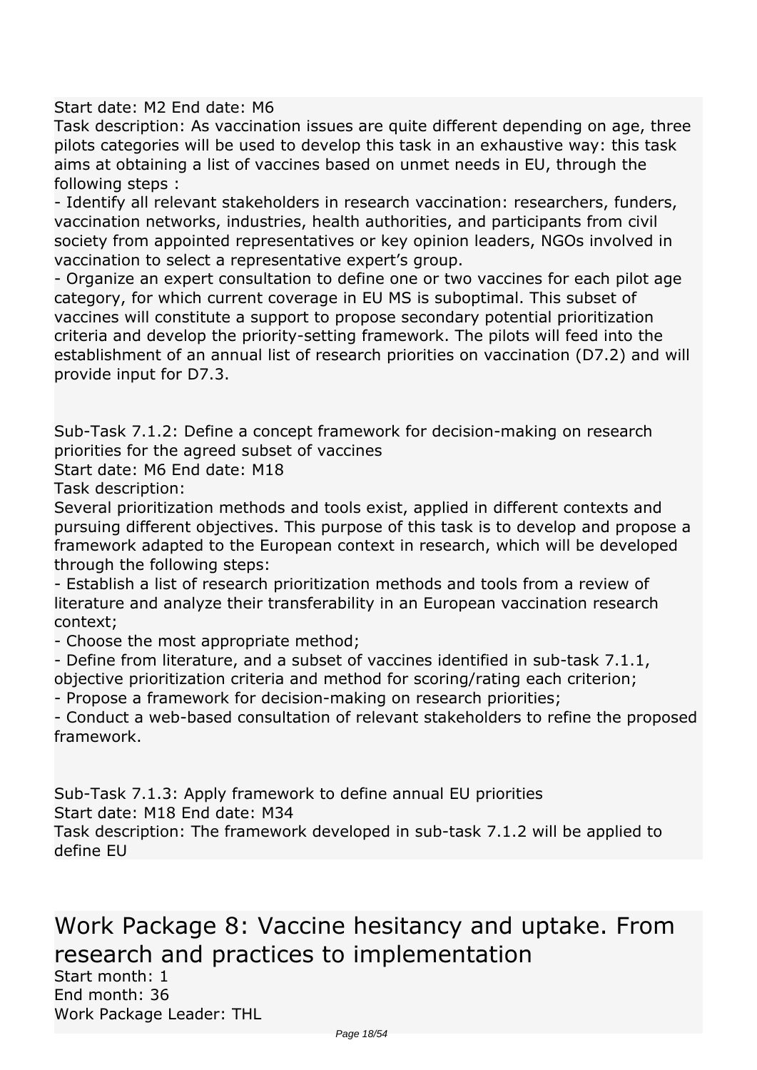*Start date: M2 End date: M6*

*Task description: As vaccination issues are quite different depending on age, three pilots categories will be used to develop this task in an exhaustive way: this task aims at obtaining a list of vaccines based on unmet needs in EU, through the following steps :*

*- Identify all relevant stakeholders in research vaccination: researchers, funders, vaccination networks, industries, health authorities, and participants from civil society from appointed representatives or key opinion leaders, NGOs involved in vaccination to select a representative expert's group.*

*- Organize an expert consultation to define one or two vaccines for each pilot age category, for which current coverage in EU MS is suboptimal. This subset of vaccines will constitute a support to propose secondary potential prioritization criteria and develop the priority-setting framework. The pilots will feed into the establishment of an annual list of research priorities on vaccination (D7.2) and will provide input for D7.3.*

*Sub-Task 7.1.2: Define a concept framework for decision-making on research priorities for the agreed subset of vaccines*

*Start date: M6 End date: M18*

*Task description:*

*Several prioritization methods and tools exist, applied in different contexts and pursuing different objectives. This purpose of this task is to develop and propose a framework adapted to the European context in research, which will be developed through the following steps:*

*- Establish a list of research prioritization methods and tools from a review of literature and analyze their transferability in an European vaccination research context;*

*- Choose the most appropriate method;*

*- Define from literature, and a subset of vaccines identified in sub-task 7.1.1, objective prioritization criteria and method for scoring/rating each criterion;*

*- Propose a framework for decision-making on research priorities;*

*- Conduct a web-based consultation of relevant stakeholders to refine the proposed framework.*

*Sub-Task 7.1.3: Apply framework to define annual EU priorities Start date: M18 End date: M34*

*Task description: The framework developed in sub-task 7.1.2 will be applied to define EU* 

*Work Package 8: Vaccine hesitancy and uptake. From research and practices to implementation*

*Start month: 1 End month: 36 Work Package Leader: THL*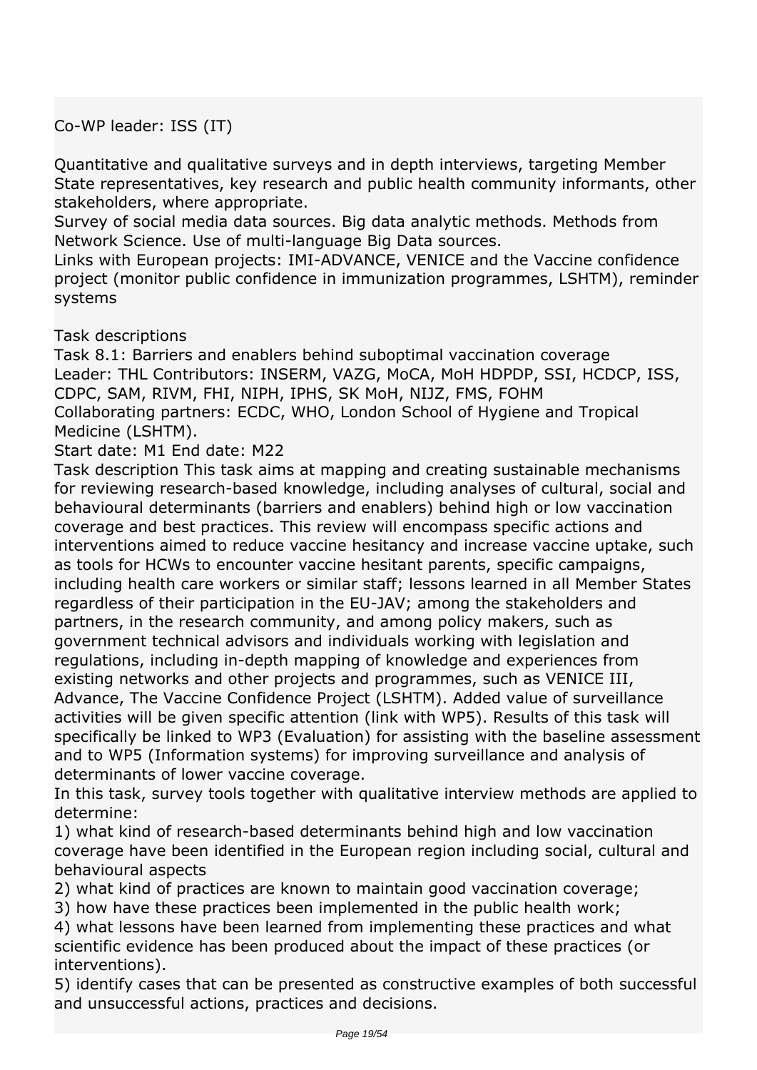*Co-WP leader: ISS (IT)*

*Quantitative and qualitative surveys and in depth interviews, targeting Member State representatives, key research and public health community informants, other stakeholders, where appropriate.*

*Survey of social media data sources. Big data analytic methods. Methods from Network Science. Use of multi-language Big Data sources.*

*Links with European projects: IMI-ADVANCE, VENICE and the Vaccine confidence project (monitor public confidence in immunization programmes, LSHTM), reminder systems*

*Task descriptions*

*Task 8.1: Barriers and enablers behind suboptimal vaccination coverage Leader: THL Contributors: INSERM, VAZG, MoCA, MoH HDPDP, SSI, HCDCP, ISS, CDPC, SAM, RIVM, FHI, NIPH, IPHS, SK MoH, NIJZ, FMS, FOHM Collaborating partners: ECDC, WHO, London School of Hygiene and Tropical Medicine (LSHTM).*

*Start date: M1 End date: M22*

*Task description This task aims at mapping and creating sustainable mechanisms for reviewing research-based knowledge, including analyses of cultural, social and behavioural determinants (barriers and enablers) behind high or low vaccination coverage and best practices. This review will encompass specific actions and interventions aimed to reduce vaccine hesitancy and increase vaccine uptake, such as tools for HCWs to encounter vaccine hesitant parents, specific campaigns, including health care workers or similar staff; lessons learned in all Member States regardless of their participation in the EU-JAV; among the stakeholders and partners, in the research community, and among policy makers, such as government technical advisors and individuals working with legislation and regulations, including in-depth mapping of knowledge and experiences from existing networks and other projects and programmes, such as VENICE III, Advance, The Vaccine Confidence Project (LSHTM). Added value of surveillance activities will be given specific attention (link with WP5). Results of this task will specifically be linked to WP3 (Evaluation) for assisting with the baseline assessment and to WP5 (Information systems) for improving surveillance and analysis of determinants of lower vaccine coverage.*

*In this task, survey tools together with qualitative interview methods are applied to determine:*

*1) what kind of research-based determinants behind high and low vaccination coverage have been identified in the European region including social, cultural and behavioural aspects*

*2) what kind of practices are known to maintain good vaccination coverage;*

*3) how have these practices been implemented in the public health work;*

*4) what lessons have been learned from implementing these practices and what scientific evidence has been produced about the impact of these practices (or interventions).*

*5) identify cases that can be presented as constructive examples of both successful and unsuccessful actions, practices and decisions.*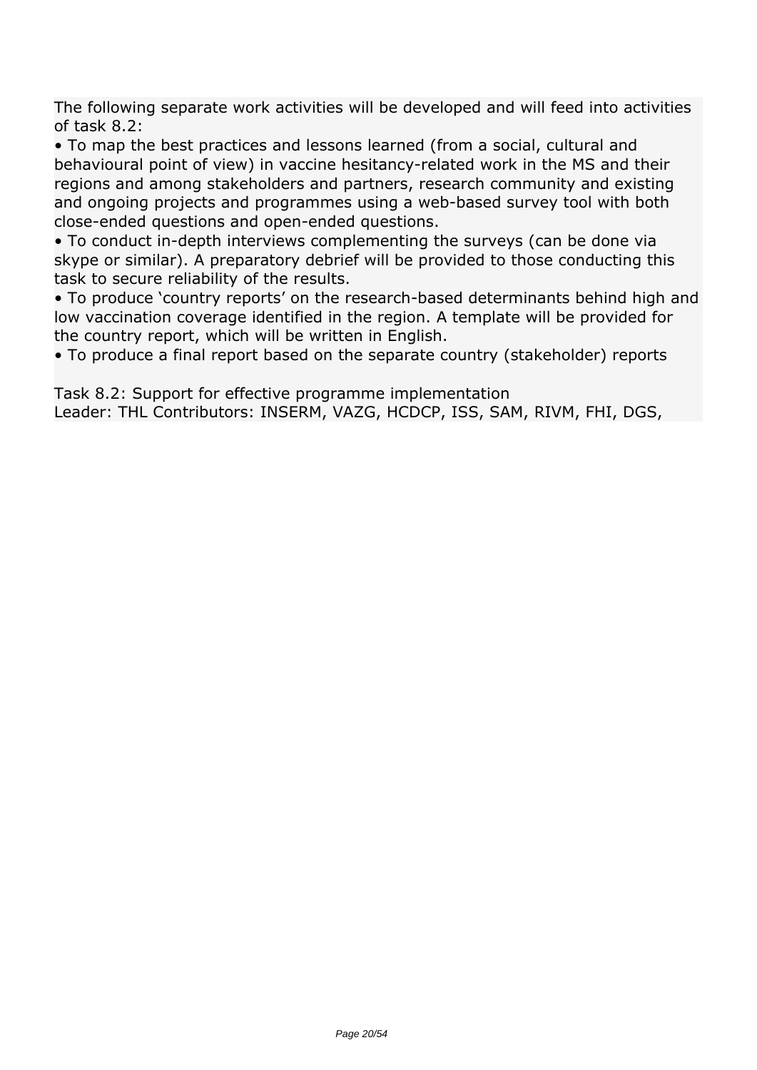*The following separate work activities will be developed and will feed into activities of task 8.2:*

*• To map the best practices and lessons learned (from a social, cultural and behavioural point of view) in vaccine hesitancy-related work in the MS and their regions and among stakeholders and partners, research community and existing and ongoing projects and programmes using a web-based survey tool with both close-ended questions and open-ended questions.*

*• To conduct in-depth interviews complementing the surveys (can be done via skype or similar). A preparatory debrief will be provided to those conducting this task to secure reliability of the results.*

*• To produce 'country reports' on the research-based determinants behind high and low vaccination coverage identified in the region. A template will be provided for the country report, which will be written in English.*

*• To produce a final report based on the separate country (stakeholder) reports*

*Task 8.2: Support for effective programme implementation Leader: THL Contributors: INSERM, VAZG, HCDCP, ISS, SAM, RIVM, FHI, DGS,*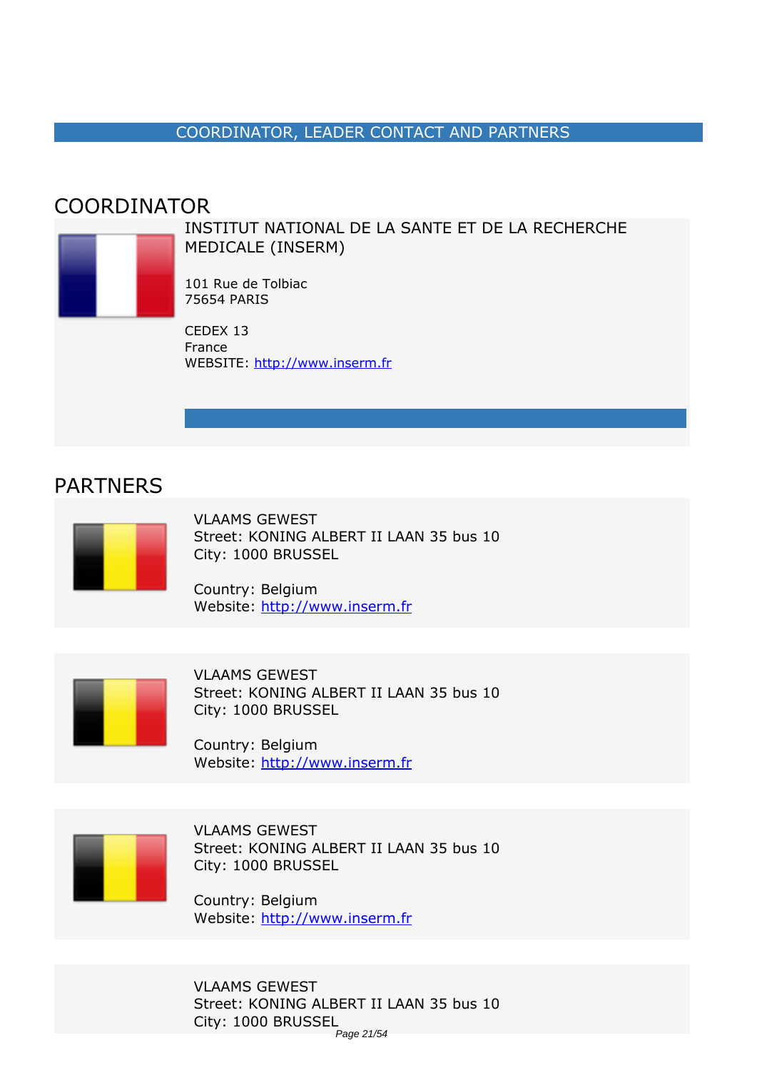#### *COORDINATOR, LEADER CONTACT AND PARTNERS*

### <span id="page-20-0"></span>*COORDINATOR*



*INSTITUT NATIONAL DE LA SANTE ET DE LA RECHERCHE MEDICALE (INSERM)*

*101 Rue de Tolbiac 75654 PARIS*

*CEDEX 13 France WEBSITE:* <http://www.inserm.fr>

### *PARTNERS*



*VLAAMS GEWEST Street: KONING ALBERT II LAAN 35 bus 10 City: 1000 BRUSSEL*

*Country: Belgium Website:* http://www.inserm.fr



*VLAAMS GEWEST Street: KONING ALBERT II LAAN 35 bus 10 City: 1000 BRUSSEL*

*Country: Belgium Website:* http://www.inserm.fr



*VLAAMS GEWEST Street: KONING ALBERT II LAAN 35 bus 10 City: 1000 BRUSSEL*

*Country: Belgium Website:* http://www.inserm.fr

*VLAAMS GEWEST Street: KONING ALBERT II LAAN 35 bus 10 City: 1000 BRUSSEL* Page 21/54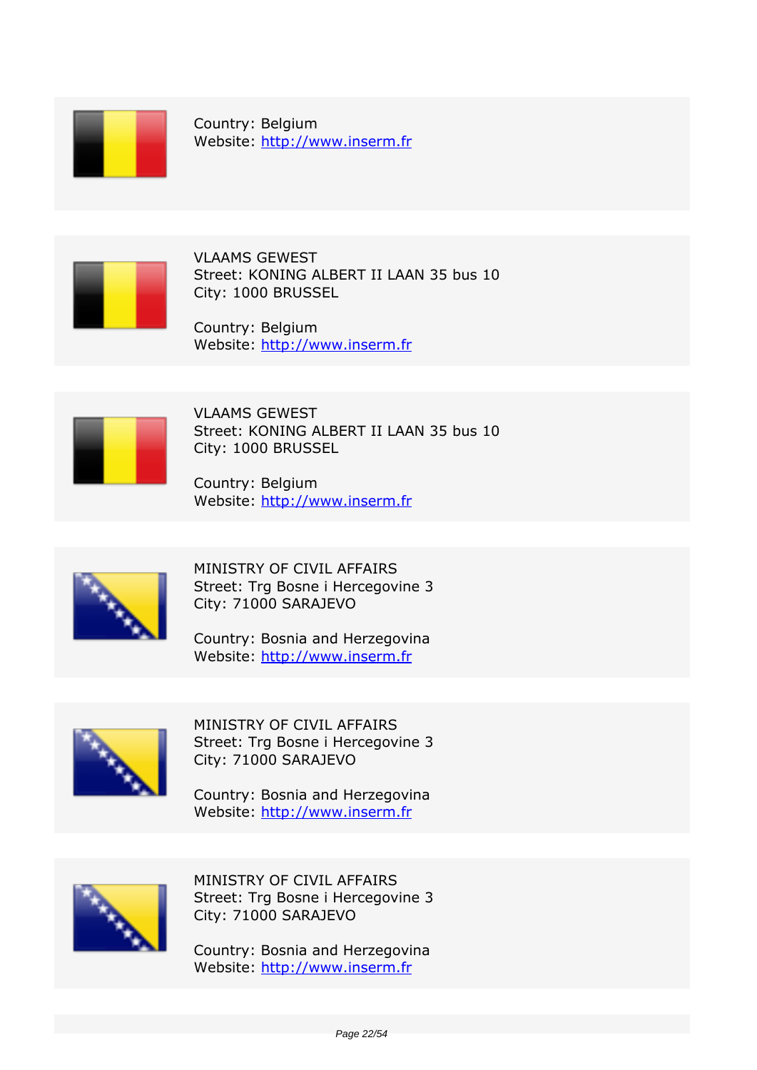

*Country: Belgium Website:* http://www.inserm.fr



*VLAAMS GEWEST Street: KONING ALBERT II LAAN 35 bus 10 City: 1000 BRUSSEL*

*Country: Belgium Website:* http://www.inserm.fr



*VLAAMS GEWEST Street: KONING ALBERT II LAAN 35 bus 10 City: 1000 BRUSSEL*

*Country: Belgium Website:* http://www.inserm.fr



*MINISTRY OF CIVIL AFFAIRS Street: Trg Bosne i Hercegovine 3 City: 71000 SARAJEVO*

*Country: Bosnia and Herzegovina Website:* http://www.inserm.fr



*MINISTRY OF CIVIL AFFAIRS Street: Trg Bosne i Hercegovine 3 City: 71000 SARAJEVO*

*Country: Bosnia and Herzegovina Website:* http://www.inserm.fr



*MINISTRY OF CIVIL AFFAIRS Street: Trg Bosne i Hercegovine 3 City: 71000 SARAJEVO*

*Country: Bosnia and Herzegovina Website:* http://www.inserm.fr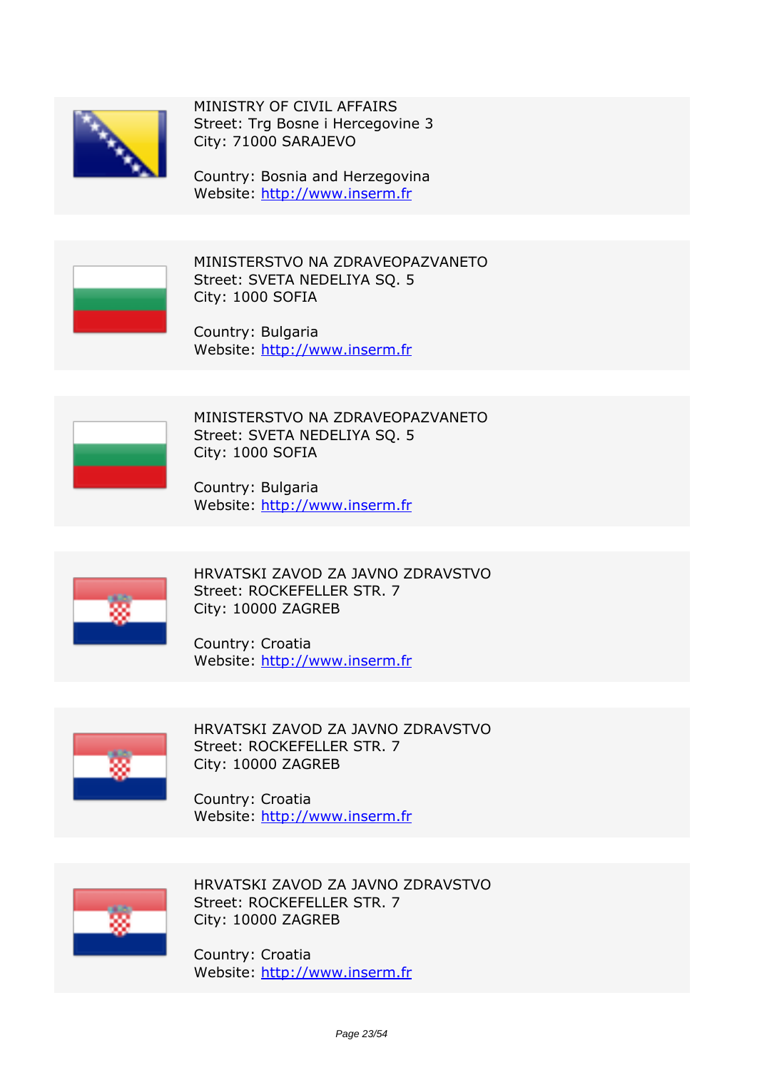

*MINISTRY OF CIVIL AFFAIRS Street: Trg Bosne i Hercegovine 3 City: 71000 SARAJEVO*

*Country: Bosnia and Herzegovina Website:* http://www.inserm.fr



*MINISTERSTVO NA ZDRAVEOPAZVANETO Street: SVETA NEDELIYA SQ. 5 City: 1000 SOFIA*

*Country: Bulgaria Website:* http://www.inserm.fr



*MINISTERSTVO NA ZDRAVEOPAZVANETO Street: SVETA NEDELIYA SQ. 5 City: 1000 SOFIA*

*Country: Bulgaria Website:* http://www.inserm.fr



*HRVATSKI ZAVOD ZA JAVNO ZDRAVSTVO Street: ROCKEFELLER STR. 7 City: 10000 ZAGREB*

*Country: Croatia Website:* http://www.inserm.fr



*HRVATSKI ZAVOD ZA JAVNO ZDRAVSTVO Street: ROCKEFELLER STR. 7 City: 10000 ZAGREB*

*Country: Croatia Website:* http://www.inserm.fr



*HRVATSKI ZAVOD ZA JAVNO ZDRAVSTVO Street: ROCKEFELLER STR. 7 City: 10000 ZAGREB*

*Country: Croatia Website:* http://www.inserm.fr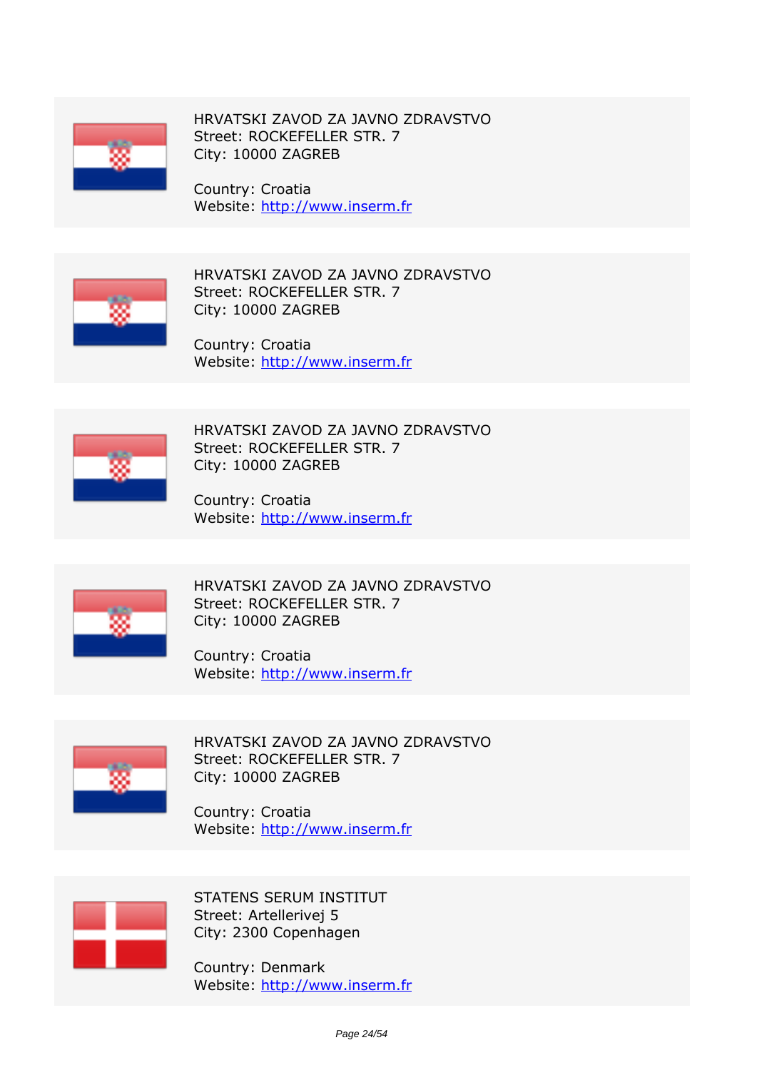

*HRVATSKI ZAVOD ZA JAVNO ZDRAVSTVO Street: ROCKEFELLER STR. 7 City: 10000 ZAGREB*

*Country: Croatia Website:* http://www.inserm.fr



*HRVATSKI ZAVOD ZA JAVNO ZDRAVSTVO Street: ROCKEFELLER STR. 7 City: 10000 ZAGREB*

*Country: Croatia Website:* http://www.inserm.fr



*HRVATSKI ZAVOD ZA JAVNO ZDRAVSTVO Street: ROCKEFELLER STR. 7 City: 10000 ZAGREB*

*Country: Croatia Website:* http://www.inserm.fr



*HRVATSKI ZAVOD ZA JAVNO ZDRAVSTVO Street: ROCKEFELLER STR. 7 City: 10000 ZAGREB*

*Country: Croatia Website:* http://www.inserm.fr



*HRVATSKI ZAVOD ZA JAVNO ZDRAVSTVO Street: ROCKEFELLER STR. 7 City: 10000 ZAGREB*

*Country: Croatia Website:* http://www.inserm.fr



*STATENS SERUM INSTITUT Street: Artellerivej 5 City: 2300 Copenhagen*

*Country: Denmark Website:* http://www.inserm.fr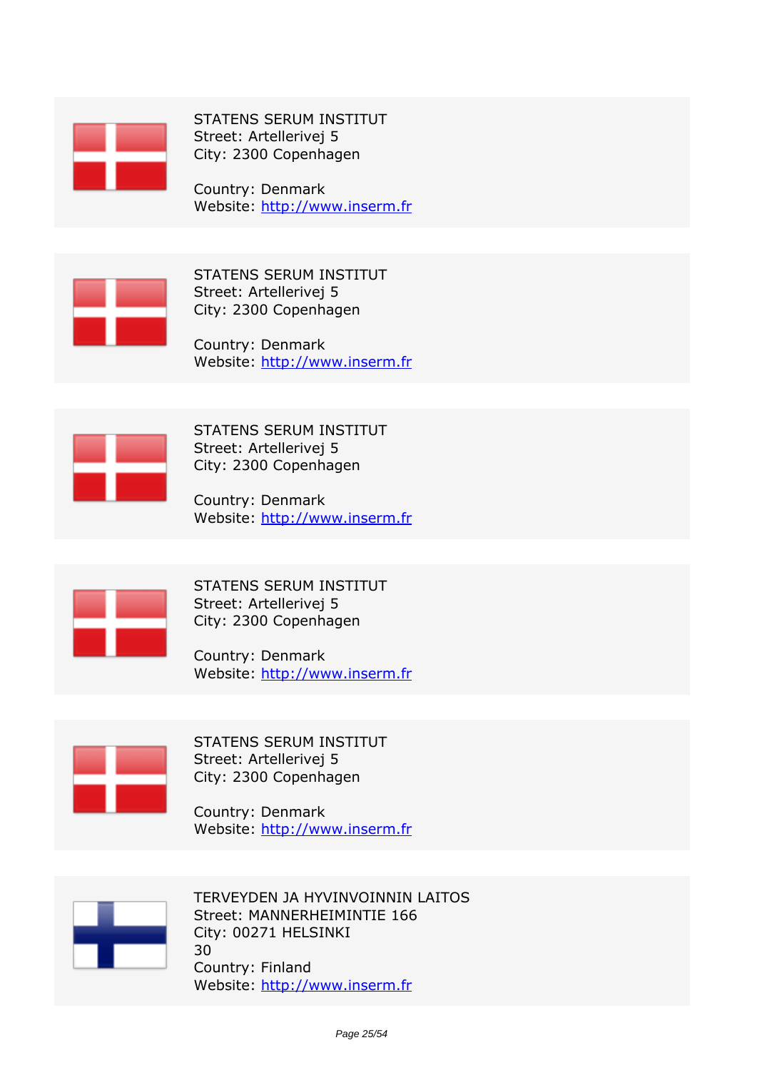

*STATENS SERUM INSTITUT Street: Artellerivej 5 City: 2300 Copenhagen*

*Country: Denmark Website:* http://www.inserm.fr



*STATENS SERUM INSTITUT Street: Artellerivej 5 City: 2300 Copenhagen*

*Country: Denmark Website:* http://www.inserm.fr



*STATENS SERUM INSTITUT Street: Artellerivej 5 City: 2300 Copenhagen*

*Country: Denmark Website:* http://www.inserm.fr



*STATENS SERUM INSTITUT Street: Artellerivej 5 City: 2300 Copenhagen*

*Country: Denmark Website:* http://www.inserm.fr



*STATENS SERUM INSTITUT Street: Artellerivej 5 City: 2300 Copenhagen*

*Country: Denmark Website:* http://www.inserm.fr



*TERVEYDEN JA HYVINVOINNIN LAITOS Street: MANNERHEIMINTIE 166 City: 00271 HELSINKI 30 Country: Finland Website:* http://www.inserm.fr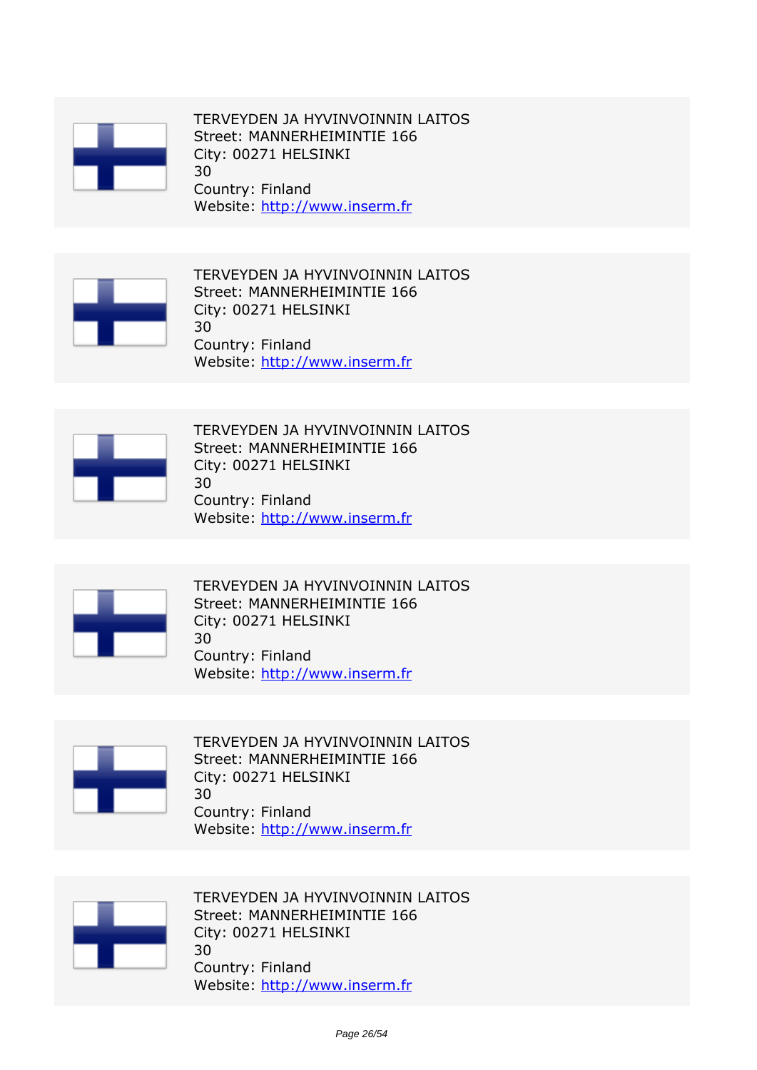

*TERVEYDEN JA HYVINVOINNIN LAITOS Street: MANNERHEIMINTIE 166 City: 00271 HELSINKI 30 Country: Finland Website:* http://www.inserm.fr



*TERVEYDEN JA HYVINVOINNIN LAITOS Street: MANNERHEIMINTIE 166 City: 00271 HELSINKI 30 Country: Finland Website:* http://www.inserm.fr



*TERVEYDEN JA HYVINVOINNIN LAITOS Street: MANNERHEIMINTIE 166 City: 00271 HELSINKI 30 Country: Finland Website:* http://www.inserm.fr



*TERVEYDEN JA HYVINVOINNIN LAITOS Street: MANNERHEIMINTIE 166 City: 00271 HELSINKI 30 Country: Finland Website:* http://www.inserm.fr



*TERVEYDEN JA HYVINVOINNIN LAITOS Street: MANNERHEIMINTIE 166 City: 00271 HELSINKI 30 Country: Finland Website:* http://www.inserm.fr



*TERVEYDEN JA HYVINVOINNIN LAITOS Street: MANNERHEIMINTIE 166 City: 00271 HELSINKI 30 Country: Finland Website:* http://www.inserm.fr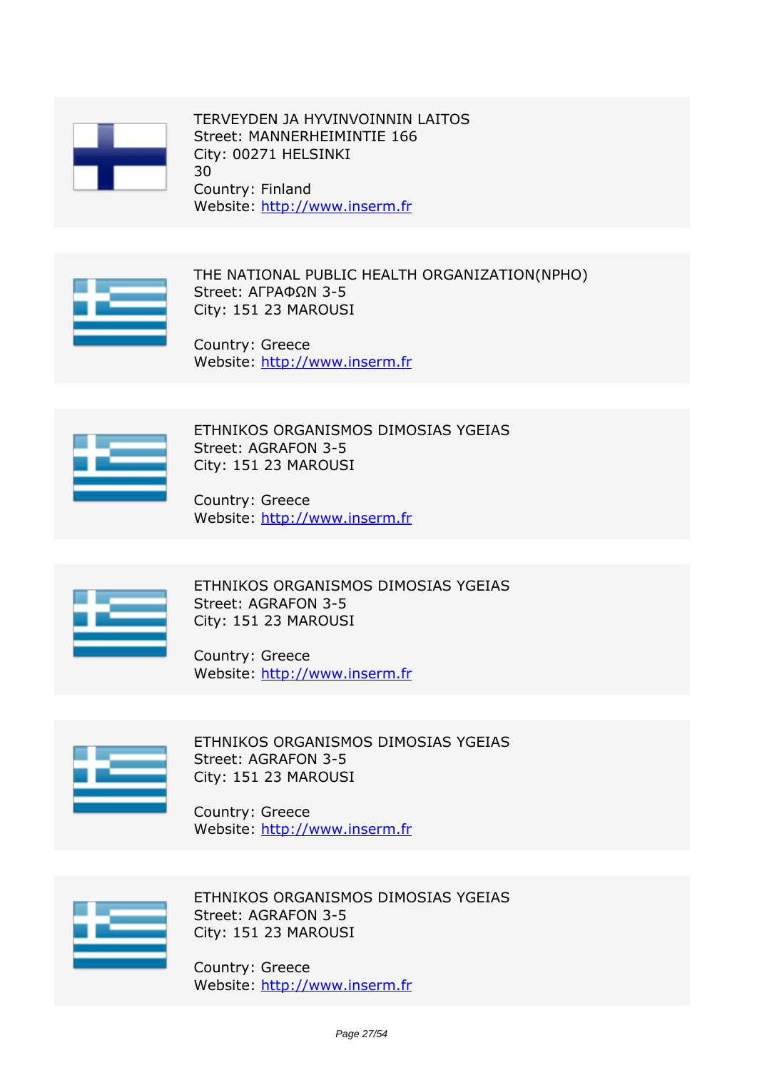

*TERVEYDEN JA HYVINVOINNIN LAITOS Street: MANNERHEIMINTIE 166 City: 00271 HELSINKI 30 Country: Finland Website:* http://www.inserm.fr



*THE NATIONAL PUBLIC HEALTH ORGANIZATION(NPHO) Street: ΑΓΡΑΦΩΝ 3-5 City: 151 23 MAROUSI*

*Country: Greece Website:* http://www.inserm.fr



*ETHNIKOS ORGANISMOS DIMOSIAS YGEIAS Street: AGRAFON 3-5 City: 151 23 MAROUSI*

*Country: Greece Website:* http://www.inserm.fr



*ETHNIKOS ORGANISMOS DIMOSIAS YGEIAS Street: AGRAFON 3-5 City: 151 23 MAROUSI*

*Country: Greece Website:* http://www.inserm.fr



*ETHNIKOS ORGANISMOS DIMOSIAS YGEIAS Street: AGRAFON 3-5 City: 151 23 MAROUSI*

*Country: Greece Website:* http://www.inserm.fr



*ETHNIKOS ORGANISMOS DIMOSIAS YGEIAS Street: AGRAFON 3-5 City: 151 23 MAROUSI*

*Country: Greece Website:* http://www.inserm.fr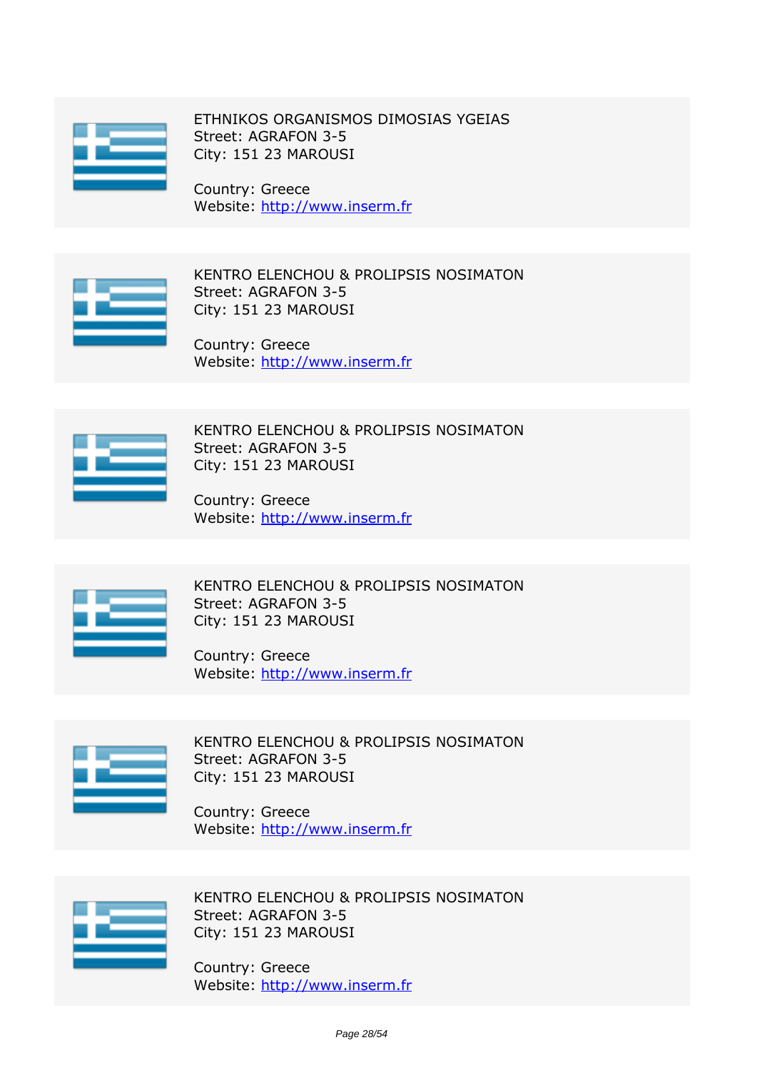

*ETHNIKOS ORGANISMOS DIMOSIAS YGEIAS Street: AGRAFON 3-5 City: 151 23 MAROUSI*

*Country: Greece Website:* http://www.inserm.fr



*KENTRO ELENCHOU & PROLIPSIS NOSIMATON Street: AGRAFON 3-5 City: 151 23 MAROUSI*

*Country: Greece Website:* http://www.inserm.fr



*KENTRO ELENCHOU & PROLIPSIS NOSIMATON Street: AGRAFON 3-5 City: 151 23 MAROUSI*

*Country: Greece Website:* http://www.inserm.fr



*KENTRO ELENCHOU & PROLIPSIS NOSIMATON Street: AGRAFON 3-5 City: 151 23 MAROUSI*

*Country: Greece Website:* http://www.inserm.fr



*KENTRO ELENCHOU & PROLIPSIS NOSIMATON Street: AGRAFON 3-5 City: 151 23 MAROUSI*

*Country: Greece Website:* http://www.inserm.fr



*KENTRO ELENCHOU & PROLIPSIS NOSIMATON Street: AGRAFON 3-5 City: 151 23 MAROUSI*

*Country: Greece Website:* http://www.inserm.fr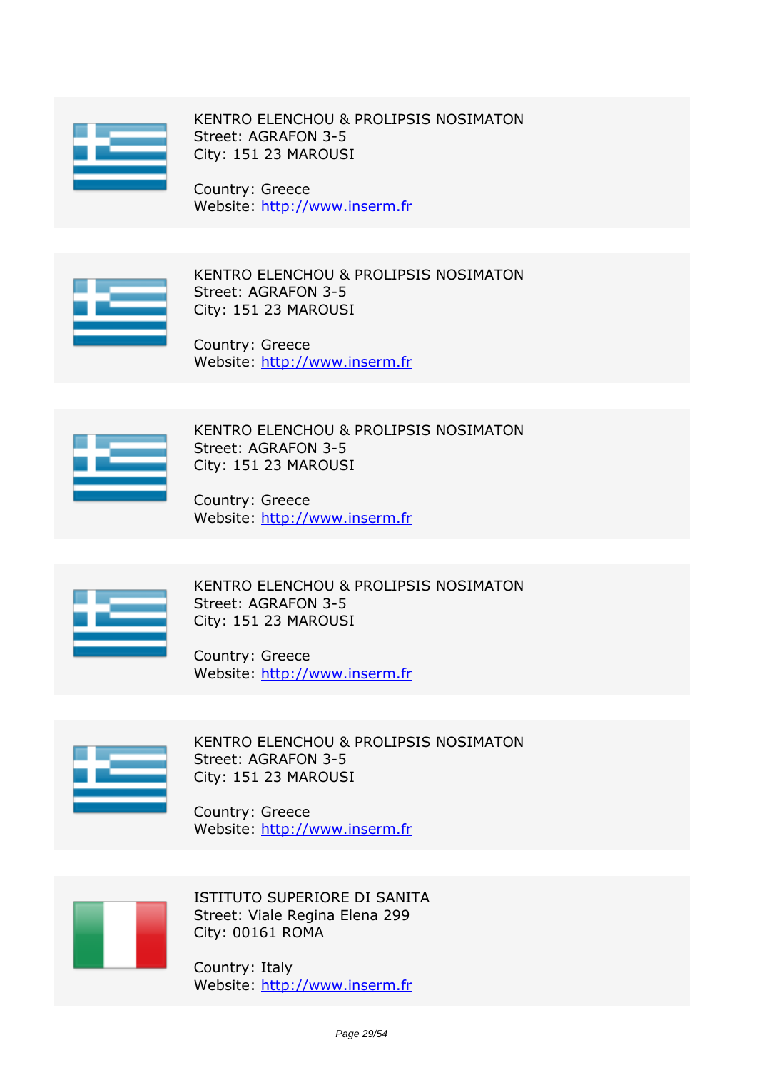

*KENTRO ELENCHOU & PROLIPSIS NOSIMATON Street: AGRAFON 3-5 City: 151 23 MAROUSI*

*Country: Greece Website:* http://www.inserm.fr



*KENTRO ELENCHOU & PROLIPSIS NOSIMATON Street: AGRAFON 3-5 City: 151 23 MAROUSI*

*Country: Greece Website:* http://www.inserm.fr



*KENTRO ELENCHOU & PROLIPSIS NOSIMATON Street: AGRAFON 3-5 City: 151 23 MAROUSI*

*Country: Greece Website:* http://www.inserm.fr



*KENTRO ELENCHOU & PROLIPSIS NOSIMATON Street: AGRAFON 3-5 City: 151 23 MAROUSI*

*Country: Greece Website:* http://www.inserm.fr



*KENTRO ELENCHOU & PROLIPSIS NOSIMATON Street: AGRAFON 3-5 City: 151 23 MAROUSI*

*Country: Greece Website:* http://www.inserm.fr



*ISTITUTO SUPERIORE DI SANITA Street: Viale Regina Elena 299 City: 00161 ROMA*

*Country: Italy Website:* http://www.inserm.fr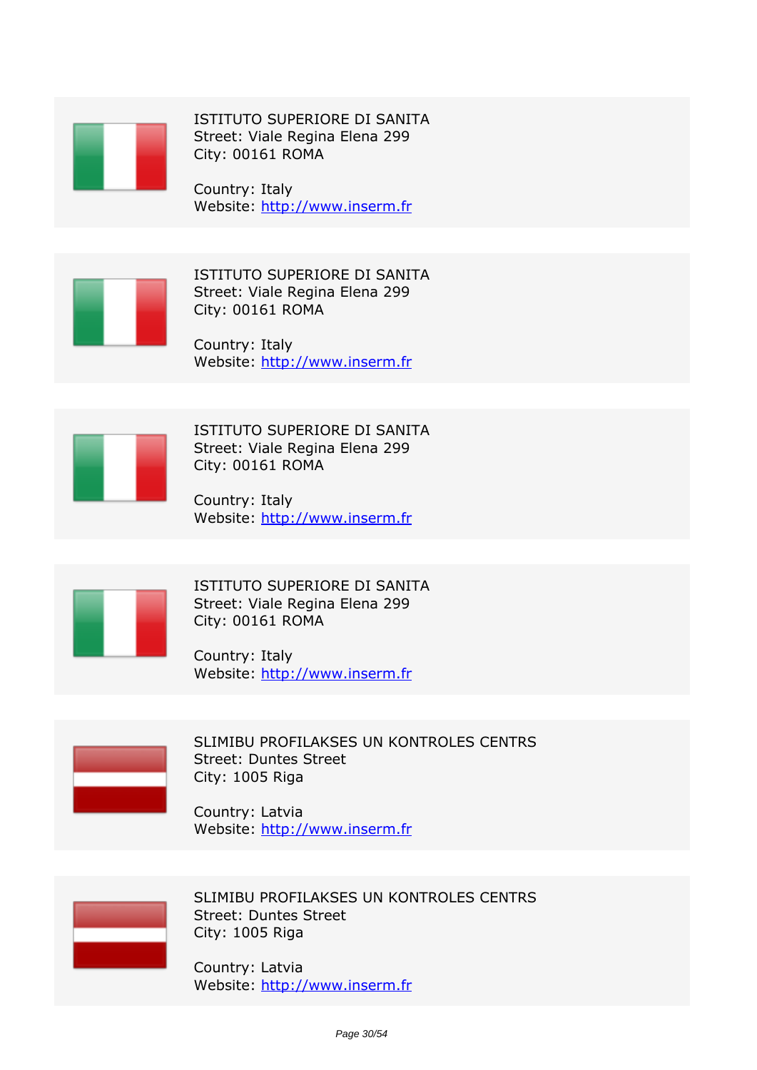

*ISTITUTO SUPERIORE DI SANITA Street: Viale Regina Elena 299 City: 00161 ROMA*

*Country: Italy Website:* http://www.inserm.fr



*ISTITUTO SUPERIORE DI SANITA Street: Viale Regina Elena 299 City: 00161 ROMA*

*Country: Italy Website:* http://www.inserm.fr



*ISTITUTO SUPERIORE DI SANITA Street: Viale Regina Elena 299 City: 00161 ROMA*

*Country: Italy Website:* http://www.inserm.fr



*ISTITUTO SUPERIORE DI SANITA Street: Viale Regina Elena 299 City: 00161 ROMA*

*Country: Italy Website:* http://www.inserm.fr



*SLIMIBU PROFILAKSES UN KONTROLES CENTRS Street: Duntes Street City: 1005 Riga*

*Country: Latvia Website:* http://www.inserm.fr



*SLIMIBU PROFILAKSES UN KONTROLES CENTRS Street: Duntes Street City: 1005 Riga*

*Country: Latvia Website:* http://www.inserm.fr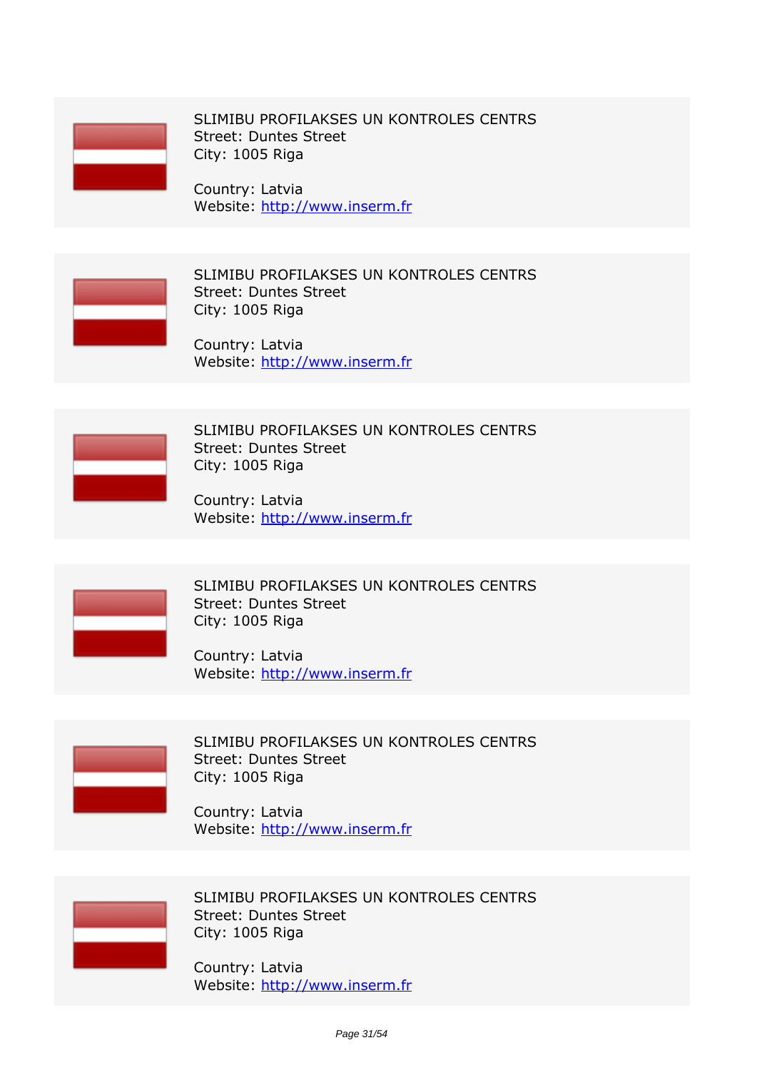

*SLIMIBU PROFILAKSES UN KONTROLES CENTRS Street: Duntes Street City: 1005 Riga*

*Country: Latvia Website:* http://www.inserm.fr



*SLIMIBU PROFILAKSES UN KONTROLES CENTRS Street: Duntes Street City: 1005 Riga*

*Country: Latvia Website:* http://www.inserm.fr



*SLIMIBU PROFILAKSES UN KONTROLES CENTRS Street: Duntes Street City: 1005 Riga*

*Country: Latvia Website:* http://www.inserm.fr



*SLIMIBU PROFILAKSES UN KONTROLES CENTRS Street: Duntes Street City: 1005 Riga*

*Country: Latvia Website:* http://www.inserm.fr



*SLIMIBU PROFILAKSES UN KONTROLES CENTRS Street: Duntes Street City: 1005 Riga*

*Country: Latvia Website:* http://www.inserm.fr



*SLIMIBU PROFILAKSES UN KONTROLES CENTRS Street: Duntes Street City: 1005 Riga*

*Country: Latvia Website:* http://www.inserm.fr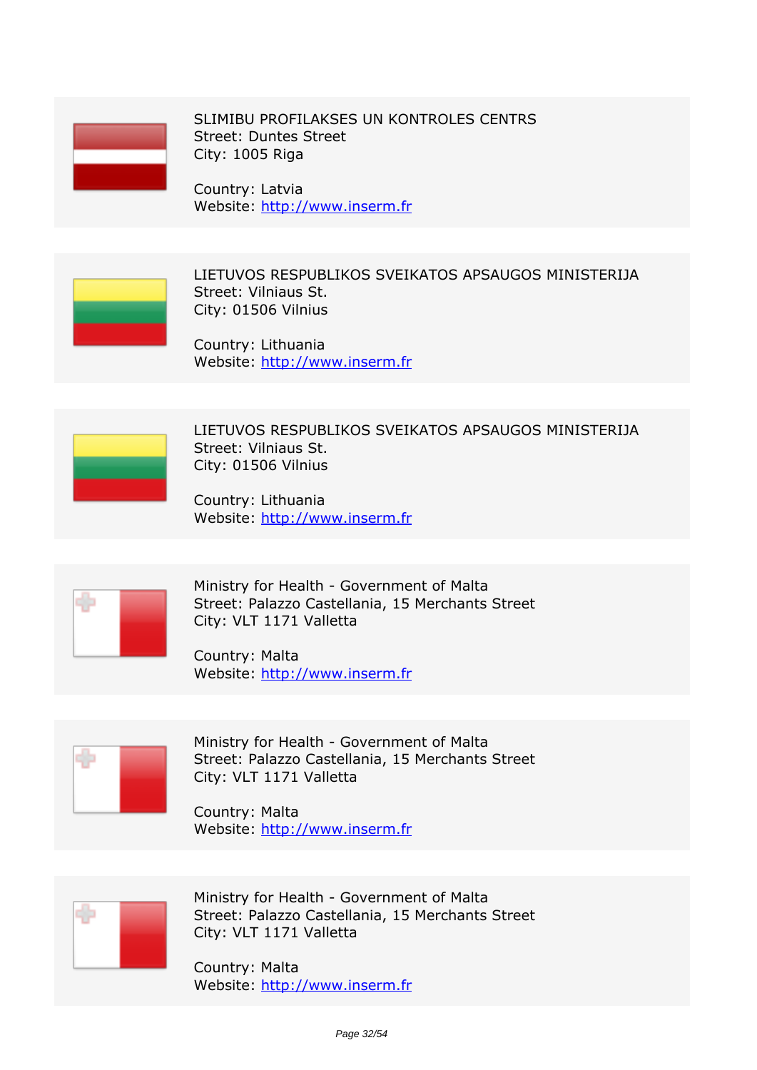

*SLIMIBU PROFILAKSES UN KONTROLES CENTRS Street: Duntes Street City: 1005 Riga*

*Country: Latvia Website:* http://www.inserm.fr



*LIETUVOS RESPUBLIKOS SVEIKATOS APSAUGOS MINISTERIJA Street: Vilniaus St. City: 01506 Vilnius*

*Country: Lithuania Website:* http://www.inserm.fr



*LIETUVOS RESPUBLIKOS SVEIKATOS APSAUGOS MINISTERIJA Street: Vilniaus St. City: 01506 Vilnius*

*Country: Lithuania Website:* http://www.inserm.fr



*Ministry for Health - Government of Malta Street: Palazzo Castellania, 15 Merchants Street City: VLT 1171 Valletta*

*Country: Malta Website:* http://www.inserm.fr



*Ministry for Health - Government of Malta Street: Palazzo Castellania, 15 Merchants Street City: VLT 1171 Valletta*

*Country: Malta Website:* http://www.inserm.fr



*Ministry for Health - Government of Malta Street: Palazzo Castellania, 15 Merchants Street City: VLT 1171 Valletta*

*Country: Malta Website:* http://www.inserm.fr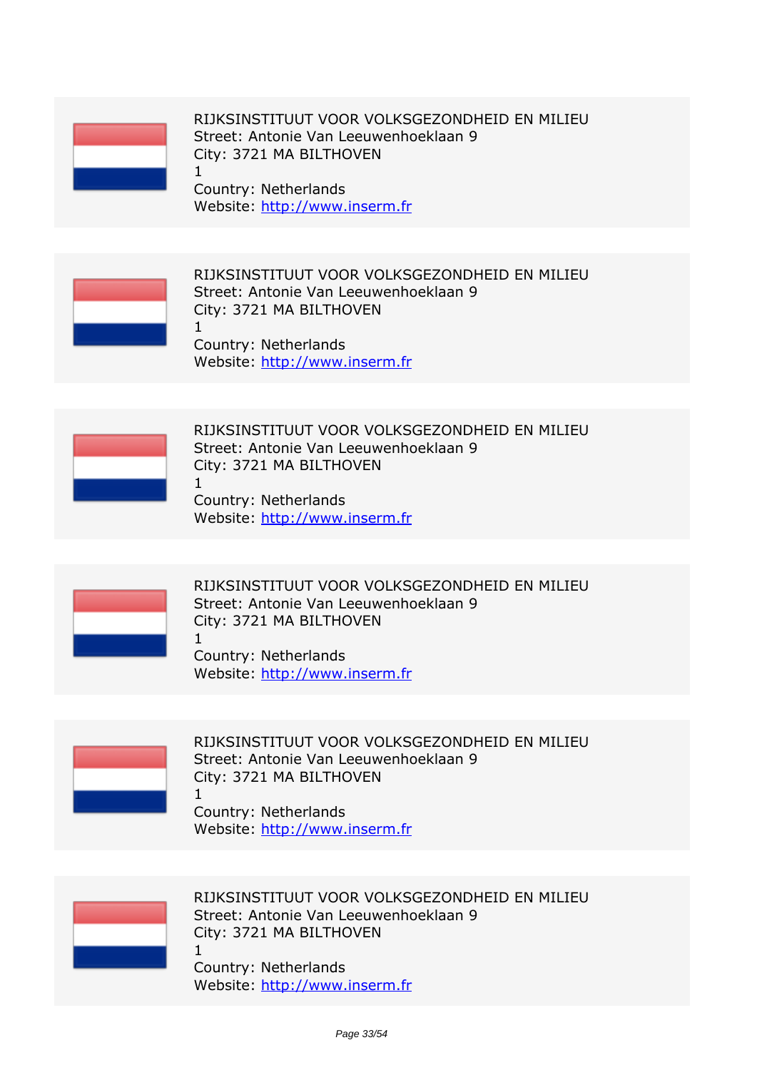*1*

*RIJKSINSTITUUT VOOR VOLKSGEZONDHEID EN MILIEU Street: Antonie Van Leeuwenhoeklaan 9 City: 3721 MA BILTHOVEN*

*Country: Netherlands Website:* http://www.inserm.fr



*RIJKSINSTITUUT VOOR VOLKSGEZONDHEID EN MILIEU Street: Antonie Van Leeuwenhoeklaan 9 City: 3721 MA BILTHOVEN 1*

*Country: Netherlands Website:* http://www.inserm.fr



*RIJKSINSTITUUT VOOR VOLKSGEZONDHEID EN MILIEU Street: Antonie Van Leeuwenhoeklaan 9 City: 3721 MA BILTHOVEN 1*

*Country: Netherlands Website:* http://www.inserm.fr



*RIJKSINSTITUUT VOOR VOLKSGEZONDHEID EN MILIEU Street: Antonie Van Leeuwenhoeklaan 9 City: 3721 MA BILTHOVEN 1*

*Country: Netherlands Website:* http://www.inserm.fr



*RIJKSINSTITUUT VOOR VOLKSGEZONDHEID EN MILIEU Street: Antonie Van Leeuwenhoeklaan 9 City: 3721 MA BILTHOVEN 1*

*Country: Netherlands Website:* http://www.inserm.fr



*RIJKSINSTITUUT VOOR VOLKSGEZONDHEID EN MILIEU Street: Antonie Van Leeuwenhoeklaan 9 City: 3721 MA BILTHOVEN 1*

*Country: Netherlands Website:* http://www.inserm.fr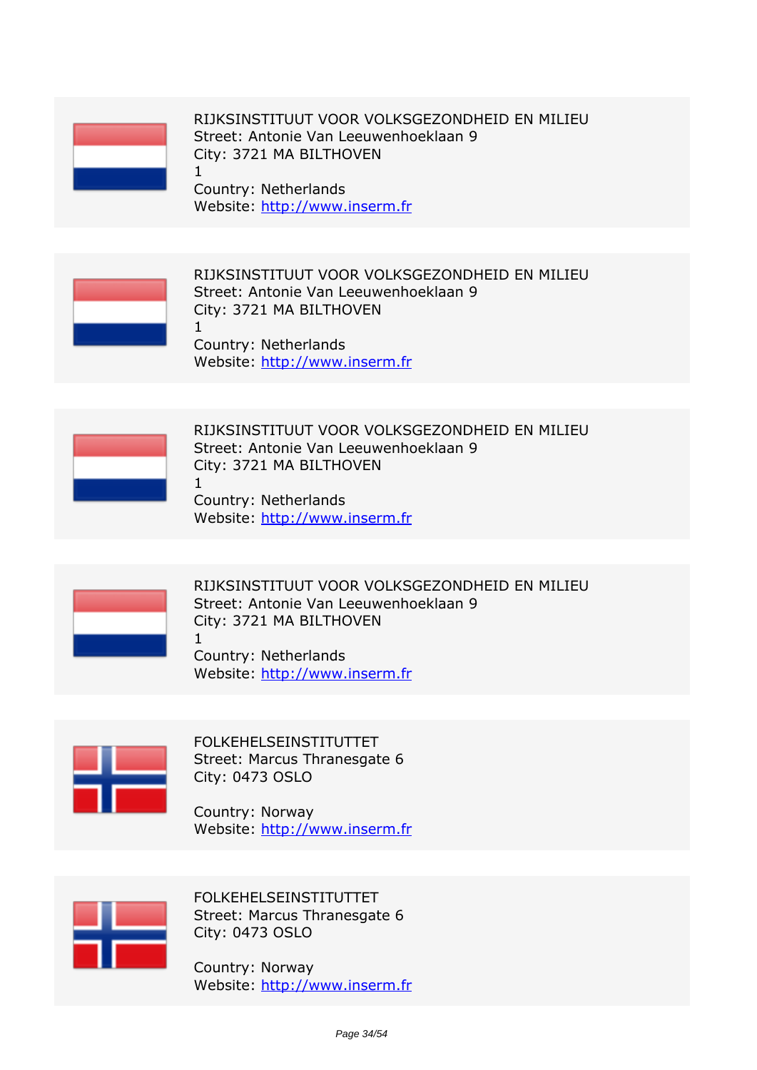*1*

*RIJKSINSTITUUT VOOR VOLKSGEZONDHEID EN MILIEU Street: Antonie Van Leeuwenhoeklaan 9 City: 3721 MA BILTHOVEN*

*Country: Netherlands Website:* http://www.inserm.fr



*RIJKSINSTITUUT VOOR VOLKSGEZONDHEID EN MILIEU Street: Antonie Van Leeuwenhoeklaan 9 City: 3721 MA BILTHOVEN 1*

*Country: Netherlands Website:* http://www.inserm.fr



*RIJKSINSTITUUT VOOR VOLKSGEZONDHEID EN MILIEU Street: Antonie Van Leeuwenhoeklaan 9 City: 3721 MA BILTHOVEN 1*

*Country: Netherlands Website:* http://www.inserm.fr



*RIJKSINSTITUUT VOOR VOLKSGEZONDHEID EN MILIEU Street: Antonie Van Leeuwenhoeklaan 9 City: 3721 MA BILTHOVEN 1*

*Country: Netherlands Website:* http://www.inserm.fr



*FOLKEHELSEINSTITUTTET Street: Marcus Thranesgate 6 City: 0473 OSLO*

*Country: Norway Website:* http://www.inserm.fr



*FOLKEHELSEINSTITUTTET Street: Marcus Thranesgate 6 City: 0473 OSLO*

*Country: Norway Website:* http://www.inserm.fr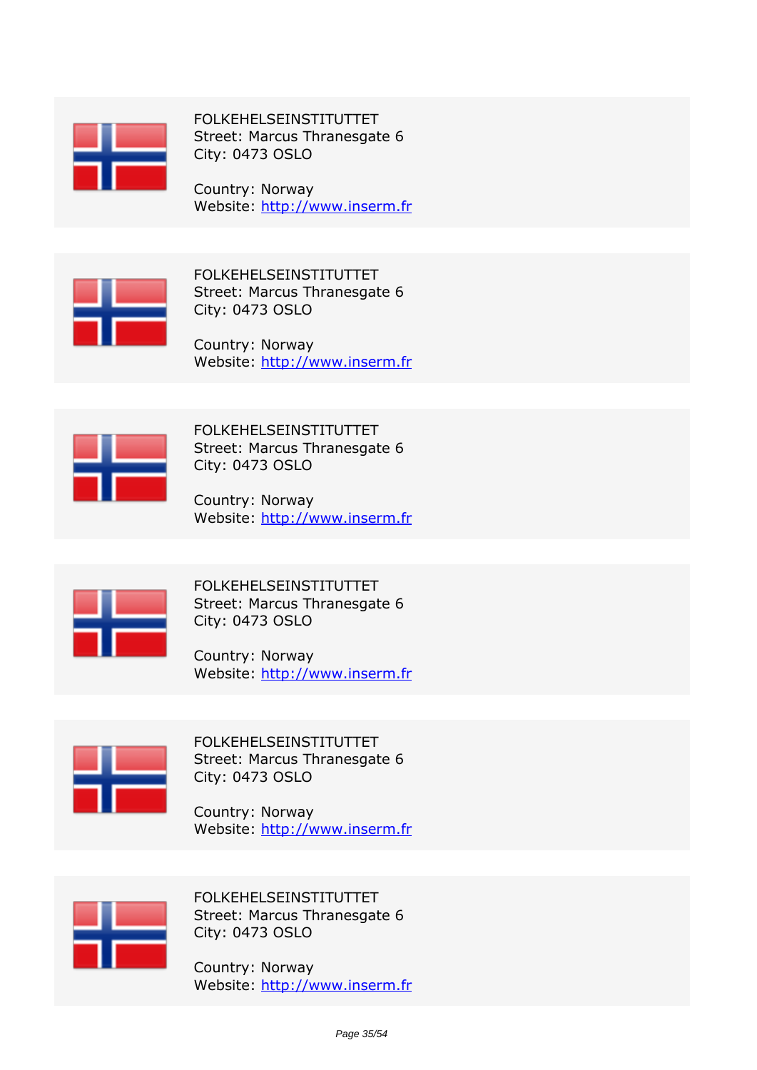

*FOLKEHELSEINSTITUTTET Street: Marcus Thranesgate 6 City: 0473 OSLO*

*Country: Norway Website:* http://www.inserm.fr



*FOLKEHELSEINSTITUTTET Street: Marcus Thranesgate 6 City: 0473 OSLO*

*Country: Norway Website:* http://www.inserm.fr



*FOLKEHELSEINSTITUTTET Street: Marcus Thranesgate 6 City: 0473 OSLO*

*Country: Norway Website:* http://www.inserm.fr



*FOLKEHELSEINSTITUTTET Street: Marcus Thranesgate 6 City: 0473 OSLO*

*Country: Norway Website:* http://www.inserm.fr



*FOLKEHELSEINSTITUTTET Street: Marcus Thranesgate 6 City: 0473 OSLO*

*Country: Norway Website:* http://www.inserm.fr



*FOLKEHELSEINSTITUTTET Street: Marcus Thranesgate 6 City: 0473 OSLO*

*Country: Norway Website:* http://www.inserm.fr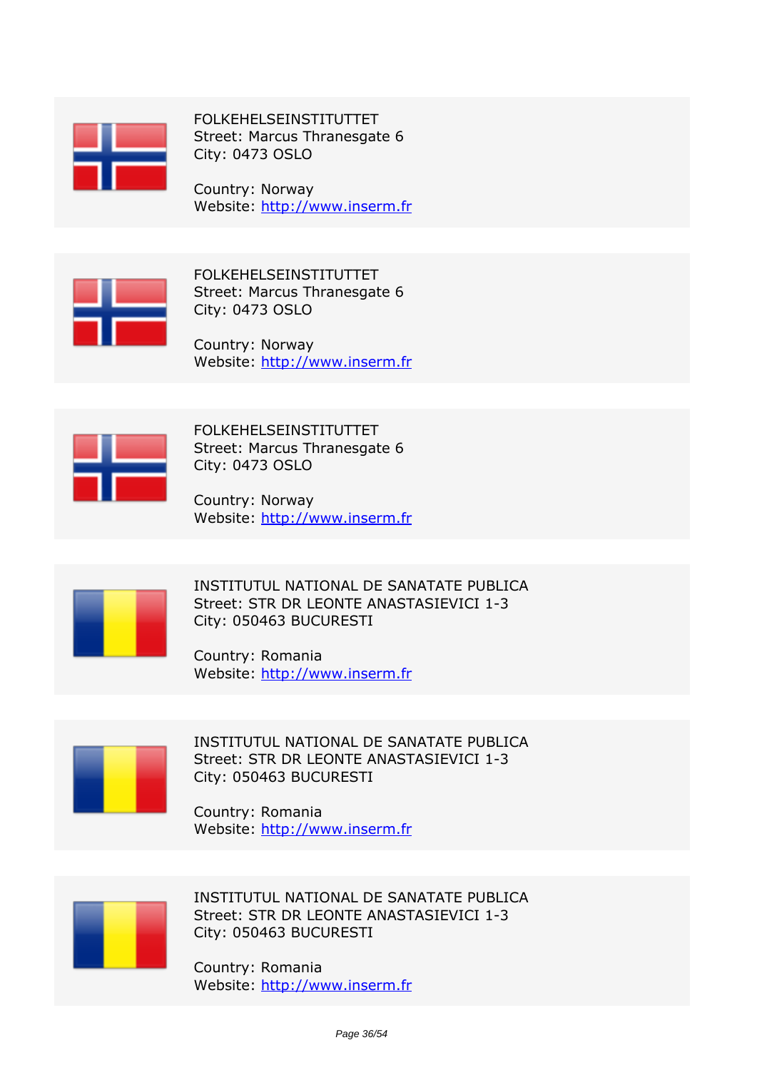

*FOLKEHELSEINSTITUTTET Street: Marcus Thranesgate 6 City: 0473 OSLO*

*Country: Norway Website:* http://www.inserm.fr



*FOLKEHELSEINSTITUTTET Street: Marcus Thranesgate 6 City: 0473 OSLO*

*Country: Norway Website:* http://www.inserm.fr



*FOLKEHELSEINSTITUTTET Street: Marcus Thranesgate 6 City: 0473 OSLO*

*Country: Norway Website:* http://www.inserm.fr



*INSTITUTUL NATIONAL DE SANATATE PUBLICA Street: STR DR LEONTE ANASTASIEVICI 1-3 City: 050463 BUCURESTI*

*Country: Romania Website:* http://www.inserm.fr



*INSTITUTUL NATIONAL DE SANATATE PUBLICA Street: STR DR LEONTE ANASTASIEVICI 1-3 City: 050463 BUCURESTI*

*Country: Romania Website:* http://www.inserm.fr



*INSTITUTUL NATIONAL DE SANATATE PUBLICA Street: STR DR LEONTE ANASTASIEVICI 1-3 City: 050463 BUCURESTI*

*Country: Romania Website:* http://www.inserm.fr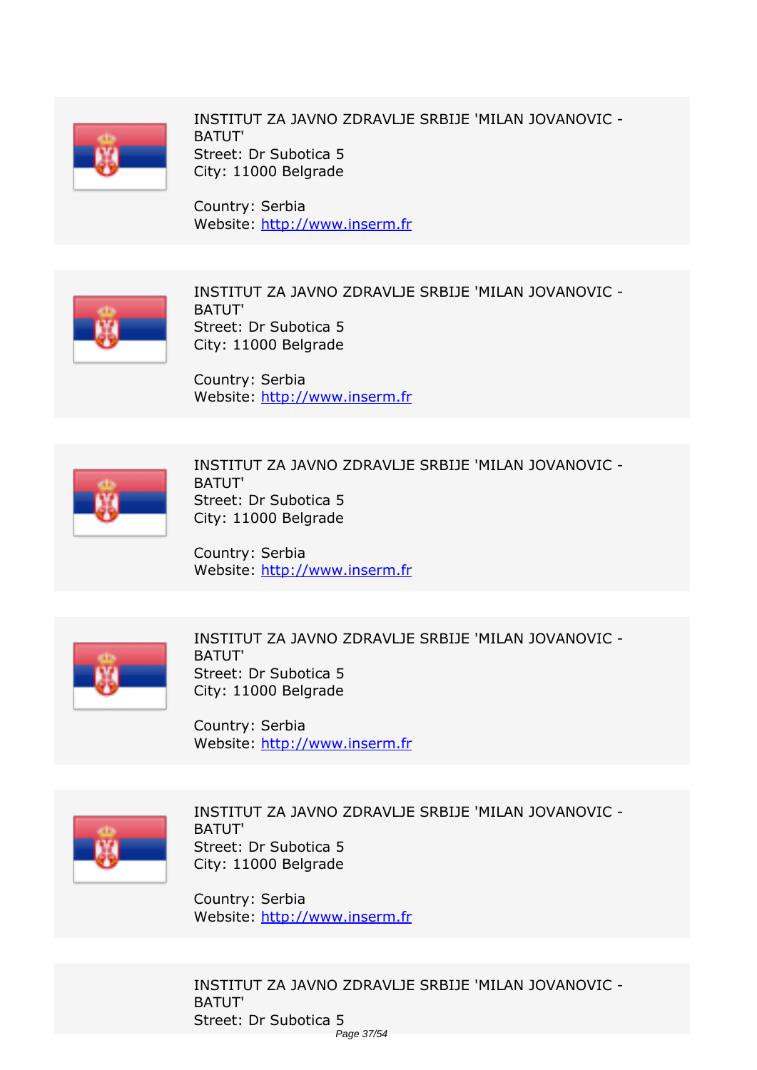

*INSTITUT ZA JAVNO ZDRAVLJE SRBIJE 'MILAN JOVANOVIC - BATUT' Street: Dr Subotica 5 City: 11000 Belgrade*

*Country: Serbia Website:* http://www.inserm.fr



*INSTITUT ZA JAVNO ZDRAVLJE SRBIJE 'MILAN JOVANOVIC - BATUT' Street: Dr Subotica 5 City: 11000 Belgrade*

*Country: Serbia Website:* http://www.inserm.fr



*INSTITUT ZA JAVNO ZDRAVLJE SRBIJE 'MILAN JOVANOVIC - BATUT' Street: Dr Subotica 5 City: 11000 Belgrade*

*Country: Serbia Website:* http://www.inserm.fr



*INSTITUT ZA JAVNO ZDRAVLJE SRBIJE 'MILAN JOVANOVIC - BATUT' Street: Dr Subotica 5 City: 11000 Belgrade*

*Country: Serbia Website:* http://www.inserm.fr



*INSTITUT ZA JAVNO ZDRAVLJE SRBIJE 'MILAN JOVANOVIC - BATUT' Street: Dr Subotica 5 City: 11000 Belgrade*

*Country: Serbia Website:* http://www.inserm.fr

*INSTITUT ZA JAVNO ZDRAVLJE SRBIJE 'MILAN JOVANOVIC - BATUT' Street: Dr Subotica 5* Page 37/54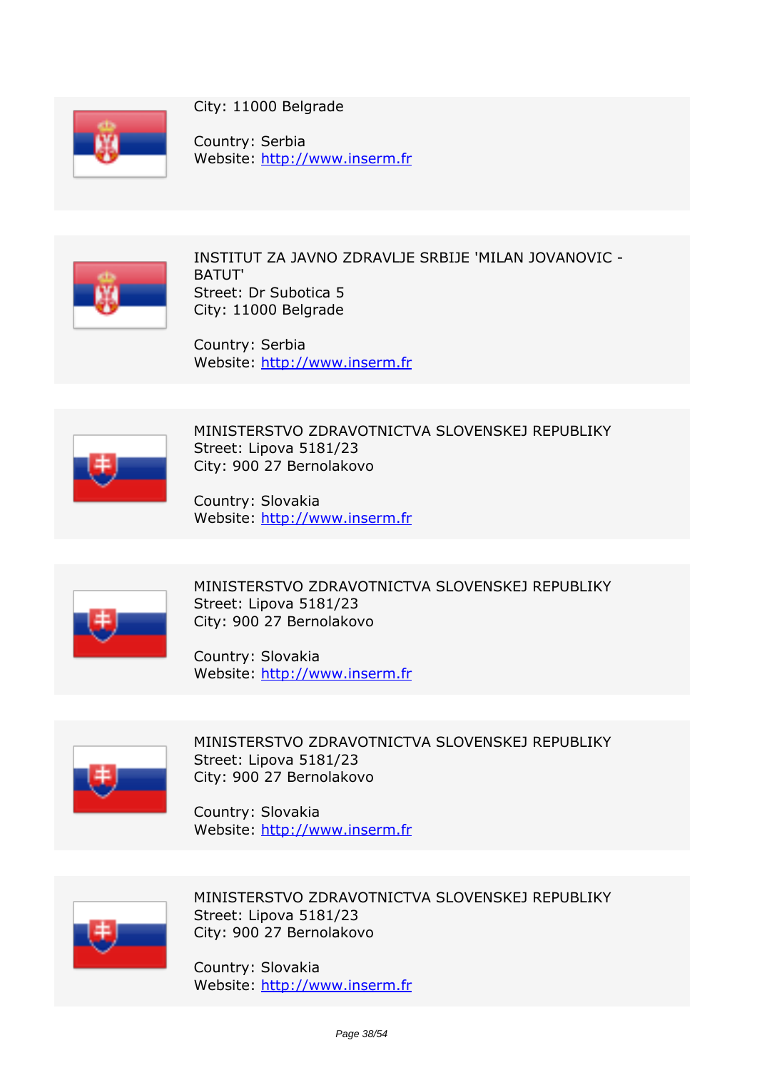

*City: 11000 Belgrade*

*Country: Serbia Website:* http://www.inserm.fr



*INSTITUT ZA JAVNO ZDRAVLJE SRBIJE 'MILAN JOVANOVIC - BATUT' Street: Dr Subotica 5 City: 11000 Belgrade*

*Country: Serbia Website:* http://www.inserm.fr



*MINISTERSTVO ZDRAVOTNICTVA SLOVENSKEJ REPUBLIKY Street: Lipova 5181/23 City: 900 27 Bernolakovo*

*Country: Slovakia Website:* http://www.inserm.fr



*MINISTERSTVO ZDRAVOTNICTVA SLOVENSKEJ REPUBLIKY Street: Lipova 5181/23 City: 900 27 Bernolakovo*

*Country: Slovakia Website:* http://www.inserm.fr



*MINISTERSTVO ZDRAVOTNICTVA SLOVENSKEJ REPUBLIKY Street: Lipova 5181/23 City: 900 27 Bernolakovo*

*Country: Slovakia Website:* http://www.inserm.fr



*MINISTERSTVO ZDRAVOTNICTVA SLOVENSKEJ REPUBLIKY Street: Lipova 5181/23 City: 900 27 Bernolakovo*

*Country: Slovakia Website:* http://www.inserm.fr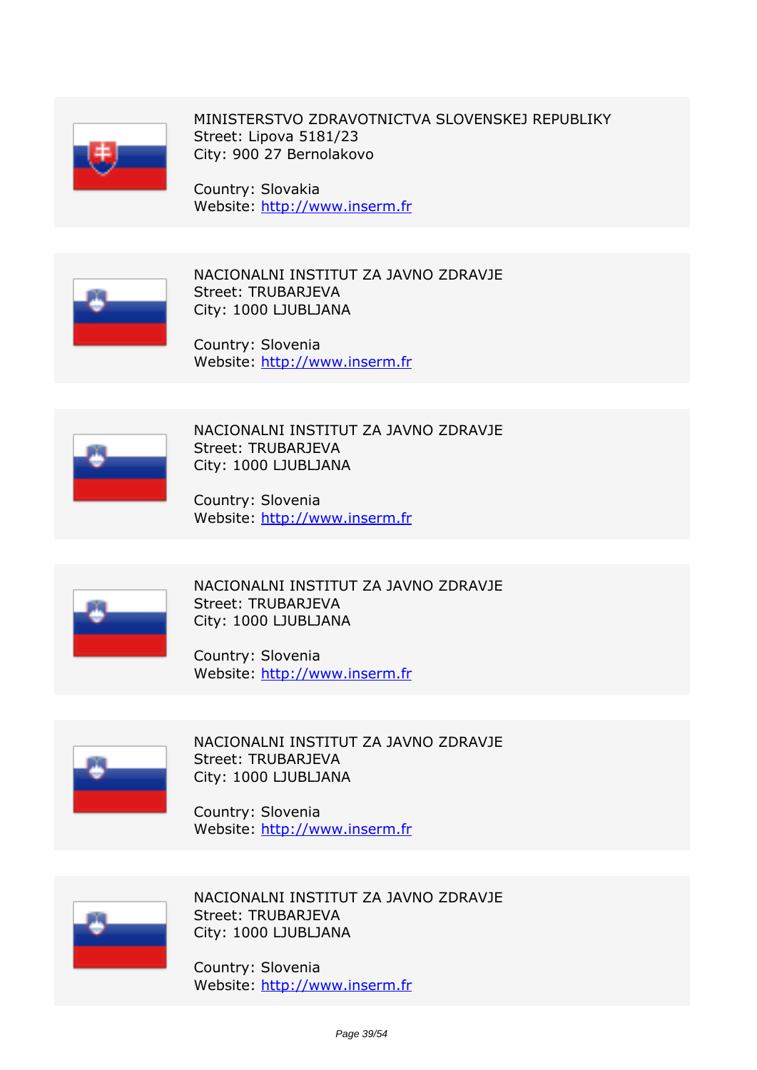

*MINISTERSTVO ZDRAVOTNICTVA SLOVENSKEJ REPUBLIKY Street: Lipova 5181/23 City: 900 27 Bernolakovo*

*Country: Slovakia Website:* http://www.inserm.fr



*NACIONALNI INSTITUT ZA JAVNO ZDRAVJE Street: TRUBARJEVA City: 1000 LJUBLJANA*

*Country: Slovenia Website:* http://www.inserm.fr



*NACIONALNI INSTITUT ZA JAVNO ZDRAVJE Street: TRUBARJEVA City: 1000 LJUBLJANA*

*Country: Slovenia Website:* http://www.inserm.fr



*NACIONALNI INSTITUT ZA JAVNO ZDRAVJE Street: TRUBARJEVA City: 1000 LJUBLJANA*

*Country: Slovenia Website:* http://www.inserm.fr



*NACIONALNI INSTITUT ZA JAVNO ZDRAVJE Street: TRUBARJEVA City: 1000 LJUBLJANA*

*Country: Slovenia Website:* http://www.inserm.fr



*NACIONALNI INSTITUT ZA JAVNO ZDRAVJE Street: TRUBARJEVA City: 1000 LJUBLJANA*

*Country: Slovenia Website:* http://www.inserm.fr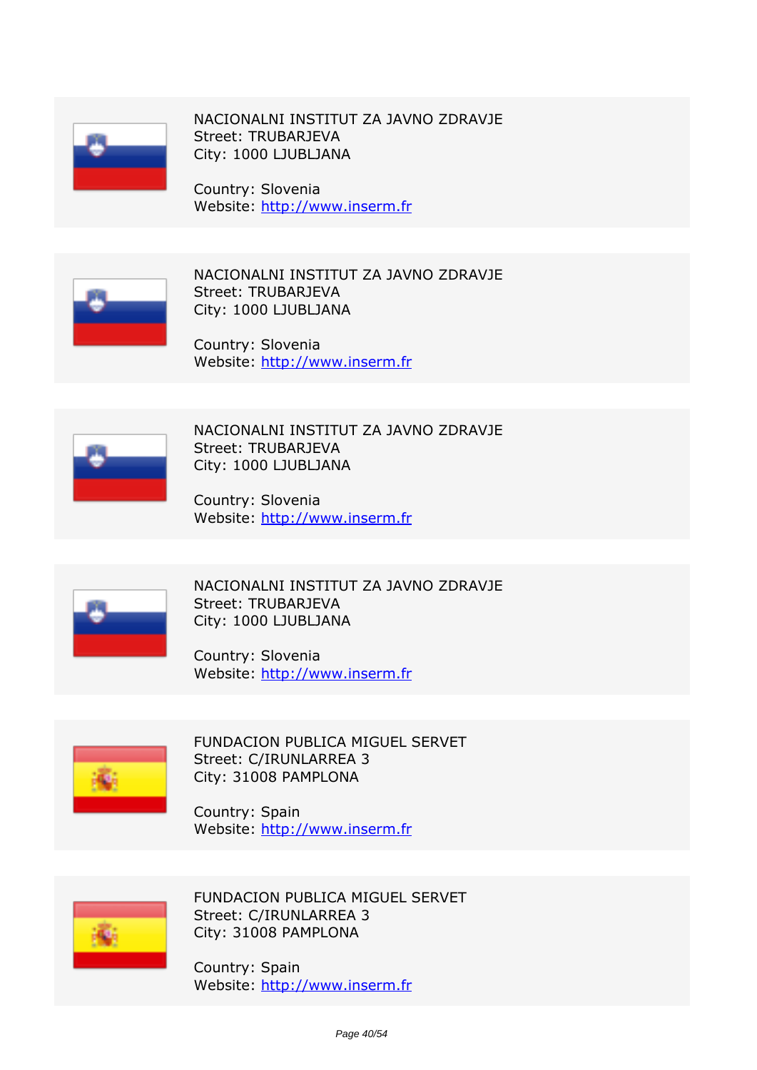

*NACIONALNI INSTITUT ZA JAVNO ZDRAVJE Street: TRUBARJEVA City: 1000 LJUBLJANA*

*Country: Slovenia Website:* http://www.inserm.fr



*NACIONALNI INSTITUT ZA JAVNO ZDRAVJE Street: TRUBARJEVA City: 1000 LJUBLJANA*

*Country: Slovenia Website:* http://www.inserm.fr



*NACIONALNI INSTITUT ZA JAVNO ZDRAVJE Street: TRUBARJEVA City: 1000 LJUBLJANA*

*Country: Slovenia Website:* http://www.inserm.fr



*NACIONALNI INSTITUT ZA JAVNO ZDRAVJE Street: TRUBARJEVA City: 1000 LJUBLJANA*

*Country: Slovenia Website:* http://www.inserm.fr



*FUNDACION PUBLICA MIGUEL SERVET Street: C/IRUNLARREA 3 City: 31008 PAMPLONA*

*Country: Spain Website:* http://www.inserm.fr



*FUNDACION PUBLICA MIGUEL SERVET Street: C/IRUNLARREA 3 City: 31008 PAMPLONA*

*Country: Spain Website:* http://www.inserm.fr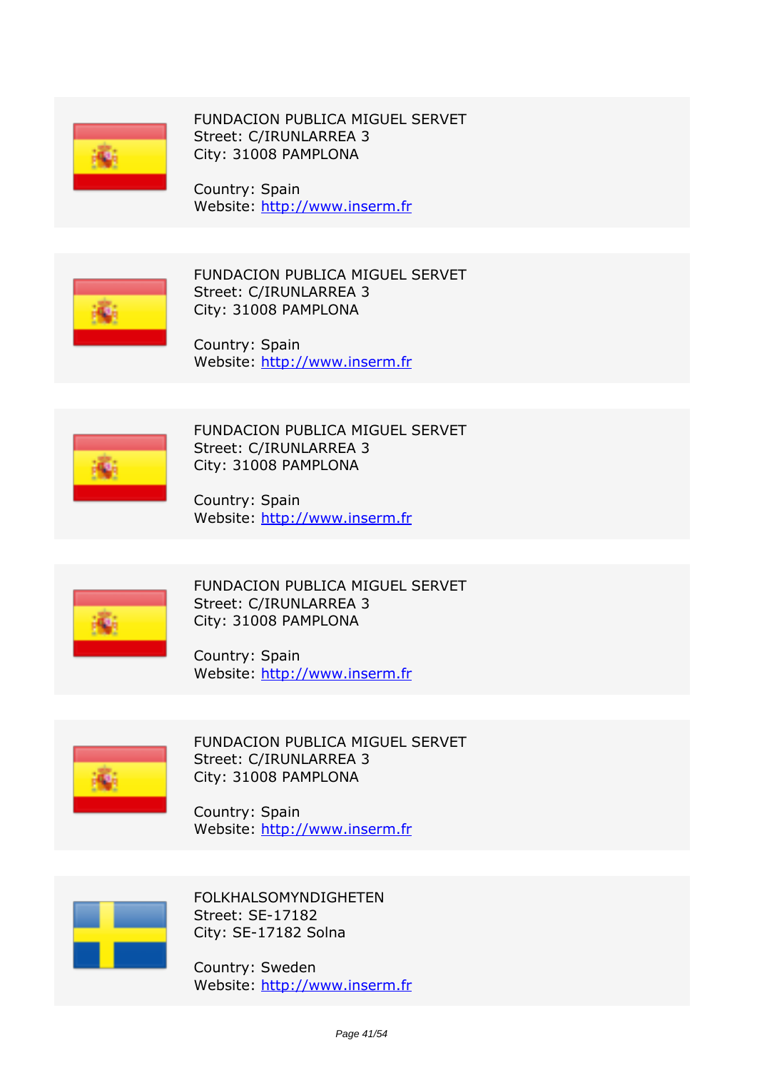

*FUNDACION PUBLICA MIGUEL SERVET Street: C/IRUNLARREA 3 City: 31008 PAMPLONA*

*Country: Spain Website:* http://www.inserm.fr



*FUNDACION PUBLICA MIGUEL SERVET Street: C/IRUNLARREA 3 City: 31008 PAMPLONA*

*Country: Spain Website:* http://www.inserm.fr



*FUNDACION PUBLICA MIGUEL SERVET Street: C/IRUNLARREA 3 City: 31008 PAMPLONA*

*Country: Spain Website:* http://www.inserm.fr



*FUNDACION PUBLICA MIGUEL SERVET Street: C/IRUNLARREA 3 City: 31008 PAMPLONA*

*Country: Spain Website:* http://www.inserm.fr



*FUNDACION PUBLICA MIGUEL SERVET Street: C/IRUNLARREA 3 City: 31008 PAMPLONA*

*Country: Spain Website:* http://www.inserm.fr



*FOLKHALSOMYNDIGHETEN Street: SE-17182 City: SE-17182 Solna*

*Country: Sweden Website:* http://www.inserm.fr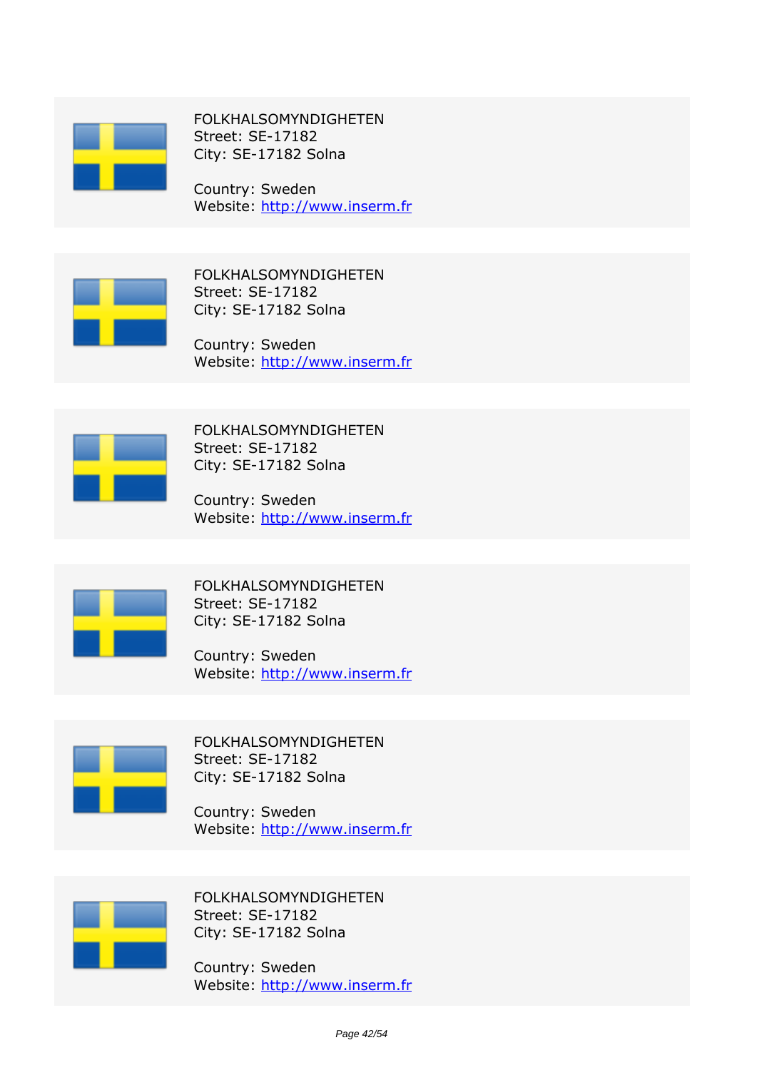

*FOLKHALSOMYNDIGHETEN Street: SE-17182 City: SE-17182 Solna*

*Country: Sweden Website:* http://www.inserm.fr



*FOLKHALSOMYNDIGHETEN Street: SE-17182 City: SE-17182 Solna*

*Country: Sweden Website:* http://www.inserm.fr



*FOLKHALSOMYNDIGHETEN Street: SE-17182 City: SE-17182 Solna*

*Country: Sweden Website:* http://www.inserm.fr



*FOLKHALSOMYNDIGHETEN Street: SE-17182 City: SE-17182 Solna*

*Country: Sweden Website:* http://www.inserm.fr



*FOLKHALSOMYNDIGHETEN Street: SE-17182 City: SE-17182 Solna*

*Country: Sweden Website:* http://www.inserm.fr



*FOLKHALSOMYNDIGHETEN Street: SE-17182 City: SE-17182 Solna*

*Country: Sweden Website:* http://www.inserm.fr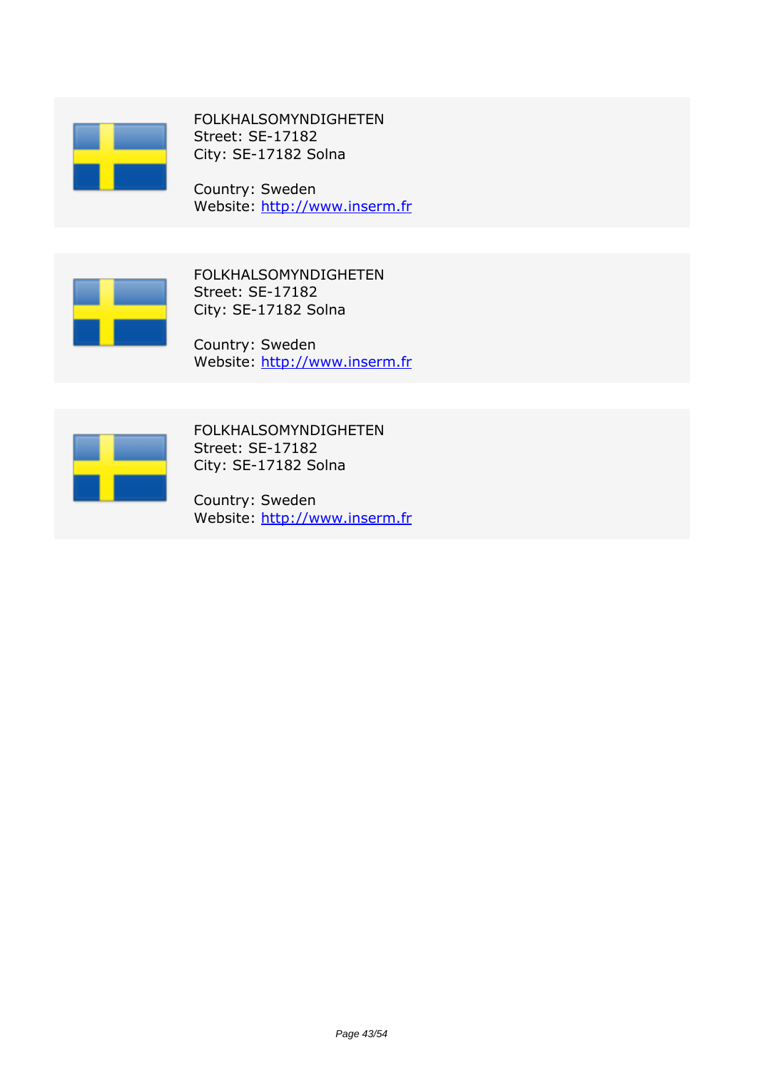

*FOLKHALSOMYNDIGHETEN Street: SE-17182 City: SE-17182 Solna*

*Country: Sweden Website:* http://www.inserm.fr



*FOLKHALSOMYNDIGHETEN Street: SE-17182 City: SE-17182 Solna*

*Country: Sweden Website:* http://www.inserm.fr



*FOLKHALSOMYNDIGHETEN Street: SE-17182 City: SE-17182 Solna*

*Country: Sweden Website:* http://www.inserm.fr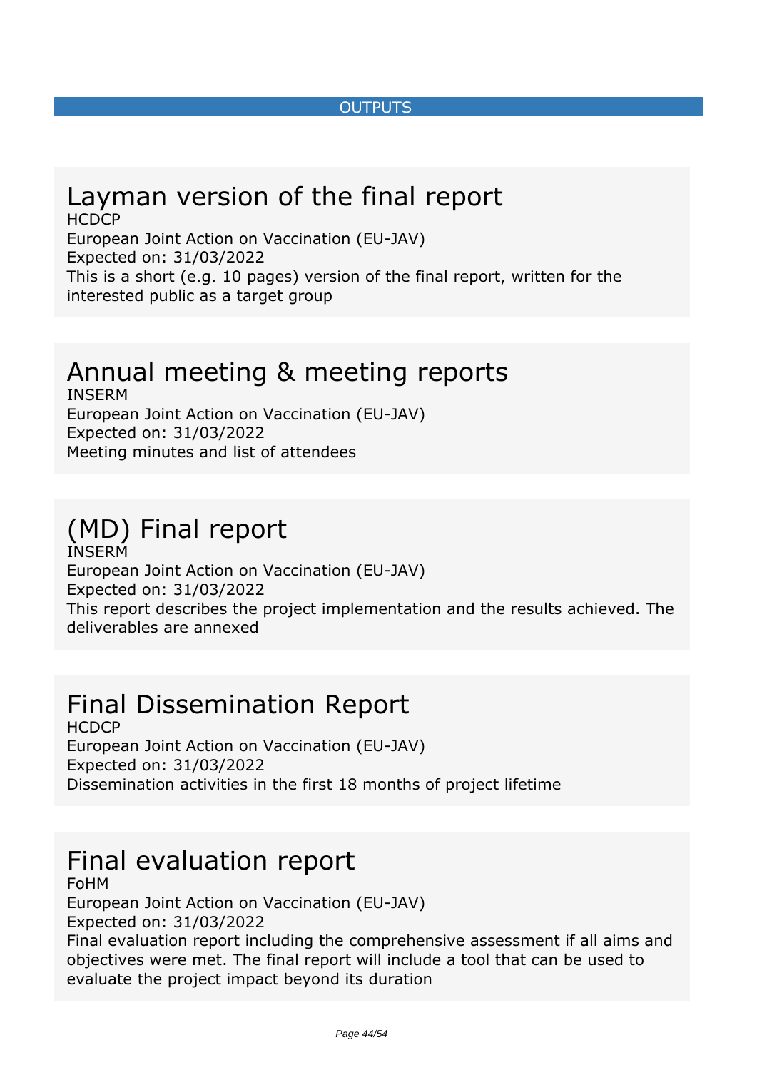#### *OUTPUTS*

#### <span id="page-43-0"></span>*Layman version of the final report HCDCP*

*European Joint Action on Vaccination (EU-JAV) Expected on: 31/03/2022 This is a short (e.g. 10 pages) version of the final report, written for the interested public as a target group*

# *Annual meeting & meeting reports*

*INSERM European Joint Action on Vaccination (EU-JAV) Expected on: 31/03/2022 Meeting minutes and list of attendees*

### *(MD) Final report INSERM*

*European Joint Action on Vaccination (EU-JAV) Expected on: 31/03/2022 This report describes the project implementation and the results achieved. The deliverables are annexed*

## *Final Dissemination Report*

*HCDCP European Joint Action on Vaccination (EU-JAV) Expected on: 31/03/2022 Dissemination activities in the first 18 months of project lifetime*

## *Final evaluation report*

*FoHM*

*European Joint Action on Vaccination (EU-JAV) Expected on: 31/03/2022*

*Final evaluation report including the comprehensive assessment if all aims and objectives were met. The final report will include a tool that can be used to evaluate the project impact beyond its duration*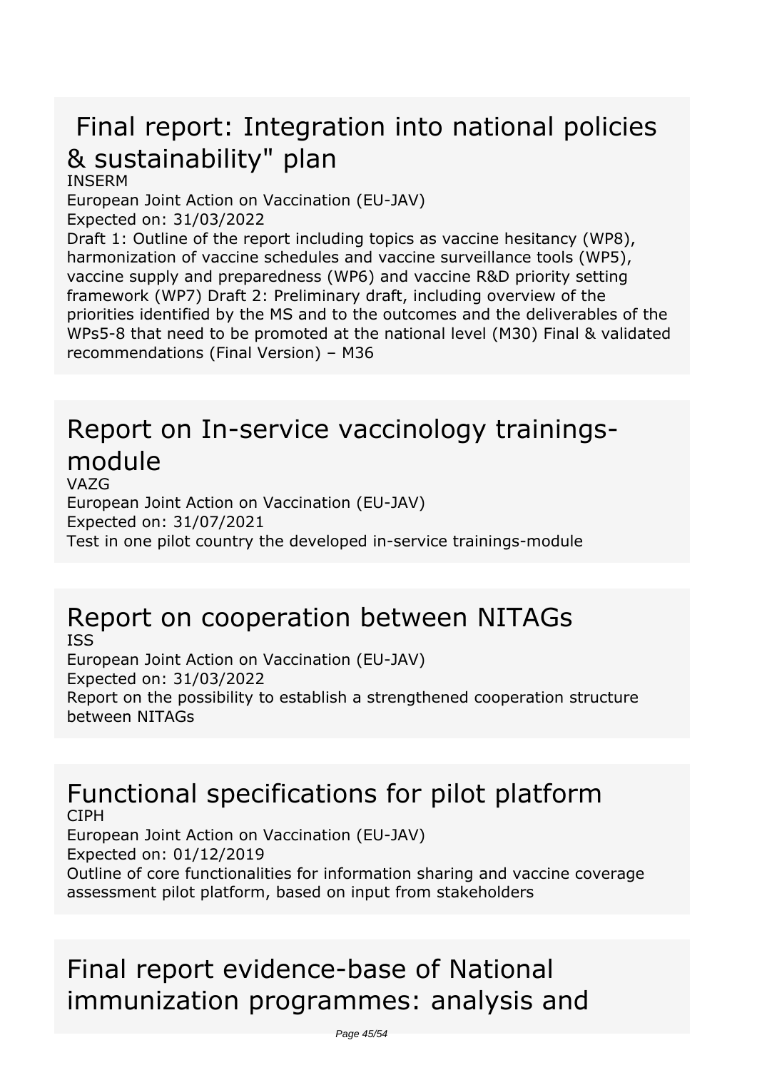# *Final report: Integration into national policies & sustainability" plan*

*INSERM*

*European Joint Action on Vaccination (EU-JAV)*

*Expected on: 31/03/2022*

*Draft 1: Outline of the report including topics as vaccine hesitancy (WP8), harmonization of vaccine schedules and vaccine surveillance tools (WP5), vaccine supply and preparedness (WP6) and vaccine R&D priority setting framework (WP7) Draft 2: Preliminary draft, including overview of the priorities identified by the MS and to the outcomes and the deliverables of the WPs5-8 that need to be promoted at the national level (M30) Final & validated recommendations (Final Version) – M36*

### *Report on In-service vaccinology trainingsmodule VAZG*

*European Joint Action on Vaccination (EU-JAV) Expected on: 31/07/2021 Test in one pilot country the developed in-service trainings-module*

### *Report on cooperation between NITAGs ISS*

*European Joint Action on Vaccination (EU-JAV) Expected on: 31/03/2022 Report on the possibility to establish a strengthened cooperation structure between NITAGs*

### *Functional specifications for pilot platform CIPH*

*European Joint Action on Vaccination (EU-JAV) Expected on: 01/12/2019 Outline of core functionalities for information sharing and vaccine coverage assessment pilot platform, based on input from stakeholders*

# *Final report evidence-base of National immunization programmes: analysis and*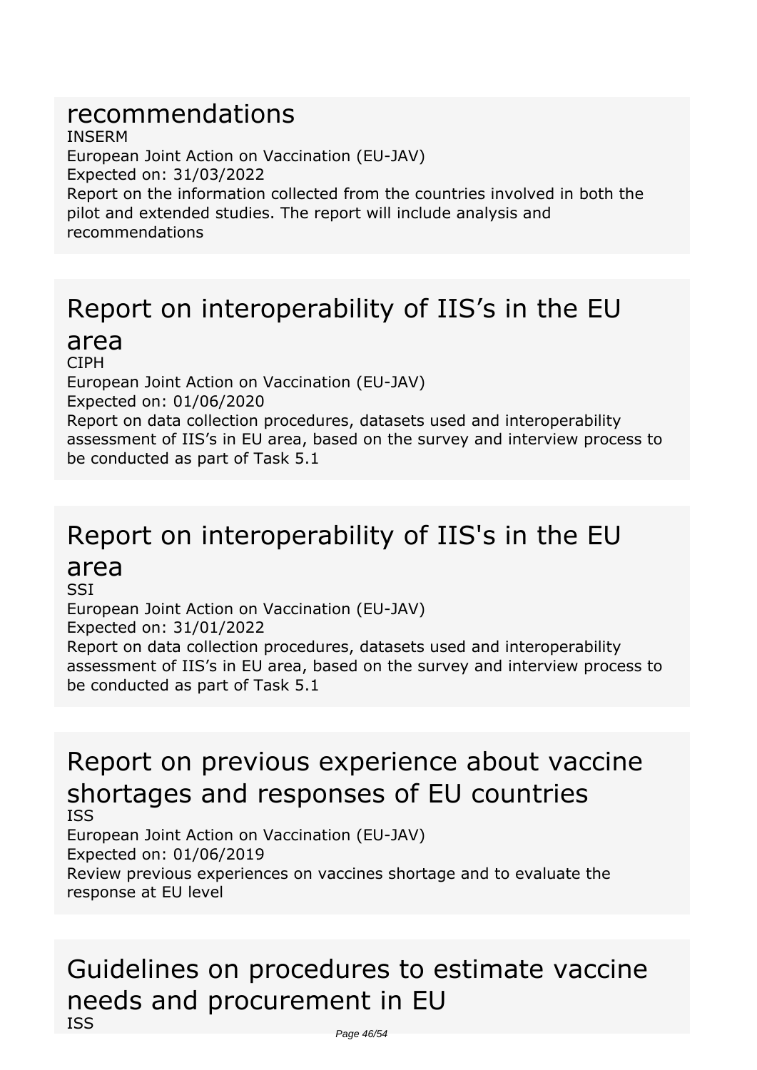## *recommendations*

*INSERM European Joint Action on Vaccination (EU-JAV) Expected on: 31/03/2022 Report on the information collected from the countries involved in both the pilot and extended studies. The report will include analysis and recommendations*

## *Report on interoperability of IIS's in the EU*

### *area*

*CIPH European Joint Action on Vaccination (EU-JAV) Expected on: 01/06/2020 Report on data collection procedures, datasets used and interoperability assessment of IIS's in EU area, based on the survey and interview process to be conducted as part of Task 5.1*

## *Report on interoperability of IIS's in the EU area*

*SSI European Joint Action on Vaccination (EU-JAV) Expected on: 31/01/2022 Report on data collection procedures, datasets used and interoperability assessment of IIS's in EU area, based on the survey and interview process to be conducted as part of Task 5.1*

### *Report on previous experience about vaccine shortages and responses of EU countries ISS*

*European Joint Action on Vaccination (EU-JAV) Expected on: 01/06/2019 Review previous experiences on vaccines shortage and to evaluate the response at EU level*

## *Guidelines on procedures to estimate vaccine needs and procurement in EU ISS*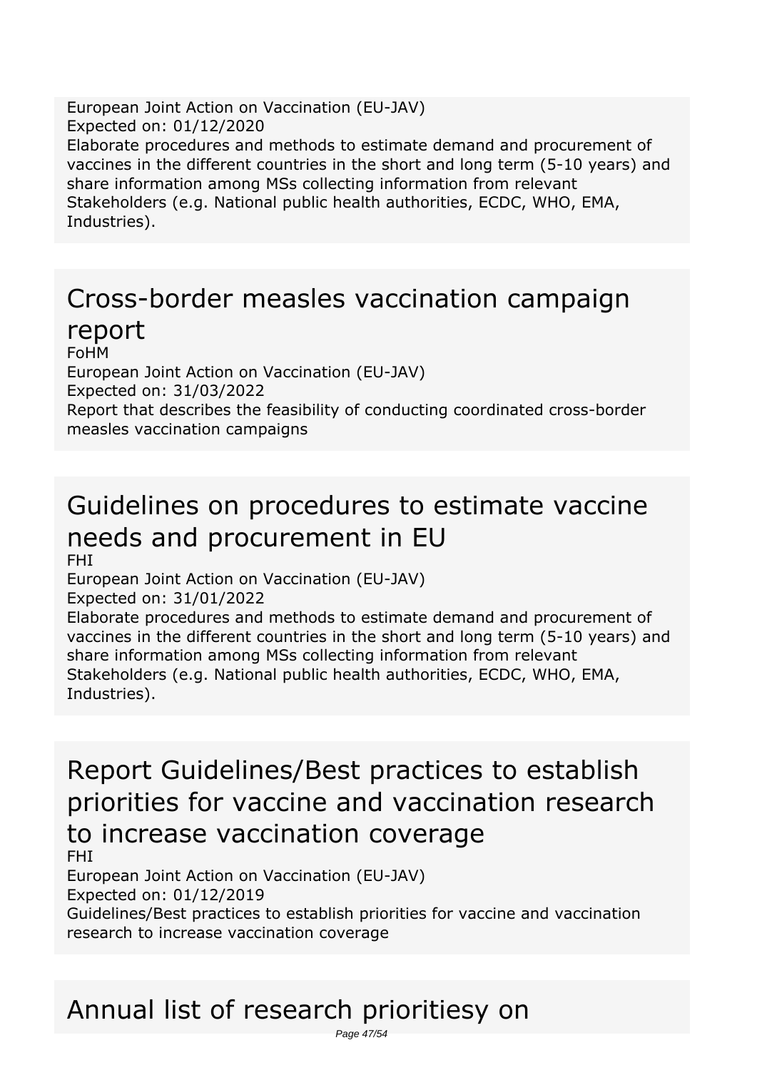*European Joint Action on Vaccination (EU-JAV) Expected on: 01/12/2020 Elaborate procedures and methods to estimate demand and procurement of vaccines in the different countries in the short and long term (5-10 years) and share information among MSs collecting information from relevant Stakeholders (e.g. National public health authorities, ECDC, WHO, EMA, Industries).*

## *Cross-border measles vaccination campaign report*

*FoHM*

*European Joint Action on Vaccination (EU-JAV) Expected on: 31/03/2022 Report that describes the feasibility of conducting coordinated cross-border measles vaccination campaigns*

# *Guidelines on procedures to estimate vaccine needs and procurement in EU*

*FHI*

*European Joint Action on Vaccination (EU-JAV) Expected on: 31/01/2022*

*Elaborate procedures and methods to estimate demand and procurement of vaccines in the different countries in the short and long term (5-10 years) and share information among MSs collecting information from relevant Stakeholders (e.g. National public health authorities, ECDC, WHO, EMA, Industries).*

*Report Guidelines/Best practices to establish priorities for vaccine and vaccination research to increase vaccination coverage*

*FHI*

*European Joint Action on Vaccination (EU-JAV)*

*Expected on: 01/12/2019*

*Guidelines/Best practices to establish priorities for vaccine and vaccination research to increase vaccination coverage*

# *Annual list of research prioritiesy on*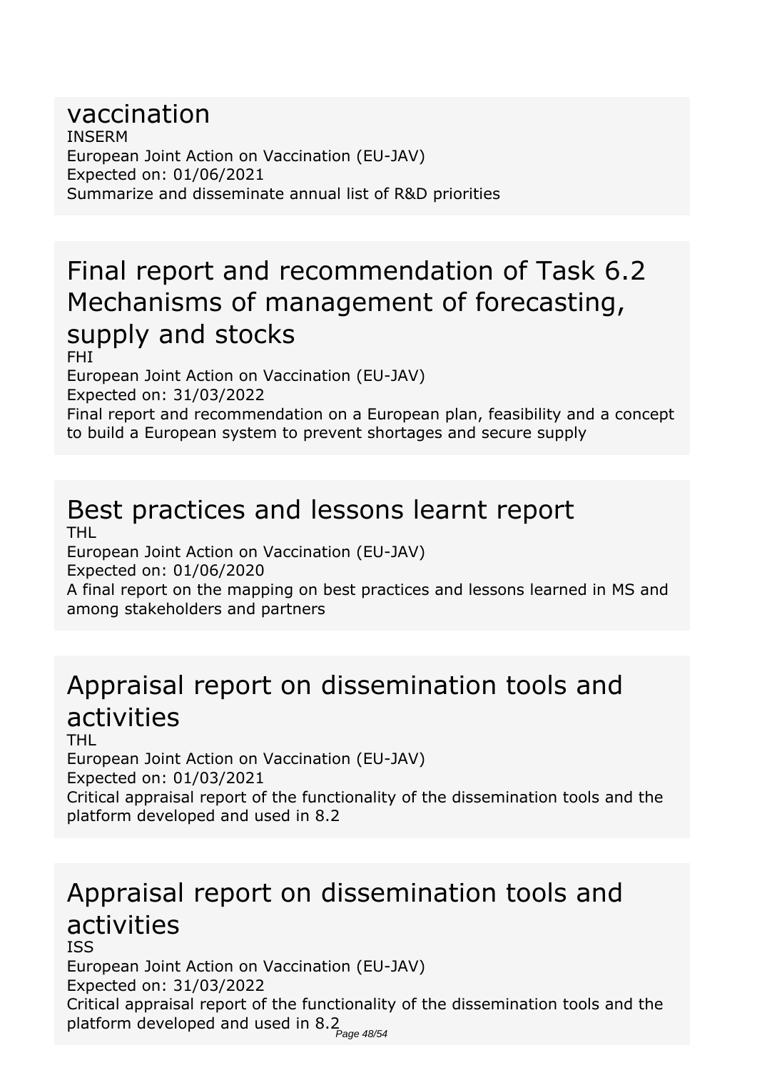#### *vaccination INSERM European Joint Action on Vaccination (EU-JAV) Expected on: 01/06/2021 Summarize and disseminate annual list of R&D priorities*

# *Final report and recommendation of Task 6.2 Mechanisms of management of forecasting, supply and stocks*

*FHI*

*European Joint Action on Vaccination (EU-JAV) Expected on: 31/03/2022*

*Final report and recommendation on a European plan, feasibility and a concept to build a European system to prevent shortages and secure supply*

### *Best practices and lessons learnt report THL*

*European Joint Action on Vaccination (EU-JAV)*

*Expected on: 01/06/2020*

*A final report on the mapping on best practices and lessons learned in MS and among stakeholders and partners*

# *Appraisal report on dissemination tools and activities*

*THL*

*European Joint Action on Vaccination (EU-JAV) Expected on: 01/03/2021*

*Critical appraisal report of the functionality of the dissemination tools and the platform developed and used in 8.2*

# *Appraisal report on dissemination tools and activities*

*ISS*

*European Joint Action on Vaccination (EU-JAV) Expected on: 31/03/2022 Critical appraisal report of the functionality of the dissemination tools and the platform developed and used in 8.2* Page 48/54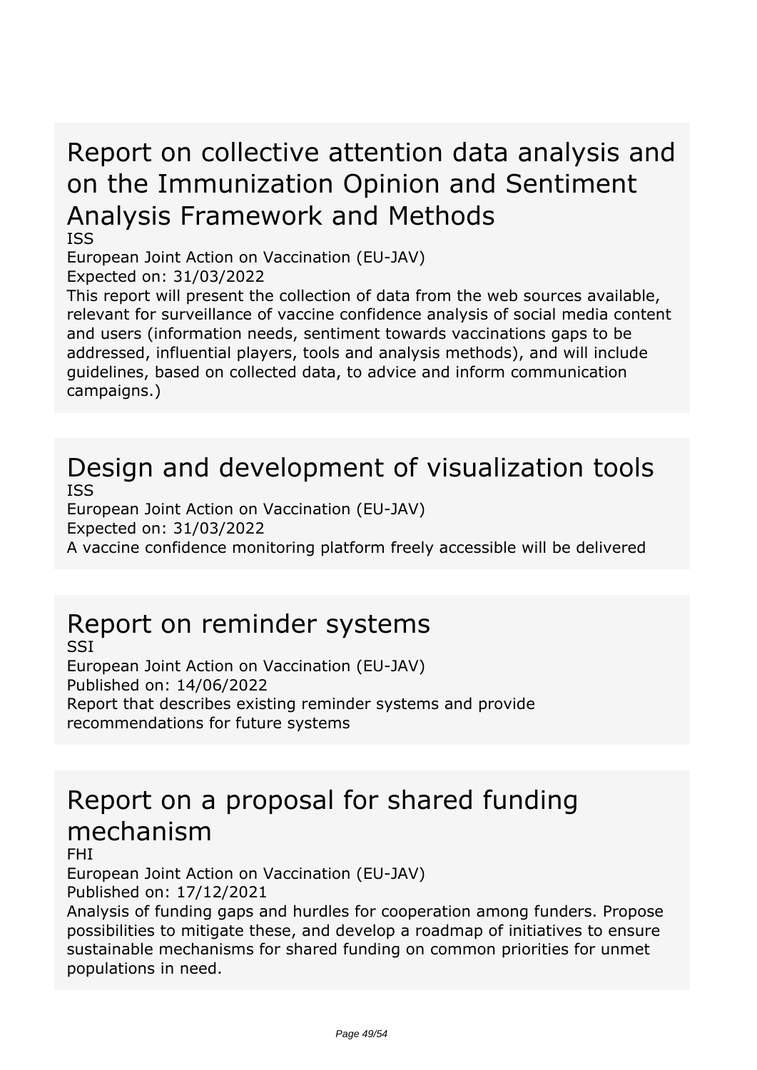# *Report on collective attention data analysis and on the Immunization Opinion and Sentiment Analysis Framework and Methods*

*ISS*

*European Joint Action on Vaccination (EU-JAV)*

*Expected on: 31/03/2022*

*This report will present the collection of data from the web sources available, relevant for surveillance of vaccine confidence analysis of social media content and users (information needs, sentiment towards vaccinations gaps to be addressed, influential players, tools and analysis methods), and will include guidelines, based on collected data, to advice and inform communication campaigns.)*

### *Design and development of visualization tools ISS*

*European Joint Action on Vaccination (EU-JAV) Expected on: 31/03/2022 A vaccine confidence monitoring platform freely accessible will be delivered*

## *Report on reminder systems*

*SSI European Joint Action on Vaccination (EU-JAV) Published on: 14/06/2022 Report that describes existing reminder systems and provide recommendations for future systems*

## *Report on a proposal for shared funding mechanism*

*FHI*

*European Joint Action on Vaccination (EU-JAV) Published on: 17/12/2021*

*Analysis of funding gaps and hurdles for cooperation among funders. Propose possibilities to mitigate these, and develop a roadmap of initiatives to ensure sustainable mechanisms for shared funding on common priorities for unmet populations in need.*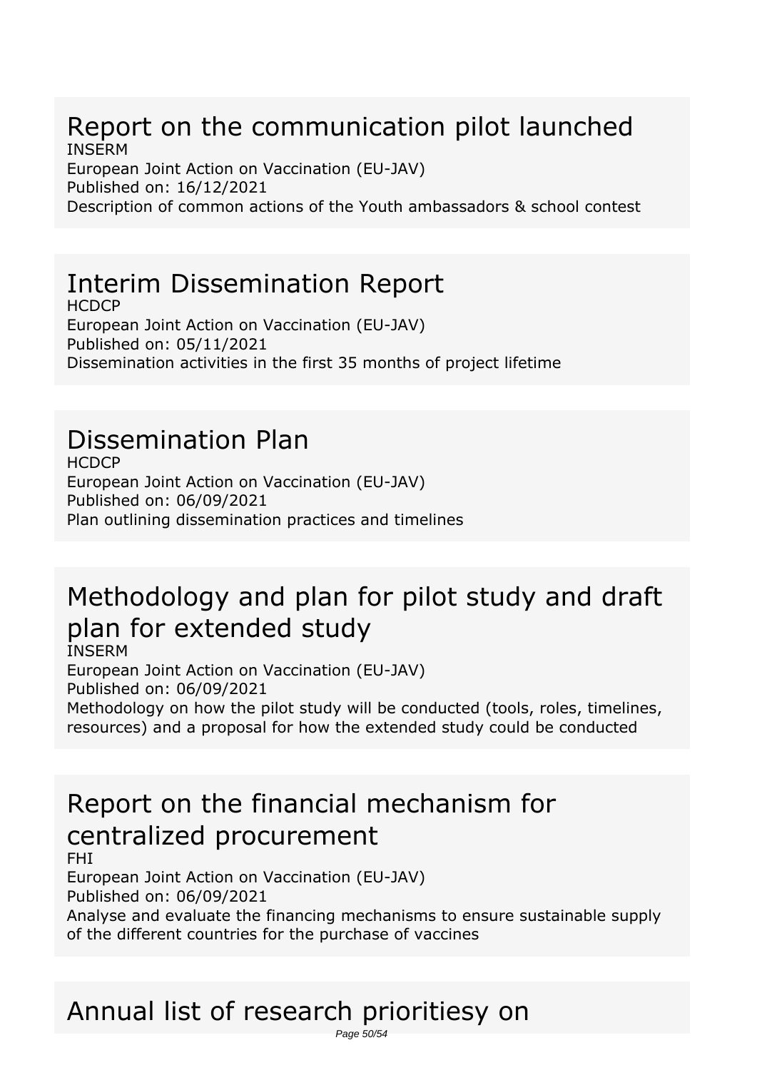### *Report on the communication pilot launched INSERM*

*European Joint Action on Vaccination (EU-JAV) Published on: 16/12/2021 Description of common actions of the Youth ambassadors & school contest*

## *Interim Dissemination Report*

*HCDCP European Joint Action on Vaccination (EU-JAV) Published on: 05/11/2021 Dissemination activities in the first 35 months of project lifetime*

## *Dissemination Plan*

*HCDCP European Joint Action on Vaccination (EU-JAV) Published on: 06/09/2021 Plan outlining dissemination practices and timelines*

# *Methodology and plan for pilot study and draft plan for extended study*

*INSERM*

*European Joint Action on Vaccination (EU-JAV) Published on: 06/09/2021 Methodology on how the pilot study will be conducted (tools, roles, timelines, resources) and a proposal for how the extended study could be conducted*

## *Report on the financial mechanism for centralized procurement*

*FHI*

*European Joint Action on Vaccination (EU-JAV) Published on: 06/09/2021*

*Analyse and evaluate the financing mechanisms to ensure sustainable supply of the different countries for the purchase of vaccines*

### *Annual list of research prioritiesy on* Page 50/54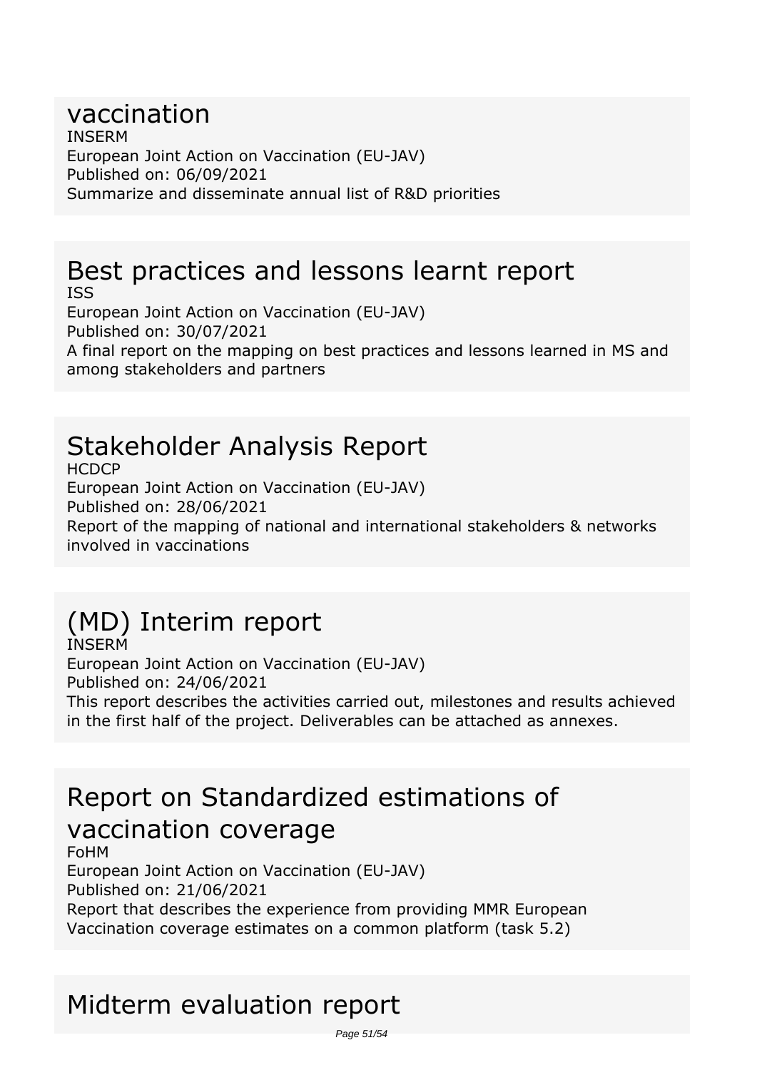#### *vaccination INSERM European Joint Action on Vaccination (EU-JAV) Published on: 06/09/2021 Summarize and disseminate annual list of R&D priorities*

### *Best practices and lessons learnt report ISS*

*European Joint Action on Vaccination (EU-JAV) Published on: 30/07/2021 A final report on the mapping on best practices and lessons learned in MS and among stakeholders and partners*

# *Stakeholder Analysis Report*

*HCDCP European Joint Action on Vaccination (EU-JAV) Published on: 28/06/2021 Report of the mapping of national and international stakeholders & networks involved in vaccinations*

# *(MD) Interim report*

*INSERM European Joint Action on Vaccination (EU-JAV) Published on: 24/06/2021 This report describes the activities carried out, milestones and results achieved in the first half of the project. Deliverables can be attached as annexes.*

## *Report on Standardized estimations of vaccination coverage*

*FoHM European Joint Action on Vaccination (EU-JAV) Published on: 21/06/2021 Report that describes the experience from providing MMR European Vaccination coverage estimates on a common platform (task 5.2)*

# *Midterm evaluation report*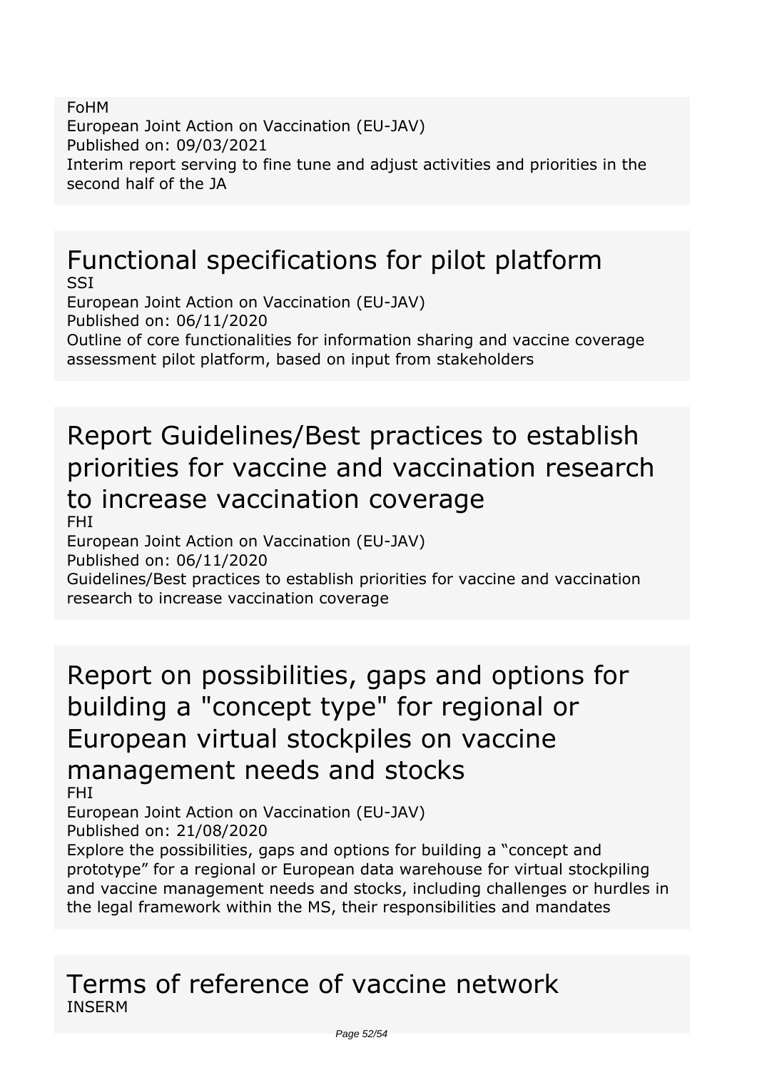*FoHM European Joint Action on Vaccination (EU-JAV) Published on: 09/03/2021 Interim report serving to fine tune and adjust activities and priorities in the second half of the JA*

# *Functional specifications for pilot platform*

*SSI European Joint Action on Vaccination (EU-JAV) Published on: 06/11/2020 Outline of core functionalities for information sharing and vaccine coverage assessment pilot platform, based on input from stakeholders*

## *Report Guidelines/Best practices to establish priorities for vaccine and vaccination research to increase vaccination coverage FHI*

*European Joint Action on Vaccination (EU-JAV) Published on: 06/11/2020 Guidelines/Best practices to establish priorities for vaccine and vaccination*

*research to increase vaccination coverage*

*Report on possibilities, gaps and options for building a "concept type" for regional or European virtual stockpiles on vaccine management needs and stocks*

*FHI*

*European Joint Action on Vaccination (EU-JAV) Published on: 21/08/2020*

*Explore the possibilities, gaps and options for building a "concept and prototype" for a regional or European data warehouse for virtual stockpiling and vaccine management needs and stocks, including challenges or hurdles in the legal framework within the MS, their responsibilities and mandates*

### *Terms of reference of vaccine network INSERM*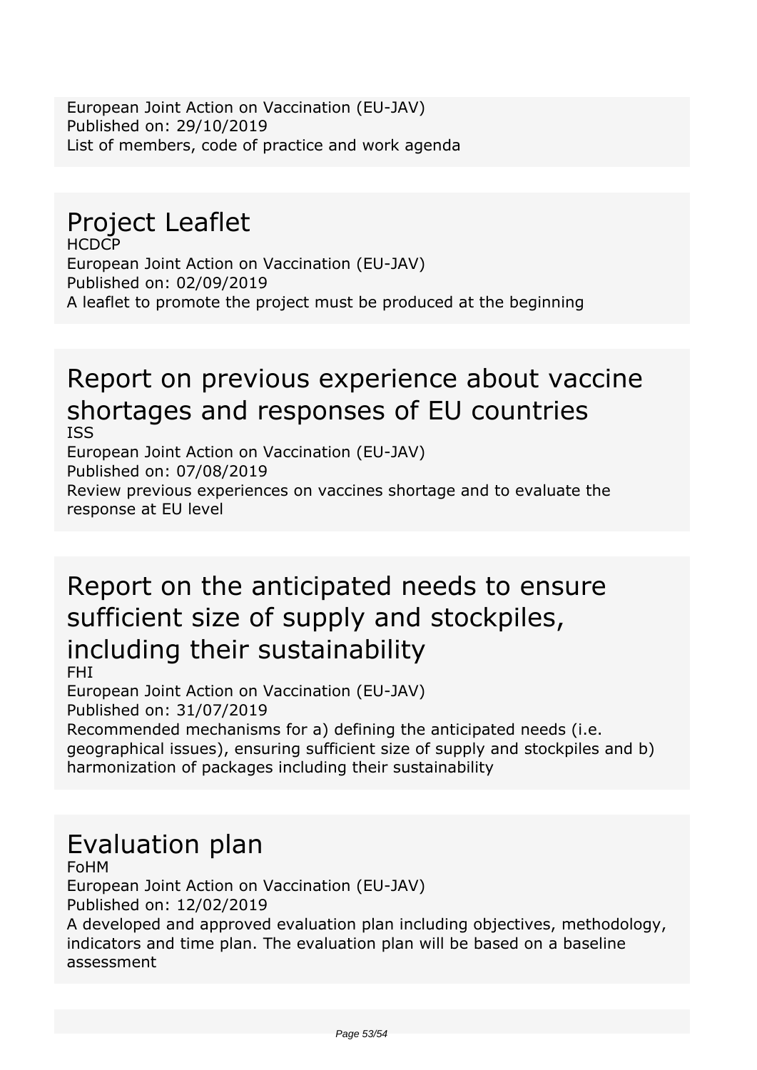*European Joint Action on Vaccination (EU-JAV) Published on: 29/10/2019 List of members, code of practice and work agenda*

## *Project Leaflet*

*HCDCP European Joint Action on Vaccination (EU-JAV) Published on: 02/09/2019 A leaflet to promote the project must be produced at the beginning*

### *Report on previous experience about vaccine shortages and responses of EU countries ISS*

*European Joint Action on Vaccination (EU-JAV) Published on: 07/08/2019 Review previous experiences on vaccines shortage and to evaluate the response at EU level*

# *Report on the anticipated needs to ensure sufficient size of supply and stockpiles, including their sustainability*

*FHI*

*European Joint Action on Vaccination (EU-JAV) Published on: 31/07/2019*

*Recommended mechanisms for a) defining the anticipated needs (i.e. geographical issues), ensuring sufficient size of supply and stockpiles and b) harmonization of packages including their sustainability*

# *Evaluation plan*

*FoHM European Joint Action on Vaccination (EU-JAV) Published on: 12/02/2019*

*A developed and approved evaluation plan including objectives, methodology, indicators and time plan. The evaluation plan will be based on a baseline assessment*